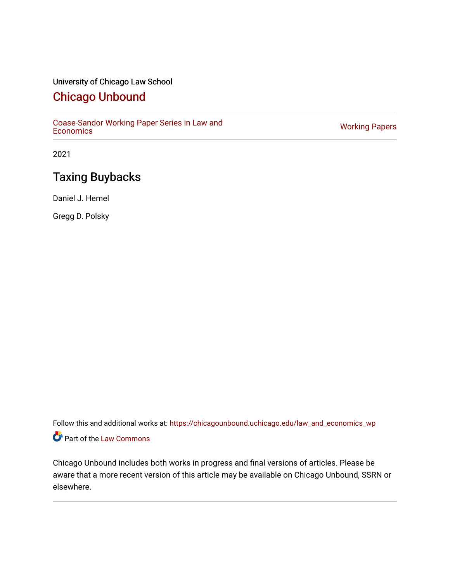# University of Chicago Law School

# [Chicago Unbound](https://chicagounbound.uchicago.edu/)

[Coase-Sandor Working Paper Series in Law and](https://chicagounbound.uchicago.edu/law_and_economics_wp) [Economics](https://chicagounbound.uchicago.edu/law_and_economics_wp) [Working Papers](https://chicagounbound.uchicago.edu/working_papers) 

2021

# Taxing Buybacks

Daniel J. Hemel

Gregg D. Polsky

Follow this and additional works at: [https://chicagounbound.uchicago.edu/law\\_and\\_economics\\_wp](https://chicagounbound.uchicago.edu/law_and_economics_wp?utm_source=chicagounbound.uchicago.edu%2Flaw_and_economics_wp%2F22&utm_medium=PDF&utm_campaign=PDFCoverPages)  Part of the [Law Commons](http://network.bepress.com/hgg/discipline/578?utm_source=chicagounbound.uchicago.edu%2Flaw_and_economics_wp%2F22&utm_medium=PDF&utm_campaign=PDFCoverPages)

Chicago Unbound includes both works in progress and final versions of articles. Please be aware that a more recent version of this article may be available on Chicago Unbound, SSRN or elsewhere.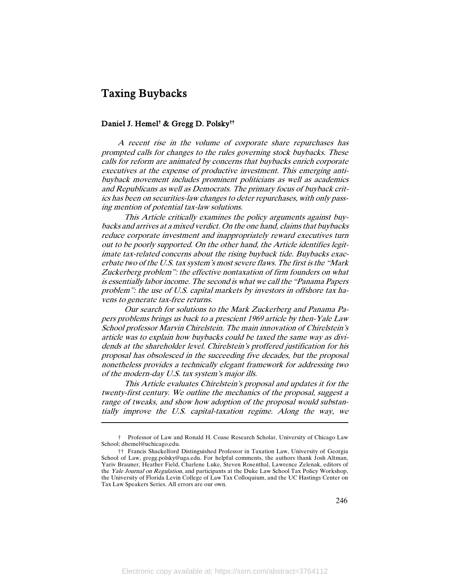# Taxing Buybacks

 $\overline{\phantom{a}}$ 

# Daniel J. Hemel† & Gregg D. Polsky††

A recent rise in the volume of corporate share repurchases has prompted calls for changes to the rules governing stock buybacks. These calls for reform are animated by concerns that buybacks enrich corporate executives at the expense of productive investment. This emerging antibuyback movement includes prominent politicians as well as academics and Republicans as well as Democrats. The primary focus of buyback critics has been on securities-law changes to deter repurchases, with only passing mention of potential tax-law solutions.

This Article critically examines the policy arguments against buybacks and arrives at a mixed verdict. On the one hand, claims that buybacks reduce corporate investment and inappropriately reward executives turn out to be poorly supported. On the other hand, the Article identifies legitimate tax-related concerns about the rising buyback tide. Buybacks exacerbate two of the U.S. tax system's most severe flaws. The first is the "Mark Zuckerberg problem": the effective nontaxation of firm founders on what is essentially labor income. The second is what we call the "Panama Papers problem": the use of U.S. capital markets by investors in offshore tax havens to generate tax-free returns.

Our search for solutions to the Mark Zuckerberg and Panama Papers problems brings us back to a prescient 1969 article by then-Yale Law School professor Marvin Chirelstein. The main innovation of Chirelstein's article was to explain how buybacks could be taxed the same way as dividends at the shareholder level. Chirelstein's proffered justification for his proposal has obsolesced in the succeeding five decades, but the proposal nonetheless provides a technically elegant framework for addressing two of the modern-day U.S. tax system's major ills.

This Article evaluates Chirelstein's proposal and updates it for the twenty-first century. We outline the mechanics of the proposal, suggest a range of tweaks, and show how adoption of the proposal would substantially improve the U.S. capital-taxation regime. Along the way, we

<sup>†</sup> Professor of Law and Ronald H. Coase Research Scholar, University of Chicago Law School; dhemel@uchicago.edu.

<sup>††</sup> Francis Shackelford Distinguished Professor in Taxation Law, University of Georgia School of Law, gregg.polsky@uga.edu. For helpful comments, the authors thank Josh Altman, Yariv Brauner, Heather Field, Charlene Luke, Steven Rosenthal, Lawrence Zelenak, editors of the Yale Journal on Regulation, and participants at the Duke Law School Tax Policy Workshop, the University of Florida Levin College of Law Tax Colloquium, and the UC Hastings Center on Tax Law Speakers Series. All errors are our own.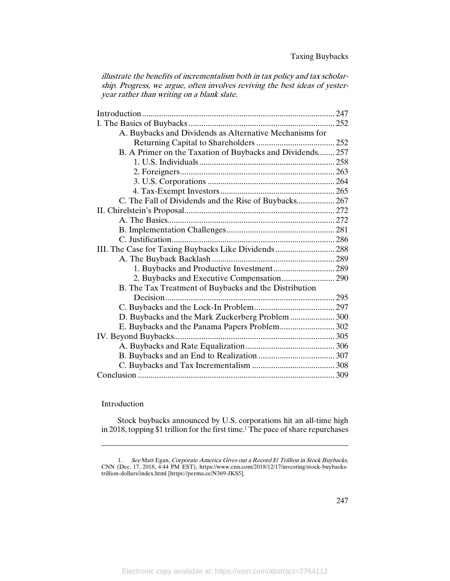illustrate the benefits of incrementalism both in tax policy and tax scholarship. Progress, we argue, often involves reviving the best ideas of yesteryear rather than writing on a blank slate.

| A. Buybacks and Dividends as Alternative Mechanisms for   |  |
|-----------------------------------------------------------|--|
|                                                           |  |
| B. A Primer on the Taxation of Buybacks and Dividends 257 |  |
|                                                           |  |
|                                                           |  |
|                                                           |  |
|                                                           |  |
| C. The Fall of Dividends and the Rise of Buybacks 267     |  |
|                                                           |  |
|                                                           |  |
|                                                           |  |
|                                                           |  |
| III. The Case for Taxing Buybacks Like Dividends  288     |  |
|                                                           |  |
| 1. Buybacks and Productive Investment 289                 |  |
|                                                           |  |
| B. The Tax Treatment of Buybacks and the Distribution     |  |
|                                                           |  |
|                                                           |  |
| D. Buybacks and the Mark Zuckerberg Problem  300          |  |
| E. Buybacks and the Panama Papers Problem 302             |  |
|                                                           |  |
|                                                           |  |
|                                                           |  |
|                                                           |  |
|                                                           |  |

# Introduction

 $\overline{a}$ 

Stock buybacks announced by U.S. corporations hit an all-time high in 2018, topping \$1 trillion for the first time.<sup>1</sup> The pace of share repurchases

<sup>1.</sup> See Matt Egan, Corporate America Gives out a Record \$1 Trillion in Stock Buybacks, CNN (Dec. 17, 2018, 4:44 PM EST), https://www.cnn.com/2018/12/17/investing/stock-buybackstrillion-dollars/index.html [https://perma.cc/N369-JKS5].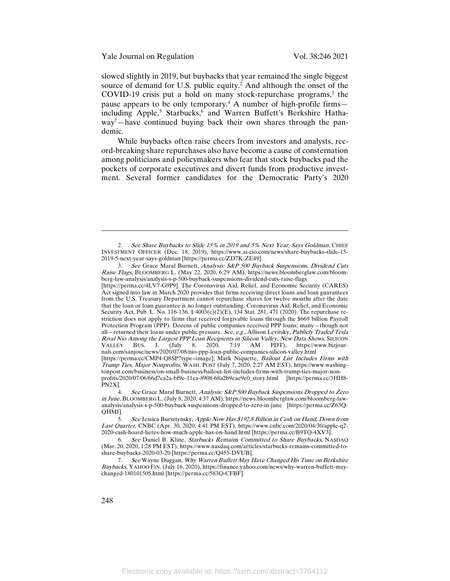Yale Journal on Regulation Vol. 38:246 2021

slowed slightly in 2019, but buybacks that year remained the single biggest source of demand for U.S. public equity.<sup>2</sup> And although the onset of the COVID-19 crisis put a hold on many stock-repurchase programs, $3$  the pause appears to be only temporary.<sup>4</sup> A number of high-profile firms including Apple,<sup>5</sup> Starbucks,<sup>6</sup> and Warren Buffett's Berkshire Hathaway7 —have continued buying back their own shares through the pandemic.

While buybacks often raise cheers from investors and analysts, record-breaking share repurchases also have become a cause of consternation among politicians and policymakers who fear that stock buybacks pad the pockets of corporate executives and divert funds from productive investment. Several former candidates for the Democratic Party's 2020

[https://perma.cc/4LV7-G9P9]. The Coronavirus Aid, Relief, and Economic Security (CARES) Act signed into law in March 2020 provides that firms receiving direct loans and loan guarantees from the U.S. Treasury Department cannot repurchase shares for twelve months after the date that the loan or loan guarantee is no longer outstanding. Coronavirus Aid, Relief, and Economic Security Act, Pub. L. No. 116-136, § 4003(c)(2)(E), 134 Stat. 281, 471 (2020). The repurchase restriction does not apply to firms that received forgivable loans through the \$669 billion Payroll Protection Program (PPP). Dozens of public companies received PPP loans; many—though not all–returned their loans under public pressure. See, e.g., Allison Levitsky, Publicly Traded Tesla Rival Nio Among the Largest PPP Loan Recipients in Silicon Valley, New Data Shows, SILICON VALLEY BUS. J. (July 8, 2020, 7:19 AM PDT), https://www.bizjour-VALLEY BUS. J. (July 8, 2020, 7:19 AM PDT), https://www.bizjournals.com/sanjose/news/2020/07/08/nio-ppp-loan-public-companies-silicon-valley.html [https://perma.cc/CMP4-Q8SP?type=image]; Mark Niquette, Bailout List Includes Firms with Trump Ties, Major Nonprofits, WASH. POST (July 7, 2020, 2:27 AM EST), https://www.washingtonpost.com/business/on-small-business/bailout-list-includes-firms-with-trump-ties-major-nonprofits/2020/07/06/66d7ca2a-bf9e-11ea-8908-68a2b9eae9e0\_story.html [https://perma.cc/3HH8-

PN2X].

<sup>2.</sup> See Share Buybacks to Slide 15% in 2019 and 5% Next Year, Says Goldman, CHIEF INVESTMENT OFFICER (Dec. 18, 2019), https://www.ai-cio.com/news/share-buybacks-slide-15- 2019-5-next-year-says-goldman [https://perma.cc/ZD7K-ZE49].

<sup>3.</sup> See Grace Maral Burnett, Analysis: S&P 500 Buyback Suspensions, Dividend Cuts Raise Flags, BLOOMBERG L. (May 22, 2020, 6:29 AM), https://news.bloomberglaw.com/bloomberg-law-analysis/analysis-s-p-500-buyback-suspensions-dividend-cuts-raise-flags

<sup>4.</sup> See Grace Maral Burnett, Analysis: S&P 500 Buyback Suspensions Dropped to Zero in June, BLOOMBERG L. (July 8, 2020, 4:37 AM), https://news.bloomberglaw.com/bloomberg-lawanalysis/analysis-s-p-500-buyback-suspensions-dropped-to-zero-in-june [https://perma.cc/Z63Q-QHMJ].

<sup>5.</sup> See Jessica Bursztynsky, Apple Now Has \$192.8 Billion in Cash on Hand, Down from Last Quarter, CNBC (Apr. 30, 2020, 4:41 PM EST), https://www.cnbc.com/2020/04/30/apple-q2- 2020-cash-hoard-heres-how-much-apple-has-on-hand.html [https://perma.cc/B9TQ-4XV3].

<sup>6.</sup> See Daniel B. Kline, Starbucks Remains Committed to Share Buybacks, NASDAQ (Mar. 20, 2020, 1:28 PM EST), https://www.nasdaq.com/articles/starbucks-remains-committed-toshare-buybacks-2020-03-20 [https://perma.cc/Q455-DVUB].

<sup>7.</sup> See Wayne Duggan, Why Warren Buffett May Have Changed His Tune on Berkshire Buybacks, YAHOO FIN. (July 16, 2020), https://finance.yahoo.com/news/why-warren-buffett-maychanged-180101505.html [https://perma.cc/583Q-CFBF].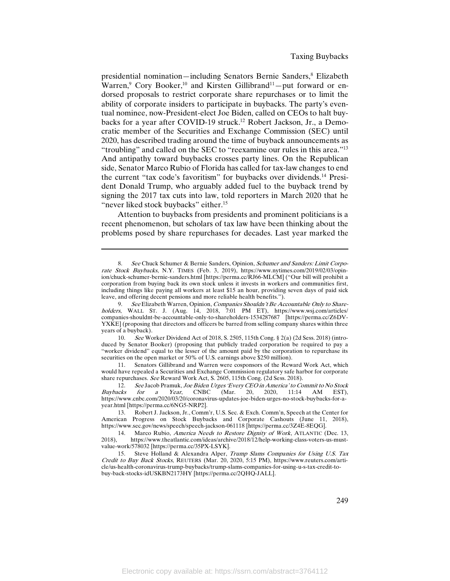presidential nomination—including Senators Bernie Sanders,<sup>8</sup> Elizabeth Warren,<sup>9</sup> Cory Booker,<sup>10</sup> and Kirsten Gillibrand<sup>11</sup>-put forward or endorsed proposals to restrict corporate share repurchases or to limit the ability of corporate insiders to participate in buybacks. The party's eventual nominee, now-President-elect Joe Biden, called on CEOs to halt buybacks for a year after COVID-19 struck.<sup>12</sup> Robert Jackson, Jr., a Democratic member of the Securities and Exchange Commission (SEC) until 2020, has described trading around the time of buyback announcements as "troubling" and called on the SEC to "reexamine our rules in this area."13 And antipathy toward buybacks crosses party lines. On the Republican side, Senator Marco Rubio of Florida has called for tax-law changes to end the current "tax code's favoritism" for buybacks over dividends.14 President Donald Trump, who arguably added fuel to the buyback trend by signing the 2017 tax cuts into law, told reporters in March 2020 that he "never liked stock buybacks" either.<sup>15</sup>

Attention to buybacks from presidents and prominent politicians is a recent phenomenon, but scholars of tax law have been thinking about the problems posed by share repurchases for decades. Last year marked the

<sup>8.</sup> See Chuck Schumer & Bernie Sanders, Opinion, Schumer and Sanders: Limit Corporate Stock Buybacks, N.Y. TIMES (Feb. 3, 2019), https://www.nytimes.com/2019/02/03/opinion/chuck-schumer-bernie-sanders.html [https://perma.cc/RJ66-MLCM] ("Our bill will prohibit a corporation from buying back its own stock unless it invests in workers and communities first, including things like paying all workers at least \$15 an hour, providing seven days of paid sick leave, and offering decent pensions and more reliable health benefits.").

<sup>9.</sup> See Elizabeth Warren, Opinion, Companies Shouldn't Be Accountable Only to Shareholders, WALL ST. J. (Aug. 14, 2018, 7:01 PM ET), https://www.wsj.com/articles/ companies-shouldnt-be-accountable-only-to-shareholders-1534287687 [https://perma.cc/Z6DV-YXKE] (proposing that directors and officers be barred from selling company shares within three years of a buyback).

<sup>10.</sup> See Worker Dividend Act of 2018, S. 2505, 115th Cong. § 2(a) (2d Sess. 2018) (introduced by Senator Booker) (proposing that publicly traded corporation be required to pay a "worker dividend" equal to the lesser of the amount paid by the corporation to repurchase its securities on the open market or 50% of U.S. earnings above \$250 million).

<sup>11.</sup> Senators Gillibrand and Warren were cosponsors of the Reward Work Act, which would have repealed a Securities and Exchange Commission regulatory safe harbor for corporate share repurchases. See Reward Work Act, S. 2605, 115th Cong. (2d Sess. 2018).

<sup>12.</sup> See Jacob Pramuk, Joe Biden Urges 'Every CEO in America' to Commit to No Stock<br>acks for a Year. CNBC (Mar. 20. 2020. 11:14 AM EST). Buybacks for a Year, CNBC (Mar. 20, 2020, 11:14 AM EST), https://www.cnbc.com/2020/03/20/coronavirus-updates-joe-biden-urges-no-stock-buybacks-for-ayear.html [https://perma.cc/6NG5-NRP2].<br>13. Robert J. Jackson, Jr., Comm

Robert J. Jackson, Jr., Comm'r, U.S. Sec. & Exch. Comm'n, Speech at the Center for American Progress on Stock Buybacks and Corporate Cashouts (June 11, 2018), https://www.sec.gov/news/speech/speech-jackson-061118 [https://perma.cc/3Z4E-8EQG].

<sup>14.</sup> Marco Rubio, *America Needs to Restore Dignity of Work*, ATLANTIC (Dec. 13, 2018), https://www.theatlantic.com/ideas/archive/2018/12/help-working-class-voters-us-must-2018), https://www.theatlantic.com/ideas/archive/2018/12/help-working-class-voters-us-mustvalue-work/578032 [https://perma.cc/35PX-LSYK].

<sup>15.</sup> Steve Holland & Alexandra Alper, Trump Slams Companies for Using U.S. Tax Credit to Buy Back Stocks, REUTERS (Mar. 20, 2020, 5:15 PM), https://www.reuters.com/article/us-health-coronavirus-trump-buybacks/trump-slams-companies-for-using-u-s-tax-credit-tobuy-back-stocks-idUSKBN2173HY [https://perma.cc/2QHQ-JALL].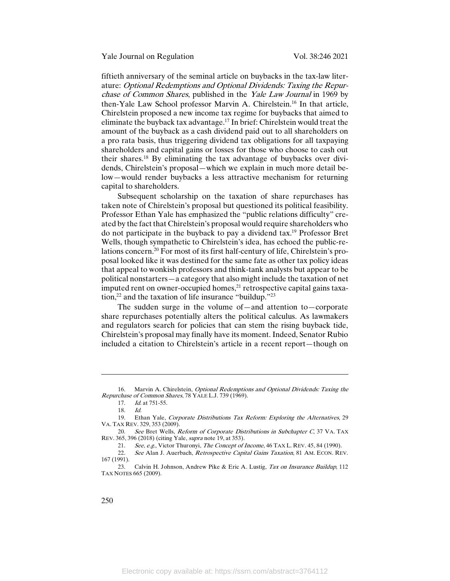fiftieth anniversary of the seminal article on buybacks in the tax-law literature: Optional Redemptions and Optional Dividends: Taxing the Repurchase of Common Shares, published in the Yale Law Journal in 1969 by then-Yale Law School professor Marvin A. Chirelstein.16 In that article, Chirelstein proposed a new income tax regime for buybacks that aimed to eliminate the buyback tax advantage.17 In brief: Chirelstein would treat the amount of the buyback as a cash dividend paid out to all shareholders on a pro rata basis, thus triggering dividend tax obligations for all taxpaying shareholders and capital gains or losses for those who choose to cash out their shares.18 By eliminating the tax advantage of buybacks over dividends, Chirelstein's proposal—which we explain in much more detail below—would render buybacks a less attractive mechanism for returning capital to shareholders.

Subsequent scholarship on the taxation of share repurchases has taken note of Chirelstein's proposal but questioned its political feasibility. Professor Ethan Yale has emphasized the "public relations difficulty" created by the fact that Chirelstein's proposal would require shareholders who do not participate in the buyback to pay a dividend tax.19 Professor Bret Wells, though sympathetic to Chirelstein's idea, has echoed the public-relations concern.20 For most of its first half-century of life, Chirelstein's proposal looked like it was destined for the same fate as other tax policy ideas that appeal to wonkish professors and think-tank analysts but appear to be political nonstarters—a category that also might include the taxation of net imputed rent on owner-occupied homes, $^{21}$  retrospective capital gains taxation,<sup>22</sup> and the taxation of life insurance "buildup."<sup>23</sup>

The sudden surge in the volume of—and attention to—corporate share repurchases potentially alters the political calculus. As lawmakers and regulators search for policies that can stem the rising buyback tide, Chirelstein's proposal may finally have its moment. Indeed, Senator Rubio included a citation to Chirelstein's article in a recent report—though on

<sup>16.</sup> Marvin A. Chirelstein, Optional Redemptions and Optional Dividends: Taxing the Repurchase of Common Shares, 78 YALE L.J. 739 (1969).

<sup>17.</sup> Id. at 751-55.

<sup>18.</sup> Id.

<sup>19.</sup> Ethan Yale, Corporate Distributions Tax Reform: Exploring the Alternatives, 29 VA. TAX REV. 329, 353 (2009).

<sup>20.</sup> See Bret Wells, Reform of Corporate Distributions in Subchapter C, 37 VA. TAX REV. 365, 396 (2018) (citing Yale, supra note 19, at 353).

<sup>21.</sup> See, e.g., Victor Thuronyi, The Concept of Income, 46 TAX L. REV. 45, 84 (1990).

<sup>22.</sup> See Alan J. Auerbach, Retrospective Capital Gains Taxation, 81 AM. ECON. REV. 167 (1991).

<sup>23.</sup> Calvin H. Johnson, Andrew Pike & Eric A. Lustig, Tax on Insurance Buildup, 112 TAX NOTES 665 (2009).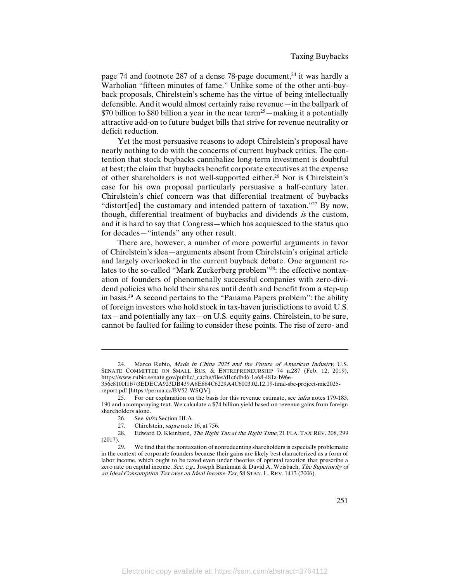page 74 and footnote 287 of a dense 78-page document, <sup>24</sup> it was hardly a Warholian "fifteen minutes of fame." Unlike some of the other anti-buyback proposals, Chirelstein's scheme has the virtue of being intellectually defensible. And it would almost certainly raise revenue—in the ballpark of \$70 billion to \$80 billion a year in the near term<sup>25</sup>—making it a potentially attractive add-on to future budget bills that strive for revenue neutrality or deficit reduction.

Yet the most persuasive reasons to adopt Chirelstein's proposal have nearly nothing to do with the concerns of current buyback critics. The contention that stock buybacks cannibalize long-term investment is doubtful at best; the claim that buybacks benefit corporate executives at the expense of other shareholders is not well-supported either.<sup>26</sup> Nor is Chirelstein's case for his own proposal particularly persuasive a half-century later. Chirelstein's chief concern was that differential treatment of buybacks "distort[ed] the customary and intended pattern of taxation."<sup>27</sup> By now, though, differential treatment of buybacks and dividends is the custom, and it is hard to say that Congress—which has acquiesced to the status quo for decades—"intends" any other result.

There are, however, a number of more powerful arguments in favor of Chirelstein's idea—arguments absent from Chirelstein's original article and largely overlooked in the current buyback debate. One argument relates to the so-called "Mark Zuckerberg problem"28: the effective nontaxation of founders of phenomenally successful companies with zero-dividend policies who hold their shares until death and benefit from a step-up in basis. <sup>29</sup> A second pertains to the "Panama Papers problem": the ability of foreign investors who hold stock in tax-haven jurisdictions to avoid U.S. tax—and potentially any tax—on U.S. equity gains. Chirelstein, to be sure, cannot be faulted for failing to consider these points. The rise of zero- and

<sup>24.</sup> Marco Rubio, Made in China 2025 and the Future of American Industry, U.S. SENATE COMMITTEE ON SMALL BUS. & ENTREPRENEURSHIP 74 n.287 (Feb. 12, 2019), https://www.rubio.senate.gov/public/\_cache/files/d1c6db46-1a68-481a-b96e-

<sup>356</sup>c8100f1b7/3EDECA923DB439A8E884C6229A4C6003.02.12.19-final-sbc-project-mic2025 report.pdf [https://perma.cc/BV52-WSQV].

<sup>25.</sup> For our explanation on the basis for this revenue estimate, see infra notes 179-183, 190 and accompanying text. We calculate a \$74 billion yield based on revenue gains from foreign shareholders alone.<br>26 See in

See *infra* Section III.A.

<sup>27.</sup> Chirelstein, supra note 16, at 756.

<sup>28.</sup> Edward D. Kleinbard, The Right Tax at the Right Time, 21 FLA. TAX REV. 208, 299 (2017).

<sup>29.</sup> We find that the nontaxation of nonredeeming shareholders is especially problematic in the context of corporate founders because their gains are likely best characterized as a form of labor income, which ought to be taxed even under theories of optimal taxation that prescribe a zero rate on capital income. See, e.g., Joseph Bankman & David  $\hat{A}$ . Weisbach, The Superiority of an Ideal Consumption Tax over an Ideal Income Tax, 58 STAN. L. REV. 1413 (2006).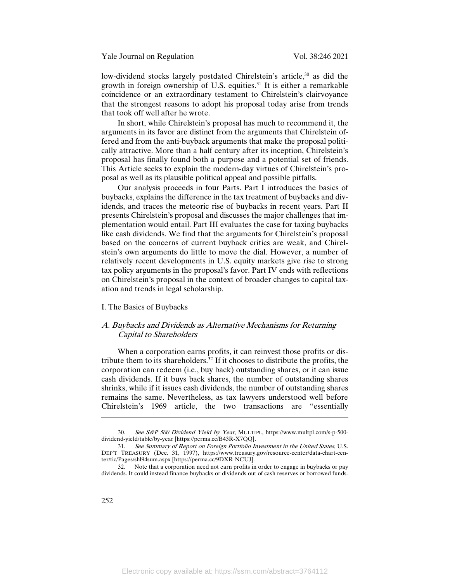low-dividend stocks largely postdated Chirelstein's article,<sup>30</sup> as did the growth in foreign ownership of U.S. equities.31 It is either a remarkable coincidence or an extraordinary testament to Chirelstein's clairvoyance that the strongest reasons to adopt his proposal today arise from trends that took off well after he wrote.

In short, while Chirelstein's proposal has much to recommend it, the arguments in its favor are distinct from the arguments that Chirelstein offered and from the anti-buyback arguments that make the proposal politically attractive. More than a half century after its inception, Chirelstein's proposal has finally found both a purpose and a potential set of friends. This Article seeks to explain the modern-day virtues of Chirelstein's proposal as well as its plausible political appeal and possible pitfalls.

Our analysis proceeds in four Parts. Part I introduces the basics of buybacks, explains the difference in the tax treatment of buybacks and dividends, and traces the meteoric rise of buybacks in recent years. Part II presents Chirelstein's proposal and discusses the major challenges that implementation would entail. Part III evaluates the case for taxing buybacks like cash dividends. We find that the arguments for Chirelstein's proposal based on the concerns of current buyback critics are weak, and Chirelstein's own arguments do little to move the dial. However, a number of relatively recent developments in U.S. equity markets give rise to strong tax policy arguments in the proposal's favor. Part IV ends with reflections on Chirelstein's proposal in the context of broader changes to capital taxation and trends in legal scholarship.

## I. The Basics of Buybacks

# A. Buybacks and Dividends as Alternative Mechanisms for Returning Capital to Shareholders

When a corporation earns profits, it can reinvest those profits or distribute them to its shareholders.32 If it chooses to distribute the profits, the corporation can redeem (i.e., buy back) outstanding shares, or it can issue cash dividends. If it buys back shares, the number of outstanding shares shrinks, while if it issues cash dividends, the number of outstanding shares remains the same. Nevertheless, as tax lawyers understood well before Chirelstein's 1969 article, the two transactions are "essentially

<sup>30.</sup> See S&P 500 Dividend Yield by Year, MULTIPL, https://www.multpl.com/s-p-500 dividend-yield/table/by-year [https://perma.cc/B43R-X7QQ].

<sup>31.</sup> See Summary of Report on Foreign Portfolio Investment in the United States, U.S. DEP'T TREASURY (Dec. 31, 1997), https://www.treasury.gov/resource-center/data-chart-center/tic/Pages/shl94sum.aspx [https://perma.cc/9DXR-NCUJ].

<sup>32.</sup> Note that a corporation need not earn profits in order to engage in buybacks or pay dividends. It could instead finance buybacks or dividends out of cash reserves or borrowed funds.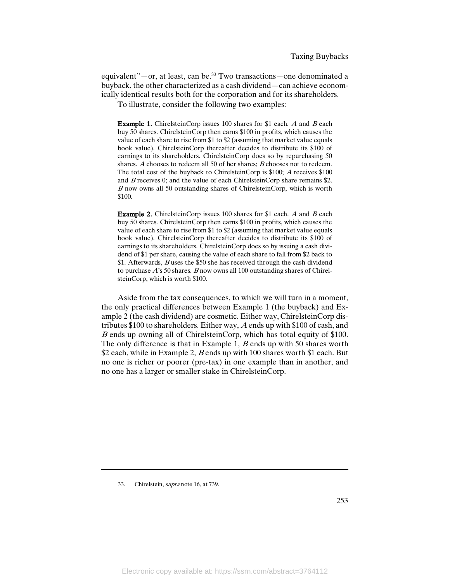equivalent"—or, at least, can be.33 Two transactions—one denominated a buyback, the other characterized as a cash dividend—can achieve economically identical results both for the corporation and for its shareholders.

To illustrate, consider the following two examples:

**Example 1.** ChirelsteinCorp issues 100 shares for \$1 each. A and B each buy 50 shares. ChirelsteinCorp then earns \$100 in profits, which causes the value of each share to rise from \$1 to \$2 (assuming that market value equals book value). ChirelsteinCorp thereafter decides to distribute its \$100 of earnings to its shareholders. ChirelsteinCorp does so by repurchasing 50 shares. A chooses to redeem all 50 of her shares; B chooses not to redeem. The total cost of the buyback to ChirelsteinCorp is \$100; <sup>A</sup> receives \$100 and <sup>B</sup> receives 0; and the value of each ChirelsteinCorp share remains \$2. <sup>B</sup> now owns all 50 outstanding shares of ChirelsteinCorp, which is worth \$100.

Example 2. ChirelsteinCorp issues 100 shares for \$1 each. <sup>A</sup> and <sup>B</sup> each buy 50 shares. ChirelsteinCorp then earns \$100 in profits, which causes the value of each share to rise from \$1 to \$2 (assuming that market value equals book value). ChirelsteinCorp thereafter decides to distribute its \$100 of earnings to its shareholders. ChirelsteinCorp does so by issuing a cash dividend of \$1 per share, causing the value of each share to fall from \$2 back to \$1. Afterwards, *B* uses the \$50 she has received through the cash dividend to purchase  $A$ 's 50 shares.  $B$  now owns all 100 outstanding shares of ChirelsteinCorp, which is worth \$100.

Aside from the tax consequences, to which we will turn in a moment, the only practical differences between Example 1 (the buyback) and Example 2 (the cash dividend) are cosmetic. Either way, ChirelsteinCorp distributes \$100 to shareholders. Either way, <sup>A</sup> ends up with \$100 of cash, and <sup>B</sup> ends up owning all of ChirelsteinCorp, which has total equity of \$100. The only difference is that in Example 1,  $B$  ends up with 50 shares worth \$2 each, while in Example 2, B ends up with 100 shares worth \$1 each. But no one is richer or poorer (pre-tax) in one example than in another, and no one has a larger or smaller stake in ChirelsteinCorp.

33. Chirelstein, supra note 16, at 739.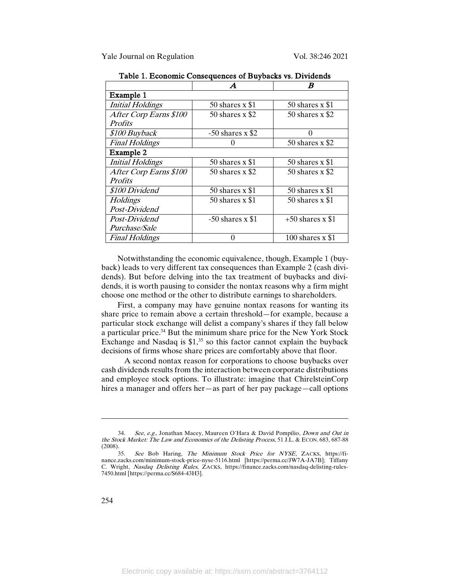|                         |                    | R                  |  |  |  |  |  |
|-------------------------|--------------------|--------------------|--|--|--|--|--|
| Example 1               |                    |                    |  |  |  |  |  |
| <b>Initial Holdings</b> | 50 shares $x$ \$1  | 50 shares $x$ \$1  |  |  |  |  |  |
| After Corp Earns \$100  | 50 shares $x$ \$2  | 50 shares $x$ \$2  |  |  |  |  |  |
| <i>Profits</i>          |                    |                    |  |  |  |  |  |
| \$100 Buyback           | $-50$ shares x \$2 |                    |  |  |  |  |  |
| <b>Final Holdings</b>   |                    | 50 shares $x$ \$2  |  |  |  |  |  |
| Example 2               |                    |                    |  |  |  |  |  |
| <b>Initial Holdings</b> | 50 shares $x$ \$1  | 50 shares $x$ \$1  |  |  |  |  |  |
| After Corp Earns \$100  | 50 shares $x$ \$2  | 50 shares $x$ \$2  |  |  |  |  |  |
| <i>Profits</i>          |                    |                    |  |  |  |  |  |
| \$100 Dividend          | 50 shares $x$ \$1  | 50 shares $x$ \$1  |  |  |  |  |  |
| Holdings                | 50 shares $x$ \$1  | 50 shares $x$ \$1  |  |  |  |  |  |
| Post-Dividend           |                    |                    |  |  |  |  |  |
| Post-Dividend           | $-50$ shares x \$1 | $+50$ shares x \$1 |  |  |  |  |  |
| Purchase/Sale           |                    |                    |  |  |  |  |  |
| <b>Final Holdings</b>   |                    | 100 shares $x$ \$1 |  |  |  |  |  |

Table 1. Economic Consequences of Buybacks vs. Dividends

Notwithstanding the economic equivalence, though, Example 1 (buyback) leads to very different tax consequences than Example 2 (cash dividends). But before delving into the tax treatment of buybacks and dividends, it is worth pausing to consider the nontax reasons why a firm might choose one method or the other to distribute earnings to shareholders.

First, a company may have genuine nontax reasons for wanting its share price to remain above a certain threshold—for example, because a particular stock exchange will delist a company's shares if they fall below a particular price.34 But the minimum share price for the New York Stock Exchange and Nasdaq is  $$1<sup>35</sup>$  so this factor cannot explain the buyback decisions of firms whose share prices are comfortably above that floor.

A second nontax reason for corporations to choose buybacks over cash dividends results from the interaction between corporate distributions and employee stock options. To illustrate: imagine that ChirelsteinCorp hires a manager and offers her—as part of her pay package—call options

<sup>34.</sup> See, e.g., Jonathan Macey, Maureen O'Hara & David Pompilio, Down and Out in the Stock Market: The Law and Economics of the Delisting Process, 51 J.L. & ECON. 683, 687-88  $(2008).$  35.

See Bob Haring, The Minimum Stock Price for NYSE, ZACKS, https://finance.zacks.com/minimum-stock-price-nyse-5116.html [https://perma.cc/JW7A-JA7B]; Tiffany C. Wright, Nasdaq Delisting Rules, ZACKS, https://finance.zacks.com/nasdaq-delisting-rules-7450.html [https://perma.cc/S684-43H3].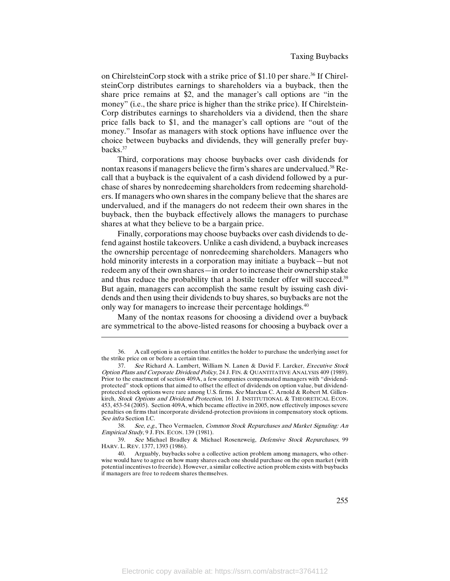on ChirelsteinCorp stock with a strike price of \$1.10 per share.<sup>36</sup> If ChirelsteinCorp distributes earnings to shareholders via a buyback, then the share price remains at \$2, and the manager's call options are "in the money" (i.e., the share price is higher than the strike price). If Chirelstein-Corp distributes earnings to shareholders via a dividend, then the share price falls back to \$1, and the manager's call options are "out of the money." Insofar as managers with stock options have influence over the choice between buybacks and dividends, they will generally prefer buybacks.37

Third, corporations may choose buybacks over cash dividends for nontax reasons if managers believe the firm's shares are undervalued.<sup>38</sup> Recall that a buyback is the equivalent of a cash dividend followed by a purchase of shares by nonredeeming shareholders from redeeming shareholders. If managers who own shares in the company believe that the shares are undervalued, and if the managers do not redeem their own shares in the buyback, then the buyback effectively allows the managers to purchase shares at what they believe to be a bargain price.

Finally, corporations may choose buybacks over cash dividends to defend against hostile takeovers. Unlike a cash dividend, a buyback increases the ownership percentage of nonredeeming shareholders. Managers who hold minority interests in a corporation may initiate a buyback—but not redeem any of their own shares—in order to increase their ownership stake and thus reduce the probability that a hostile tender offer will succeed.<sup>39</sup> But again, managers can accomplish the same result by issuing cash dividends and then using their dividends to buy shares, so buybacks are not the only way for managers to increase their percentage holdings.<sup>40</sup>

Many of the nontax reasons for choosing a dividend over a buyback are symmetrical to the above-listed reasons for choosing a buyback over a

<sup>36.</sup> A call option is an option that entitles the holder to purchase the underlying asset for the strike price on or before a certain time.

<sup>37.</sup> See Richard A. Lambert, William N. Lanen & David F. Larcker, Executive Stock Option Plans and Corporate Dividend Policy, 24 J. FIN. & QUANTITATIVE ANALYSIS 409 (1989). Prior to the enactment of section 409A, a few companies compensated managers with "dividendprotected" stock options that aimed to offset the effect of dividends on option value, but dividendprotected stock options were rare among U.S. firms. See Marckus C. Arnold & Robert M. Gillenkirch, Stock Options and Dividend Protection, 161 J. INSTITUTIONAL & THEORETICAL ECON. 453, 453-54 (2005). Section 409A, which became effective in 2005, now effectively imposes severe penalties on firms that incorporate dividend-protection provisions in compensatory stock options. See infra Section I.C.

<sup>38.</sup> See, e.g., Theo Vermaelen, Common Stock Repurchases and Market Signaling: An Empirical Study, 9 J. FIN. ECON. 139 (1981).

<sup>39.</sup> See Michael Bradley & Michael Rosenzweig, Defensive Stock Repurchases, 99 HARV. L. REV. 1377, 1393 (1986).

<sup>40.</sup> Arguably, buybacks solve a collective action problem among managers, who otherwise would have to agree on how many shares each one should purchase on the open market (with potential incentives to freeride). However, a similar collective action problem exists with buybacks if managers are free to redeem shares themselves.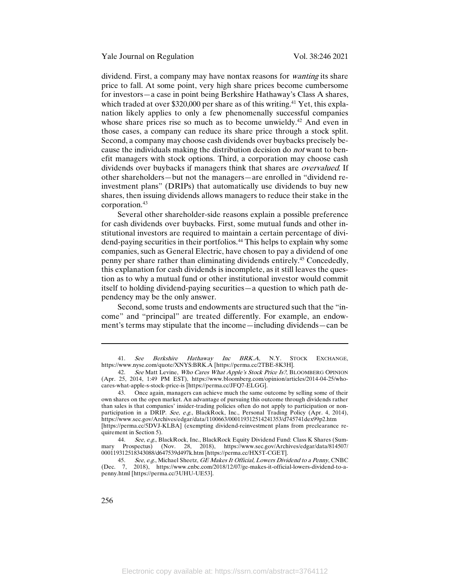dividend. First, a company may have nontax reasons for *wanting* its share price to fall. At some point, very high share prices become cumbersome for investors—a case in point being Berkshire Hathaway's Class A shares, which traded at over  $$320,000$  per share as of this writing.<sup>41</sup> Yet, this explanation likely applies to only a few phenomenally successful companies whose share prices rise so much as to become unwieldy.<sup>42</sup> And even in those cases, a company can reduce its share price through a stock split. Second, a company may choose cash dividends over buybacks precisely because the individuals making the distribution decision do not want to benefit managers with stock options. Third, a corporation may choose cash dividends over buybacks if managers think that shares are *overvalued*. If other shareholders—but not the managers—are enrolled in "dividend reinvestment plans" (DRIPs) that automatically use dividends to buy new shares, then issuing dividends allows managers to reduce their stake in the corporation.43

Several other shareholder-side reasons explain a possible preference for cash dividends over buybacks. First, some mutual funds and other institutional investors are required to maintain a certain percentage of dividend-paying securities in their portfolios.<sup>44</sup> This helps to explain why some companies, such as General Electric, have chosen to pay a dividend of one penny per share rather than eliminating dividends entirely.45 Concededly, this explanation for cash dividends is incomplete, as it still leaves the question as to why a mutual fund or other institutional investor would commit itself to holding dividend-paying securities—a question to which path dependency may be the only answer.

Second, some trusts and endowments are structured such that the "income" and "principal" are treated differently. For example, an endowment's terms may stipulate that the income—including dividends—can be

<sup>41.</sup> See Berkshire Hathaway Inc BRK.A, N.Y. STOCK EXCHANGE, https://www.nyse.com/quote/XNYS:BRK.A [https://perma.cc/2TBE-8K3H].

<sup>42.</sup> See Matt Levine, Who Cares What Apple's Stock Price Is?, BLOOMBERG OPINION (Apr. 25, 2014, 1:49 PM EST), https://www.bloomberg.com/opinion/articles/2014-04-25/whocares-what-apple-s-stock-price-is [https://perma.cc/JFQ7-ELGG].

<sup>43.</sup> Once again, managers can achieve much the same outcome by selling some of their own shares on the open market. An advantage of pursuing this outcome through dividends rather than sales is that companies' insider-trading policies often do not apply to participation or nonparticipation in a DRIP. See, e.g., BlackRock, Inc., Personal Trading Policy (Apr. 4, 2014), https://www.sec.gov/Archives/edgar/data/1100663/000119312514241353/d745741dex99p2.htm [https://perma.cc/5DVJ-KLBA] (exempting dividend-reinvestment plans from preclearance requirement in Section 5).

<sup>44.</sup> See, e.g., BlackRock, Inc., BlackRock Equity Dividend Fund: Class K Shares (Summary Prospectus) (Nov. 28, 2018), https://www.sec.gov/Archives/edgar/data/814507/ 000119312518343088/d647539d497k.htm [https://perma.cc/HX5T-CGET].

<sup>45.</sup> See, e.g., Michael Sheetz, GE Makes It Official, Lowers Dividend to a Penny, CNBC (Dec. 7, 2018), https://www.cnbc.com/2018/12/07/ge-makes-it-official-lowers-dividend-to-apenny.html [https://perma.cc/3UHU-UE53].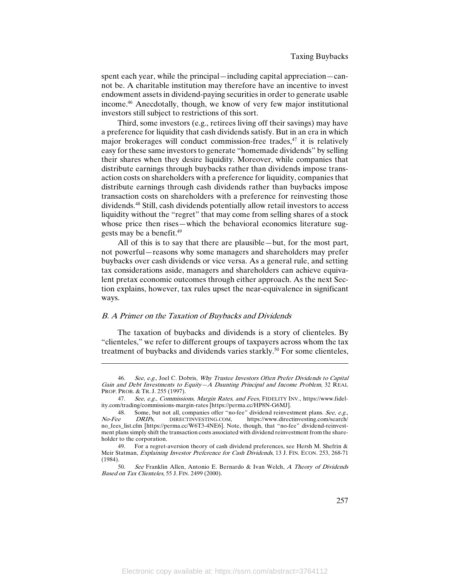spent each year, while the principal—including capital appreciation—cannot be. A charitable institution may therefore have an incentive to invest endowment assets in dividend-paying securities in order to generate usable income.46 Anecdotally, though, we know of very few major institutional investors still subject to restrictions of this sort.

Third, some investors (e.g., retirees living off their savings) may have a preference for liquidity that cash dividends satisfy. But in an era in which major brokerages will conduct commission-free trades, $47$  it is relatively easy for these same investors to generate "homemade dividends" by selling their shares when they desire liquidity. Moreover, while companies that distribute earnings through buybacks rather than dividends impose transaction costs on shareholders with a preference for liquidity, companies that distribute earnings through cash dividends rather than buybacks impose transaction costs on shareholders with a preference for reinvesting those dividends.48 Still, cash dividends potentially allow retail investors to access liquidity without the "regret" that may come from selling shares of a stock whose price then rises—which the behavioral economics literature suggests may be a benefit.49

All of this is to say that there are plausible—but, for the most part, not powerful—reasons why some managers and shareholders may prefer buybacks over cash dividends or vice versa. As a general rule, and setting tax considerations aside, managers and shareholders can achieve equivalent pretax economic outcomes through either approach. As the next Section explains, however, tax rules upset the near-equivalence in significant ways.

# B. A Primer on the Taxation of Buybacks and Dividends

 $\overline{\phantom{a}}$ 

The taxation of buybacks and dividends is a story of clienteles. By "clienteles," we refer to different groups of taxpayers across whom the tax treatment of buybacks and dividends varies starkly.<sup>50</sup> For some clienteles,

<sup>46.</sup> See, e.g., Joel C. Dobris, Why Trustee Investors Often Prefer Dividends to Capital Gain and Debt Investments to Equity—A Daunting Principal and Income Problem, 32 REAL PROP. PROB. & TR. J. 255 (1997).

<sup>47.</sup> See, e.g., Commissions, Margin Rates, and Fees, FIDELITY INV., https://www.fidelity.com/trading/commissions-margin-rates [https://perma.cc/HP8N-G6MJ].

<sup>48.</sup> Some, but not all, companies offer "no-fee" dividend reinvestment plans. See, e.g.,<br>No-Fee DRIPs, DIRECTINVESTING.COM, https://www.directinvesting.com/search/ https://www.directinvesting.com/search/ no\_fees\_list.cfm [https://perma.cc/W6T3-4NE6]. Note, though, that "no-fee" dividend-reinvestment plans simply shift the transaction costs associated with dividend reinvestment from the shareholder to the corporation.

<sup>49.</sup> For a regret-aversion theory of cash dividend preferences, see Hersh M. Shefrin & Meir Statman, Explaining Investor Preference for Cash Dividends, 13 J. FIN. ECON. 253, 268-71  $(1984)$ .

See Franklin Allen, Antonio E. Bernardo & Ivan Welch, A Theory of Dividends Based on Tax Clienteles, 55 J. FIN. 2499 (2000).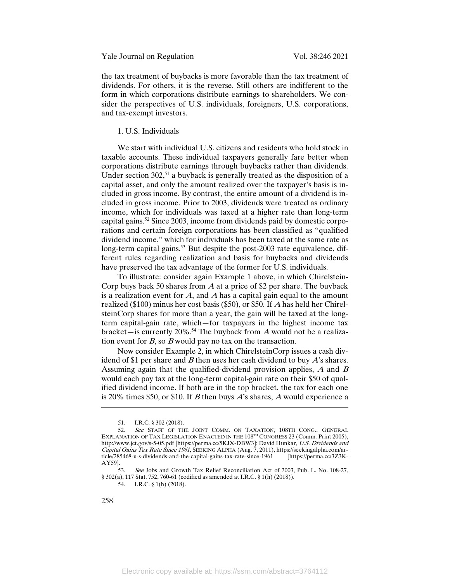the tax treatment of buybacks is more favorable than the tax treatment of dividends. For others, it is the reverse. Still others are indifferent to the form in which corporations distribute earnings to shareholders. We consider the perspectives of U.S. individuals, foreigners, U.S. corporations, and tax-exempt investors.

# 1. U.S. Individuals

We start with individual U.S. citizens and residents who hold stock in taxable accounts. These individual taxpayers generally fare better when corporations distribute earnings through buybacks rather than dividends. Under section  $302<sub>1</sub>$ <sup>51</sup> a buyback is generally treated as the disposition of a capital asset, and only the amount realized over the taxpayer's basis is included in gross income. By contrast, the entire amount of a dividend is included in gross income. Prior to 2003, dividends were treated as ordinary income, which for individuals was taxed at a higher rate than long-term capital gains.52 Since 2003, income from dividends paid by domestic corporations and certain foreign corporations has been classified as "qualified dividend income," which for individuals has been taxed at the same rate as long-term capital gains.<sup>53</sup> But despite the post-2003 rate equivalence, different rules regarding realization and basis for buybacks and dividends have preserved the tax advantage of the former for U.S. individuals.

To illustrate: consider again Example 1 above, in which Chirelstein-Corp buys back 50 shares from  $A$  at a price of \$2 per share. The buyback is a realization event for  $A$ , and  $A$  has a capital gain equal to the amount realized (\$100) minus her cost basis (\$50), or \$50. If <sup>A</sup> has held her ChirelsteinCorp shares for more than a year, the gain will be taxed at the longterm capital-gain rate, which—for taxpayers in the highest income tax bracket—is currently 20%.<sup>54</sup> The buyback from A would not be a realization event for  $B$ , so  $B$  would pay no tax on the transaction.

Now consider Example 2, in which ChirelsteinCorp issues a cash dividend of \$1 per share and  $B$  then uses her cash dividend to buy  $A$ 's shares. Assuming again that the qualified-dividend provision applies,  $A$  and  $B$ would each pay tax at the long-term capital-gain rate on their \$50 of qualified dividend income. If both are in the top bracket, the tax for each one is 20% times \$50, or \$10. If B then buys A's shares, A would experience a

53. See Jobs and Growth Tax Relief Reconciliation Act of 2003, Pub. L. No. 108-27, § 302(a), 117 Stat. 752, 760-61 (codified as amended at I.R.C. § 1(h) (2018)).

54. I.R.C. § 1(h) (2018).

<sup>51.</sup> I.R.C. § 302 (2018).

<sup>52.</sup> See STAFF OF THE JOINT COMM. ON TAXATION, 108TH CONG., GENERAL EXPLANATION OF TAX LEGISLATION ENACTED IN THE  $108^{TH}$  CONGRESS 23 (Comm. Print 2005), http://www.jct.gov/s-5-05.pdf [https://perma.cc/5KJX-DBW3]; David Hunkar, U.S. Dividends and Capital Gains Tax Rate Since 1961, SEEKING ALPHA (Aug. 7, 2011), https://seekingalpha.com/ar-<br>ticle/285468-u-s-dividends-and-the-capital-gains-tax-rate-since-1961 [https://perma.cc/3Z3Kticle/285468-u-s-dividends-and-the-capital-gains-tax-rate-since-1961 AY59].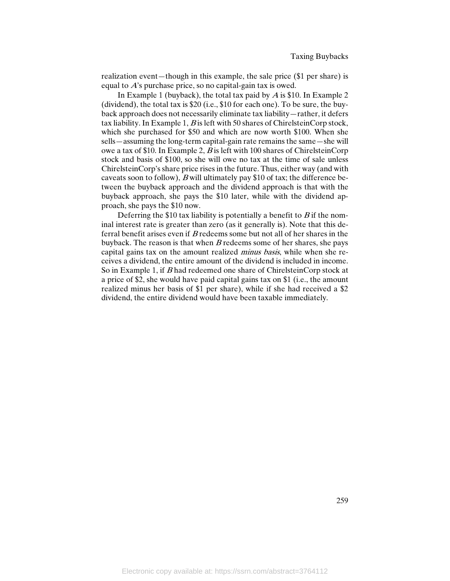realization event—though in this example, the sale price (\$1 per share) is equal to A's purchase price, so no capital-gain tax is owed.

In Example 1 (buyback), the total tax paid by  $\overline{A}$  is \$10. In Example 2 (dividend), the total tax is \$20 (i.e., \$10 for each one). To be sure, the buyback approach does not necessarily eliminate tax liability—rather, it defers tax liability. In Example 1,  $B$  is left with 50 shares of ChirelsteinCorp stock, which she purchased for \$50 and which are now worth \$100. When she sells—assuming the long-term capital-gain rate remains the same—she will owe a tax of \$10. In Example 2,  $B$  is left with 100 shares of ChirelsteinCorp stock and basis of \$100, so she will owe no tax at the time of sale unless ChirelsteinCorp's share price rises in the future. Thus, either way (and with caveats soon to follow), <sup>B</sup> will ultimately pay \$10 of tax; the difference between the buyback approach and the dividend approach is that with the buyback approach, she pays the \$10 later, while with the dividend approach, she pays the \$10 now.

Deferring the \$10 tax liability is potentially a benefit to  $B$  if the nominal interest rate is greater than zero (as it generally is). Note that this deferral benefit arises even if  $B$  redeems some but not all of her shares in the buyback. The reason is that when  $B$  redeems some of her shares, she pays capital gains tax on the amount realized minus basis, while when she receives a dividend, the entire amount of the dividend is included in income. So in Example 1, if B had redeemed one share of ChirelsteinCorp stock at a price of \$2, she would have paid capital gains tax on \$1 (i.e., the amount realized minus her basis of \$1 per share), while if she had received a \$2 dividend, the entire dividend would have been taxable immediately.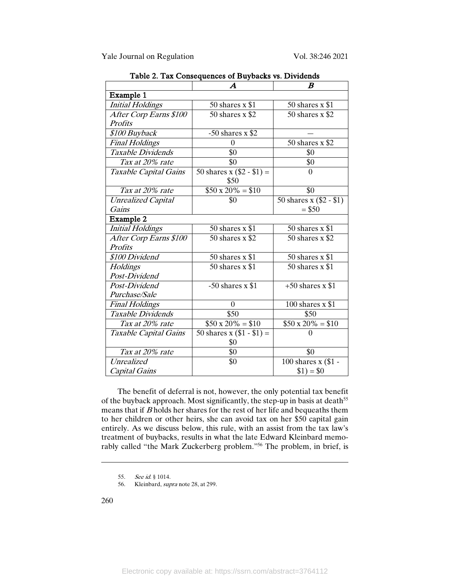|                           | $\boldsymbol{A}$            | $\bm{B}$                |
|---------------------------|-----------------------------|-------------------------|
| Example 1                 |                             |                         |
| <b>Initial Holdings</b>   | 50 shares $x$ \$1           | 50 shares $x$ \$1       |
| After Corp Earns \$100    | 50 shares x \$2             | 50 shares x \$2         |
| <b>Profits</b>            |                             |                         |
| \$100 Buyback             | $-50$ shares x \$2          |                         |
| <b>Final Holdings</b>     | $\theta$                    | 50 shares x \$2         |
| Taxable Dividends         | \$0                         | \$0                     |
| Tax at 20% rate           | \$0                         | \$0                     |
| Taxable Capital Gains     | 50 shares x $(\$2 - \$1) =$ | $\Omega$                |
|                           | \$50                        |                         |
| Tax at 20% rate           | $$50 x 20\% = $10$          | \$0                     |
| <b>Unrealized Capital</b> | \$0                         | 50 shares x (\$2 - \$1) |
| Gains                     |                             | $= $50$                 |
| Example 2                 |                             |                         |
| <b>Initial Holdings</b>   | 50 shares $x$ \$1           | 50 shares $x$ \$1       |
| After Corp Earns \$100    | 50 shares $x$ \$2           | 50 shares $x$ \$2       |
| Profits                   |                             |                         |
| \$100 Dividend            | 50 shares $x$ \$1           | 50 shares $x$ \$1       |
| Holdings                  | 50 shares $x$ \$1           | 50 shares x \$1         |
| Post-Dividend             |                             |                         |
| Post-Dividend             | $-50$ shares x \$1          | $+50$ shares x \$1      |
| Purchase/Sale             |                             |                         |
| <b>Final Holdings</b>     | $\theta$                    | 100 shares $x $1$       |
| Taxable Dividends         | \$50                        | \$50                    |
| Tax at 20% rate           | $$50 \times 20\% = $10$     | $$50 x 20\% = $10$      |
| Taxable Capital Gains     | 50 shares x $(\$1 - \$1) =$ | $\theta$                |
|                           | \$0                         |                         |
| Tax at 20% rate           | \$0                         | \$0                     |
| Unrealized                | \$0                         | 100 shares x (\$1 -     |
| Capital Gains             |                             | $$1) = $0$              |

Table 2. Tax Consequences of Buybacks vs. Dividends

The benefit of deferral is not, however, the only potential tax benefit of the buyback approach. Most significantly, the step-up in basis at death<sup>55</sup> means that if <sup>B</sup> holds her shares for the rest of her life and bequeaths them to her children or other heirs, she can avoid tax on her \$50 capital gain entirely. As we discuss below, this rule, with an assist from the tax law's treatment of buybacks, results in what the late Edward Kleinbard memorably called "the Mark Zuckerberg problem."56 The problem, in brief, is

56. Kleinbard, *supra* note 28, at 299.

<sup>55.</sup> See id. § 1014.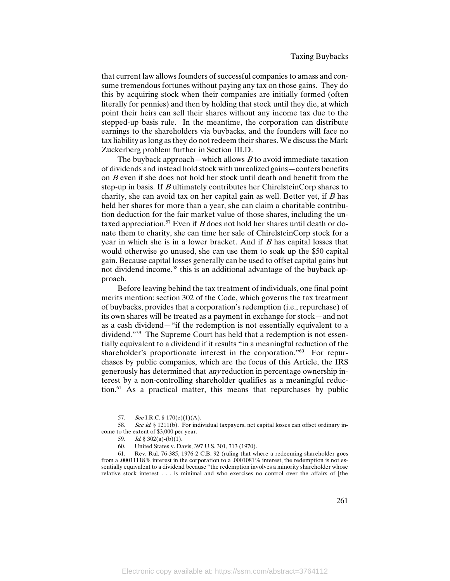that current law allows founders of successful companies to amass and consume tremendous fortunes without paying any tax on those gains. They do this by acquiring stock when their companies are initially formed (often literally for pennies) and then by holding that stock until they die, at which point their heirs can sell their shares without any income tax due to the stepped-up basis rule. In the meantime, the corporation can distribute earnings to the shareholders via buybacks, and the founders will face no tax liability as long as they do not redeem their shares. We discuss the Mark Zuckerberg problem further in Section III.D.

The buyback approach—which allows  $B$  to avoid immediate taxation of dividends and instead hold stock with unrealized gains—confers benefits on <sup>B</sup> even if she does not hold her stock until death and benefit from the step-up in basis. If <sup>B</sup> ultimately contributes her ChirelsteinCorp shares to charity, she can avoid tax on her capital gain as well. Better yet, if  $B$  has held her shares for more than a year, she can claim a charitable contribution deduction for the fair market value of those shares, including the untaxed appreciation.<sup>57</sup> Even if B does not hold her shares until death or donate them to charity, she can time her sale of ChirelsteinCorp stock for a year in which she is in a lower bracket. And if  $B$  has capital losses that would otherwise go unused, she can use them to soak up the \$50 capital gain. Because capital losses generally can be used to offset capital gains but not dividend income,<sup>58</sup> this is an additional advantage of the buyback approach.

Before leaving behind the tax treatment of individuals, one final point merits mention: section 302 of the Code, which governs the tax treatment of buybacks, provides that a corporation's redemption (i.e., repurchase) of its own shares will be treated as a payment in exchange for stock—and not as a cash dividend—"if the redemption is not essentially equivalent to a dividend."59 The Supreme Court has held that a redemption is not essentially equivalent to a dividend if it results "in a meaningful reduction of the shareholder's proportionate interest in the corporation."<sup>60</sup> For repurchases by public companies, which are the focus of this Article, the IRS generously has determined that any reduction in percentage ownership interest by a non-controlling shareholder qualifies as a meaningful reduction.61 As a practical matter, this means that repurchases by public

<sup>57.</sup> See I.R.C. §  $170(e)(1)(A)$ .

<sup>58.</sup> See id. § 1211(b). For individual taxpayers, net capital losses can offset ordinary income to the extent of \$3,000 per year.

<sup>59.</sup> Id. § 302(a)-(b)(1).

<sup>60.</sup> United States v. Davis, 397 U.S. 301, 313 (1970).<br>61. Rev. Rul. 76-385, 1976-2 C.B. 92 (ruling that w

Rev. Rul. 76-385, 1976-2 C.B. 92 (ruling that where a redeeming shareholder goes from a .00011118% interest in the corporation to a .0001081% interest, the redemption is not essentially equivalent to a dividend because "the redemption involves a minority shareholder whose relative stock interest . . . is minimal and who exercises no control over the affairs of [the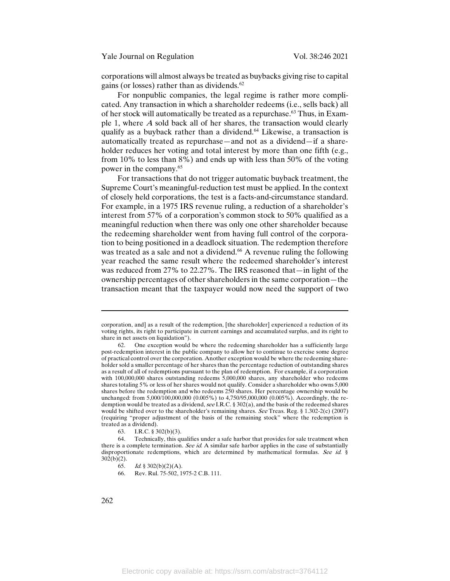corporations will almost always be treated as buybacks giving rise to capital gains (or losses) rather than as dividends.<sup>62</sup>

For nonpublic companies, the legal regime is rather more complicated. Any transaction in which a shareholder redeems (i.e., sells back) all of her stock will automatically be treated as a repurchase.<sup>63</sup> Thus, in Example 1, where A sold back all of her shares, the transaction would clearly qualify as a buyback rather than a dividend.<sup>64</sup> Likewise, a transaction is automatically treated as repurchase—and not as a dividend—if a shareholder reduces her voting and total interest by more than one fifth (e.g., from 10% to less than 8%) and ends up with less than 50% of the voting power in the company.65

For transactions that do not trigger automatic buyback treatment, the Supreme Court's meaningful-reduction test must be applied. In the context of closely held corporations, the test is a facts-and-circumstance standard. For example, in a 1975 IRS revenue ruling, a reduction of a shareholder's interest from 57% of a corporation's common stock to 50% qualified as a meaningful reduction when there was only one other shareholder because the redeeming shareholder went from having full control of the corporation to being positioned in a deadlock situation. The redemption therefore was treated as a sale and not a dividend.<sup>66</sup> A revenue ruling the following year reached the same result where the redeemed shareholder's interest was reduced from 27% to 22.27%. The IRS reasoned that—in light of the ownership percentages of other shareholders in the same corporation—the transaction meant that the taxpayer would now need the support of two

corporation, and] as a result of the redemption, [the shareholder] experienced a reduction of its voting rights, its right to participate in current earnings and accumulated surplus, and its right to share in net assets on liquidation").

<sup>62.</sup> One exception would be where the redeeming shareholder has a sufficiently large post-redemption interest in the public company to allow her to continue to exercise some degree of practical control over the corporation. Another exception would be where the redeeming shareholder sold a smaller percentage of her shares than the percentage reduction of outstanding shares as a result of all of redemptions pursuant to the plan of redemption. For example, if a corporation with 100,000,000 shares outstanding redeems 5,000,000 shares, any shareholder who redeems shares totaling 5% or less of her shares would not qualify. Consider a shareholder who owns 5,000 shares before the redemption and who redeems 250 shares. Her percentage ownership would be unchanged: from 5,000/100,000,000 (0.005%) to 4,750/95,000,000 (0.005%). Accordingly, the redemption would be treated as a dividend, see I.R.C. § 302(a), and the basis of the redeemed shares would be shifted over to the shareholder's remaining shares. See Treas. Reg. § 1.302-2(c) (2007) (requiring "proper adjustment of the basis of the remaining stock" where the redemption is treated as a dividend).

<sup>63.</sup> I.R.C. § 302(b)(3).

<sup>64.</sup> Technically, this qualifies under a safe harbor that provides for sale treatment when there is a complete termination. See id. A similar safe harbor applies in the case of substantially disproportionate redemptions, which are determined by mathematical formulas. See id. §  $302(b)(2)$ .

<sup>65.</sup> *Id.* § 302(b)(2)(A).

<sup>66.</sup> Rev. Rul. 75-502, 1975-2 C.B. 111.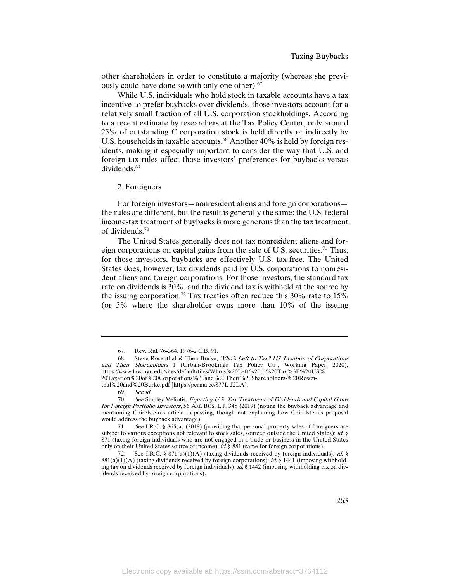other shareholders in order to constitute a majority (whereas she previously could have done so with only one other).67

While U.S. individuals who hold stock in taxable accounts have a tax incentive to prefer buybacks over dividends, those investors account for a relatively small fraction of all U.S. corporation stockholdings. According to a recent estimate by researchers at the Tax Policy Center, only around 25% of outstanding C corporation stock is held directly or indirectly by U.S. households in taxable accounts.<sup>68</sup> Another 40% is held by foreign residents, making it especially important to consider the way that U.S. and foreign tax rules affect those investors' preferences for buybacks versus dividends.<sup>69</sup>

#### 2. Foreigners

For foreign investors—nonresident aliens and foreign corporations the rules are different, but the result is generally the same: the U.S. federal income-tax treatment of buybacks is more generous than the tax treatment of dividends.70

The United States generally does not tax nonresident aliens and foreign corporations on capital gains from the sale of U.S. securities.71 Thus, for those investors, buybacks are effectively U.S. tax-free. The United States does, however, tax dividends paid by U.S. corporations to nonresident aliens and foreign corporations. For those investors, the standard tax rate on dividends is 30%, and the dividend tax is withheld at the source by the issuing corporation.<sup>72</sup> Tax treaties often reduce this  $30\%$  rate to  $15\%$ (or 5% where the shareholder owns more than 10% of the issuing

<sup>67.</sup> Rev. Rul. 76-364, 1976-2 C.B. 91.

<sup>68.</sup> Steve Rosenthal & Theo Burke, Who's Left to Tax? US Taxation of Corporations and Their Shareholders 1 (Urban-Brookings Tax Policy Ctr., Working Paper, 2020), https://www.law.nyu.edu/sites/default/files/Who's%20Left%20to%20Tax%3F%20US% 20Taxation%20of%20Corporations%20and%20Their%20Shareholders-%20Rosen-

thal%20and%20Burke.pdf [https://perma.cc/877L-J2LA].

<sup>69.</sup> See id.

<sup>70.</sup> See Stanley Veliotis, Equating U.S. Tax Treatment of Dividends and Capital Gains for Foreign Portfolio Investors, 56 AM. BUS. L.J. 345 (2019) (noting the buyback advantage and mentioning Chirelstein's article in passing, though not explaining how Chirelstein's proposal would address the buyback advantage).

<sup>71.</sup> See I.R.C. § 865(a) (2018) (providing that personal property sales of foreigners are subject to various exceptions not relevant to stock sales, sourced outside the United States); id. § 871 (taxing foreign individuals who are not engaged in a trade or business in the United States only on their United States source of income); id. § 881 (same for foreign corporations).

<sup>72.</sup> See I.R.C. § 871(a)(1)(A) (taxing dividends received by foreign individuals); *id.* §  $881(a)(1)(A)$  (taxing dividends received by foreign corporations); *id.* § 1441 (imposing withholding tax on dividends received by foreign individuals);  $i\vec{d}$ . § 1442 (imposing withholding tax on dividends received by foreign corporations).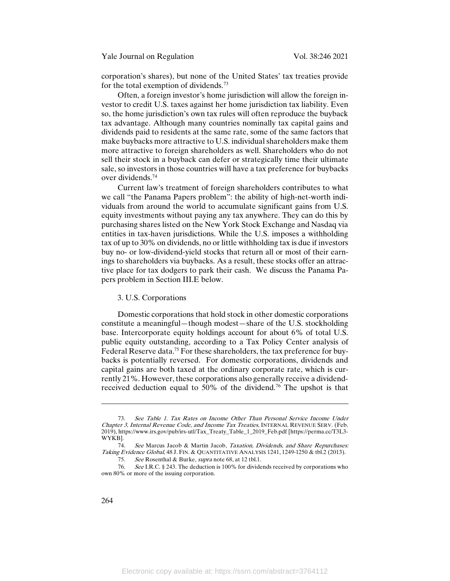corporation's shares), but none of the United States' tax treaties provide for the total exemption of dividends.73

Often, a foreign investor's home jurisdiction will allow the foreign investor to credit U.S. taxes against her home jurisdiction tax liability. Even so, the home jurisdiction's own tax rules will often reproduce the buyback tax advantage. Although many countries nominally tax capital gains and dividends paid to residents at the same rate, some of the same factors that make buybacks more attractive to U.S. individual shareholders make them more attractive to foreign shareholders as well. Shareholders who do not sell their stock in a buyback can defer or strategically time their ultimate sale, so investors in those countries will have a tax preference for buybacks over dividends.74

Current law's treatment of foreign shareholders contributes to what we call "the Panama Papers problem": the ability of high-net-worth individuals from around the world to accumulate significant gains from U.S. equity investments without paying any tax anywhere. They can do this by purchasing shares listed on the New York Stock Exchange and Nasdaq via entities in tax-haven jurisdictions. While the U.S. imposes a withholding tax of up to 30% on dividends, no or little withholding tax is due if investors buy no- or low-dividend-yield stocks that return all or most of their earnings to shareholders via buybacks. As a result, these stocks offer an attractive place for tax dodgers to park their cash. We discuss the Panama Papers problem in Section III.E below.

## 3. U.S. Corporations

Domestic corporations that hold stock in other domestic corporations constitute a meaningful—though modest—share of the U.S. stockholding base. Intercorporate equity holdings account for about 6% of total U.S. public equity outstanding, according to a Tax Policy Center analysis of Federal Reserve data.<sup>75</sup> For these shareholders, the tax preference for buybacks is potentially reversed. For domestic corporations, dividends and capital gains are both taxed at the ordinary corporate rate, which is currently 21%. However, these corporations also generally receive a dividendreceived deduction equal to 50% of the dividend.<sup>76</sup> The upshot is that

See Table 1. Tax Rates on Income Other Than Personal Service Income Under Chapter 3, Internal Revenue Code, and Income Tax Treaties, INTERNAL REVENUE SERV. (Feb. 2019), https://www.irs.gov/pub/irs-utl/Tax\_Treaty\_Table\_1\_2019\_Feb.pdf [https://perma.cc/T3L3- WYKB].

<sup>74.</sup> See Marcus Jacob & Martin Jacob, Taxation, Dividends, and Share Repurchases: Taking Evidence Global, 48 J. FIN. & QUANTITATIVE ANALYSIS 1241, 1249-1250 & tbl.2 (2013).

<sup>75.</sup> See Rosenthal & Burke, supra note 68, at 12 tbl.1.

<sup>76.</sup> See I.R.C. § 243. The deduction is 100% for dividends received by corporations who own 80% or more of the issuing corporation.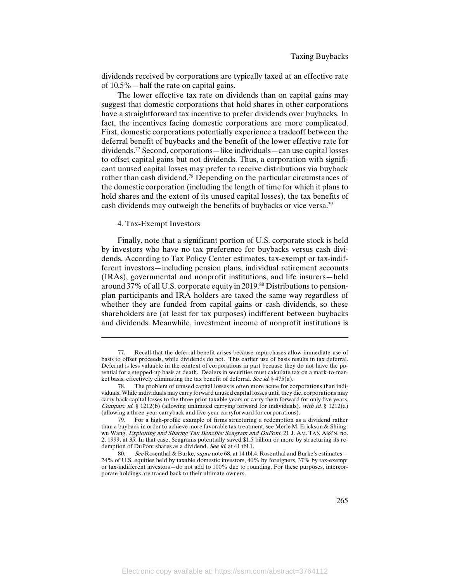dividends received by corporations are typically taxed at an effective rate of 10.5%—half the rate on capital gains.

The lower effective tax rate on dividends than on capital gains may suggest that domestic corporations that hold shares in other corporations have a straightforward tax incentive to prefer dividends over buybacks. In fact, the incentives facing domestic corporations are more complicated. First, domestic corporations potentially experience a tradeoff between the deferral benefit of buybacks and the benefit of the lower effective rate for dividends.77 Second, corporations—like individuals—can use capital losses to offset capital gains but not dividends. Thus, a corporation with significant unused capital losses may prefer to receive distributions via buyback rather than cash dividend.78 Depending on the particular circumstances of the domestic corporation (including the length of time for which it plans to hold shares and the extent of its unused capital losses), the tax benefits of cash dividends may outweigh the benefits of buybacks or vice versa.79

#### 4. Tax-Exempt Investors

l

Finally, note that a significant portion of U.S. corporate stock is held by investors who have no tax preference for buybacks versus cash dividends. According to Tax Policy Center estimates, tax-exempt or tax-indifferent investors—including pension plans, individual retirement accounts (IRAs), governmental and nonprofit institutions, and life insurers—held around 37% of all U.S. corporate equity in 2019.<sup>80</sup> Distributions to pensionplan participants and IRA holders are taxed the same way regardless of whether they are funded from capital gains or cash dividends, so these shareholders are (at least for tax purposes) indifferent between buybacks and dividends. Meanwhile, investment income of nonprofit institutions is

<sup>77.</sup> Recall that the deferral benefit arises because repurchases allow immediate use of basis to offset proceeds, while dividends do not. This earlier use of basis results in tax deferral. Deferral is less valuable in the context of corporations in part because they do not have the potential for a stepped-up basis at death. Dealers in securities must calculate tax on a mark-to-market basis, effectively eliminating the tax benefit of deferral. See id. § 475(a).

The problem of unused capital losses is often more acute for corporations than individuals. While individuals may carry forward unused capital losses until they die, corporations may carry back capital losses to the three prior taxable years or carry them forward for only five years. Compare id. § 1212(b) (allowing unlimited carrying forward for individuals), with id. § 1212(a) (allowing a three-year carryback and five-year carryforward for corporations).

<sup>79.</sup> For a high-profile example of firms structuring a redemption as a dividend rather than a buyback in order to achieve more favorable tax treatment, see Merle M. Erickson & Shiingwu Wang, Exploiting and Sharing Tax Benefits: Seagram and DuPont, 21 J. AM. TAX ASS'N, no. 2, 1999, at 35. In that case, Seagrams potentially saved \$1.5 billion or more by structuring its redemption of DuPont shares as a dividend. See id. at 41 tbl.1.<br>80 See Rosenthal & Burke, supra note 68, at 14 tbl.

See Rosenthal & Burke, *supra* note 68, at 14 tbl.4. Rosenthal and Burke's estimates— 24% of U.S. equities held by taxable domestic investors, 40% by foreigners, 37% by tax-exempt or tax-indifferent investors—do not add to 100% due to rounding. For these purposes, intercorporate holdings are traced back to their ultimate owners.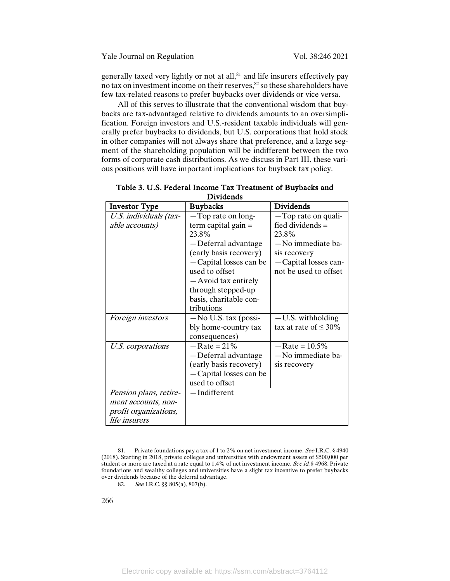generally taxed very lightly or not at all,<sup>81</sup> and life insurers effectively pay no tax on investment income on their reserves,  $82$  so these shareholders have few tax-related reasons to prefer buybacks over dividends or vice versa.

All of this serves to illustrate that the conventional wisdom that buybacks are tax-advantaged relative to dividends amounts to an oversimplification. Foreign investors and U.S.-resident taxable individuals will generally prefer buybacks to dividends, but U.S. corporations that hold stock in other companies will not always share that preference, and a large segment of the shareholding population will be indifferent between the two forms of corporate cash distributions. As we discuss in Part III, these various positions will have important implications for buyback tax policy.

| <b>Investor Type</b>   | <b>Buybacks</b>         | <b>Dividends</b>           |
|------------------------|-------------------------|----------------------------|
| U.S. individuals (tax- | -Top rate on long-      | -Top rate on quali-        |
| able accounts)         | term capital gain $=$   | fied dividends $=$         |
|                        | 23.8%                   | 23.8%                      |
|                        | -Deferral advantage     | -No immediate ba-          |
|                        | (early basis recovery)  | sis recovery               |
|                        | -Capital losses can be  | -Capital losses can-       |
|                        | used to offset          | not be used to offset      |
|                        | -Avoid tax entirely     |                            |
|                        | through stepped-up      |                            |
|                        | basis, charitable con-  |                            |
|                        | tributions              |                            |
| Foreign investors      | $-$ No U.S. tax (possi- | $-U.S.$ withholding        |
|                        | bly home-country tax    | tax at rate of $\leq 30\%$ |
|                        | consequences)           |                            |
| U.S. corporations      | $-$ Rate = 21%          | $-$ Rate = 10.5%           |
|                        | -Deferral advantage     | -No immediate ba-          |
|                        | (early basis recovery)  | sis recovery               |
|                        | -Capital losses can be  |                            |
|                        | used to offset          |                            |
| Pension plans, retire- | -Indifferent            |                            |
| ment accounts, non-    |                         |                            |
| profit organizations,  |                         |                            |
| <i>life insurers</i>   |                         |                            |

|  |  |                  | Table 3. U.S. Federal Income Tax Treatment of Buybacks and |  |  |
|--|--|------------------|------------------------------------------------------------|--|--|
|  |  | <b>Dividends</b> |                                                            |  |  |

82. See I.R.C. §§ 805(a), 807(b).

<sup>81.</sup> Private foundations pay a tax of 1 to 2% on net investment income. See I.R.C. § 4940 (2018). Starting in 2018, private colleges and universities with endowment assets of \$500,000 per student or more are taxed at a rate equal to 1.4% of net investment income. See id. § 4968. Private foundations and wealthy colleges and universities have a slight tax incentive to prefer buybacks over dividends because of the deferral advantage.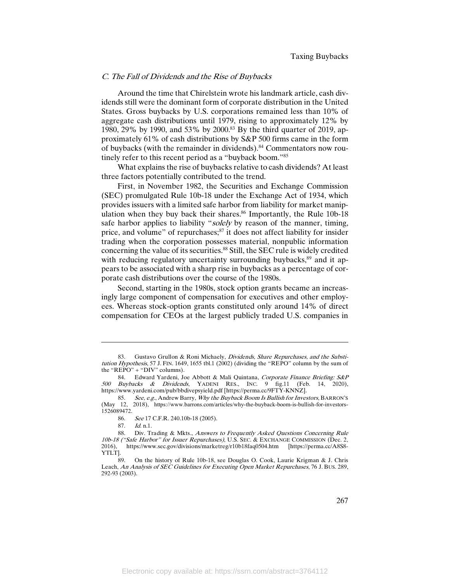#### C. The Fall of Dividends and the Rise of Buybacks

Around the time that Chirelstein wrote his landmark article, cash dividends still were the dominant form of corporate distribution in the United States. Gross buybacks by U.S. corporations remained less than 10% of aggregate cash distributions until 1979, rising to approximately 12% by 1980, 29% by 1990, and 53% by 2000.<sup>83</sup> By the third quarter of 2019, approximately 61% of cash distributions by S&P 500 firms came in the form of buybacks (with the remainder in dividends).<sup>84</sup> Commentators now routinely refer to this recent period as a "buyback boom."85

What explains the rise of buybacks relative to cash dividends? At least three factors potentially contributed to the trend.

First, in November 1982, the Securities and Exchange Commission (SEC) promulgated Rule 10b-18 under the Exchange Act of 1934, which provides issuers with a limited safe harbor from liability for market manipulation when they buy back their shares.<sup>86</sup> Importantly, the Rule 10b-18 safe harbor applies to liability "solely by reason of the manner, timing, price, and volume" of repurchases;<sup>87</sup> it does not affect liability for insider trading when the corporation possesses material, nonpublic information concerning the value of its securities.<sup>88</sup> Still, the SEC rule is widely credited with reducing regulatory uncertainty surrounding buybacks,<sup>89</sup> and it appears to be associated with a sharp rise in buybacks as a percentage of corporate cash distributions over the course of the 1980s.

Second, starting in the 1980s, stock option grants became an increasingly large component of compensation for executives and other employees. Whereas stock-option grants constituted only around 14% of direct compensation for CEOs at the largest publicly traded U.S. companies in

<sup>83.</sup> Gustavo Grullon & Roni Michaely, Dividends, Share Repurchases, and the Substitution Hypothesis, 57 J. FIN. 1649, 1655 tbl.1 (2002) (dividing the "REPO" column by the sum of the " $REPO" + "DIV" columns$ ).

<sup>84.</sup> Edward Yardeni, Joe Abbott & Mali Quintana, Corporate Finance Briefing: S&P 500 Buybacks & Dividends, YADENI RES., INC. 9 fig.11 (Feb. 14, https://www.yardeni.com/pub/bbdivepsyield.pdf [https://perma.cc/9FTY-KNNZ].

<sup>85.</sup> See, e.g., Andrew Barry, Why the Buyback Boom Is Bullish for Investors, BARRON'S (May 12, 2018), https://www.barrons.com/articles/why-the-buyback-boom-is-bullish-for-investors-1526089472.

<sup>86.</sup> See 17 C.F.R. 240.10b-18 (2005).

<sup>87.</sup> Id. n.1.

<sup>88.</sup> Div. Trading & Mkts., Answers to Frequently Asked Questions Concerning Rule 10b-18 ("Safe Harbor" for Issuer Repurchases), U.S. SEC. & EXCHANGE COMMISSION (Dec. 2, 2016), https://www.sec.gov/divisions/marketreg/r10b18faq0504.htm [https://perma.cc/A8S8- YTLT].

<sup>89.</sup> On the history of Rule 10b-18, see Douglas O. Cook, Laurie Krigman & J. Chris Leach, An Analysis of SEC Guidelines for Executing Open Market Repurchases, 76 J. BUS. 289, 292-93 (2003).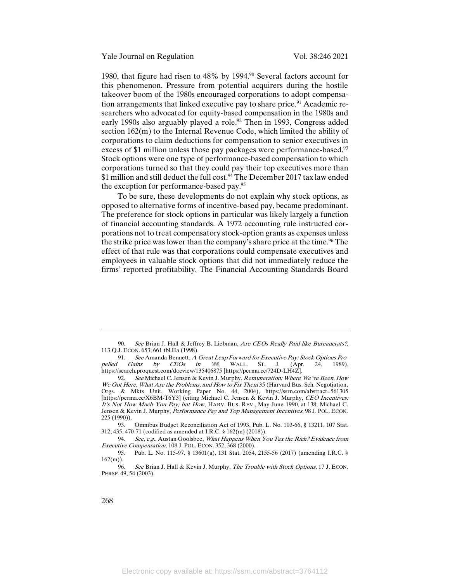1980, that figure had risen to 48% by 1994.<sup>90</sup> Several factors account for this phenomenon. Pressure from potential acquirers during the hostile takeover boom of the 1980s encouraged corporations to adopt compensation arrangements that linked executive pay to share price.<sup>91</sup> Academic researchers who advocated for equity-based compensation in the 1980s and early 1990s also arguably played a role.<sup>92</sup> Then in 1993, Congress added section 162(m) to the Internal Revenue Code, which limited the ability of corporations to claim deductions for compensation to senior executives in excess of \$1 million unless those pay packages were performance-based.<sup>93</sup> Stock options were one type of performance-based compensation to which corporations turned so that they could pay their top executives more than \$1 million and still deduct the full cost.<sup>94</sup> The December 2017 tax law ended the exception for performance-based pay.95

To be sure, these developments do not explain why stock options, as opposed to alternative forms of incentive-based pay, became predominant. The preference for stock options in particular was likely largely a function of financial accounting standards. A 1972 accounting rule instructed corporations not to treat compensatory stock-option grants as expenses unless the strike price was lower than the company's share price at the time.<sup>96</sup> The effect of that rule was that corporations could compensate executives and employees in valuable stock options that did not immediately reduce the firms' reported profitability. The Financial Accounting Standards Board

268

<sup>90.</sup> See Brian J. Hall & Jeffrey B. Liebman, Are CEOs Really Paid like Bureaucrats?, 113 Q.J. ECON. 653, 661 tbl.IIa (1998).

<sup>91.</sup> See Amanda Bennett, A Great Leap Forward for Executive Pay: Stock Options Pro-<br>
I Gains by CEOs in '88, WALL. ST. J. (Apr. 24, 1989), pelled Gains by CEOs in '88, WALL. ST. J. (Apr. 24, 1989), https://search.proquest.com/docview/135406875 [https://perma.cc/724D-LH4Z].

<sup>92.</sup> See Michael C. Jensen & Kevin J. Murphy, Remuneration: Where We've Been, How We Got Here, What Are the Problems, and How to Fix Them 35 (Harvard Bus. Sch. Negotiation, Orgs. & Mkts Unit, Working Paper No. 44, 2004), https://ssrn.com/abstract=561305 [https://perma.cc/X6BM-T6Y3] (citing Michael C. Jensen & Kevin J. Murphy, *CEO Incentives:* It's Not How Much You Pay, but How, HARV. BUS. REV., May-June 1990, at 138; Michael C. Jensen & Kevin J. Murphy, Performance Pay and Top Management Incentives, 98 J. POL. ECON. 225 (1990)).

<sup>93.</sup> Omnibus Budget Reconciliation Act of 1993, Pub. L. No. 103-66, § 13211, 107 Stat. 312, 435, 470-71 (codified as amended at I.R.C. § 162(m) (2018)).

<sup>94.</sup> See, e.g., Austan Goolsbee, What Happens When You Tax the Rich? Evidence from Executive Compensation, 108 J. POL. ECON. 352, 368 (2000).

<sup>95.</sup> Pub. L. No. 115-97, § 13601(a), 131 Stat. 2054, 2155-56 (2017) (amending I.R.C. §  $\frac{162(m)}{96}$ .

See Brian J. Hall & Kevin J. Murphy, The Trouble with Stock Options, 17 J. ECON. PERSP. 49, 54 (2003).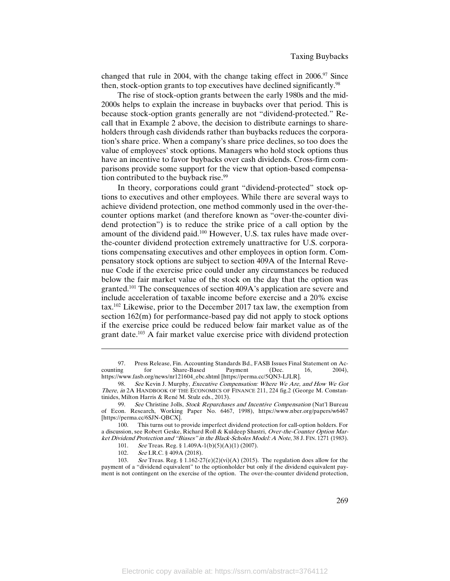changed that rule in 2004, with the change taking effect in  $2006$ .<sup>97</sup> Since then, stock-option grants to top executives have declined significantly.<sup>98</sup>

The rise of stock-option grants between the early 1980s and the mid-2000s helps to explain the increase in buybacks over that period. This is because stock-option grants generally are not "dividend-protected." Recall that in Example 2 above, the decision to distribute earnings to shareholders through cash dividends rather than buybacks reduces the corporation's share price. When a company's share price declines, so too does the value of employees' stock options. Managers who hold stock options thus have an incentive to favor buybacks over cash dividends. Cross-firm comparisons provide some support for the view that option-based compensation contributed to the buyback rise.<sup>99</sup>

In theory, corporations could grant "dividend-protected" stock options to executives and other employees. While there are several ways to achieve dividend protection, one method commonly used in the over-thecounter options market (and therefore known as "over-the-counter dividend protection") is to reduce the strike price of a call option by the amount of the dividend paid.<sup>100</sup> However, U.S. tax rules have made overthe-counter dividend protection extremely unattractive for U.S. corporations compensating executives and other employees in option form. Compensatory stock options are subject to section 409A of the Internal Revenue Code if the exercise price could under any circumstances be reduced below the fair market value of the stock on the day that the option was granted.101 The consequences of section 409A's application are severe and include acceleration of taxable income before exercise and a 20% excise tax.102 Likewise, prior to the December 2017 tax law, the exemption from section 162(m) for performance-based pay did not apply to stock options if the exercise price could be reduced below fair market value as of the grant date.103 A fair market value exercise price with dividend protection

<sup>97.</sup> Press Release, Fin. Accounting Standards Bd., FASB Issues Final Statement on Accounting for Share-Based Payment (Dec. 16, 2004), counting for Share-Based Payment (Dec. 16, 2004), https://www.fasb.org/news/nr121604\_ebc.shtml [https://perma.cc/5QN3-LJLR].

<sup>98.</sup> See Kevin J. Murphy, Executive Compensation: Where We Are, and How We Got There, in 2A HANDBOOK OF THE ECONOMICS OF FINANCE 211, 224 fig.2 (George M. Constantinides, Milton Harris & René M. Stulz eds., 2013).

<sup>99.</sup> See Christine Jolls, Stock Repurchases and Incentive Compensation (Nat'l Bureau of Econ. Research, Working Paper No. 6467, 1998), https://www.nber.org/papers/w6467 [https://perma.cc/6SJN-QBCX].

<sup>100.</sup> This turns out to provide imperfect dividend protection for call-option holders. For a discussion, see Robert Geske, Richard Roll & Kuldeep Shastri, Over-the-Counter Option Market Dividend Protection and "Biases" in the Black-Scholes Model: A Note, 38 J. FIN. 1271 (1983).

<sup>101.</sup> See Treas. Reg. § 1.409A-1(b)(5)(A)(1) (2007).

<sup>102.</sup> See I.R.C. § 409A (2018).

<sup>103.</sup> See Treas. Reg. § 1.162-27(e)(2)(vi)(A) (2015). The regulation does allow for the payment of a "dividend equivalent" to the optionholder but only if the dividend equivalent payment is not contingent on the exercise of the option. The over-the-counter dividend protection,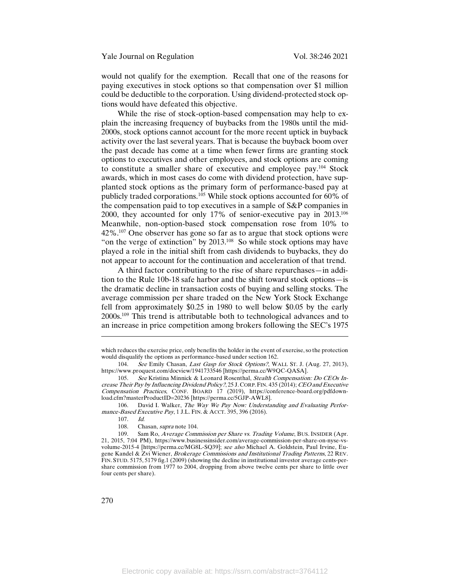would not qualify for the exemption. Recall that one of the reasons for paying executives in stock options so that compensation over \$1 million could be deductible to the corporation. Using dividend-protected stock options would have defeated this objective.

While the rise of stock-option-based compensation may help to explain the increasing frequency of buybacks from the 1980s until the mid-2000s, stock options cannot account for the more recent uptick in buyback activity over the last several years. That is because the buyback boom over the past decade has come at a time when fewer firms are granting stock options to executives and other employees, and stock options are coming to constitute a smaller share of executive and employee pay.104 Stock awards, which in most cases do come with dividend protection, have supplanted stock options as the primary form of performance-based pay at publicly traded corporations.105 While stock options accounted for 60% of the compensation paid to top executives in a sample of S&P companies in 2000, they accounted for only 17% of senior-executive pay in 2013.106 Meanwhile, non-option-based stock compensation rose from 10% to 42%.107 One observer has gone so far as to argue that stock options were "on the verge of extinction" by 2013.<sup>108</sup> So while stock options may have played a role in the initial shift from cash dividends to buybacks, they do not appear to account for the continuation and acceleration of that trend.

A third factor contributing to the rise of share repurchases—in addition to the Rule 10b-18 safe harbor and the shift toward stock options—is the dramatic decline in transaction costs of buying and selling stocks. The average commission per share traded on the New York Stock Exchange fell from approximately \$0.25 in 1980 to well below \$0.05 by the early 2000s.109 This trend is attributable both to technological advances and to an increase in price competition among brokers following the SEC's 1975

106. David I. Walker, The Way We Pay Now: Understanding and Evaluating Performance-Based Executive Pay, 1 J.L. FIN. & ACCT. 395, 396 (2016).

which reduces the exercise price, only benefits the holder in the event of exercise, so the protection would disqualify the options as performance-based under section 162.

<sup>104.</sup> See Emily Chasan, Last Gasp for Stock Options?, WALL ST. J. (Aug. 27, 2013), https://www.proquest.com/docview/1941733546 [https://perma.cc/W9QC-QASA].

<sup>105.</sup> See Kristina Minnick & Leonard Rosenthal, Stealth Compensation: Do CEOs Increase Their Pay by Influencing Dividend Policy?, 25 J.CORP.FIN. 435 (2014); CEO and Executive Compensation Practices, CONF. BOARD 17 (2019), https://conference-board.org/pdfdownload.cfm?masterProductID=20236 [https://perma.cc/5GJP-AWL8].

<sup>107.</sup> Id.

<sup>108.</sup> Chasan, supra note 104.

<sup>109.</sup> Sam Ro, *Average Commission per Share vs. Trading Volume*, BUS. INSIDER (Apr. 21, 2015, 7:04 PM), https://www.businessinsider.com/average-commission-per-share-on-nyse-vsvolume-2015-4 [https://perma.cc/MG8L-SQ39]; see also Michael A. Goldstein, Paul Irvine, Eugene Kandel & Zvi Wiener, Brokerage Commissions and Institutional Trading Patterns, 22 REV. FIN. STUD. 5175, 5179 fig.1 (2009) (showing the decline in institutional investor average cents-pershare commission from 1977 to 2004, dropping from above twelve cents per share to little over four cents per share).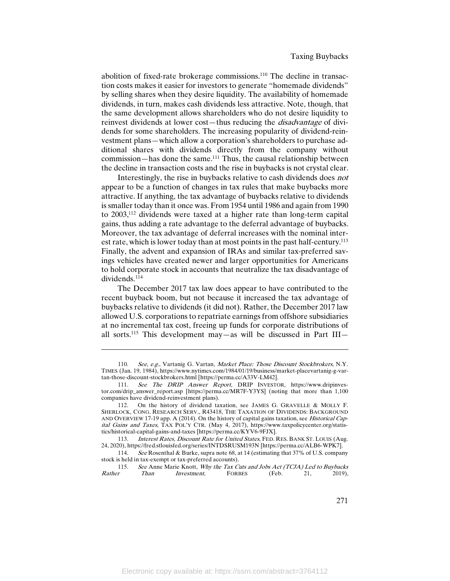abolition of fixed-rate brokerage commissions.110 The decline in transaction costs makes it easier for investors to generate "homemade dividends" by selling shares when they desire liquidity. The availability of homemade dividends, in turn, makes cash dividends less attractive. Note, though, that the same development allows shareholders who do not desire liquidity to reinvest dividends at lower cost—thus reducing the disadvantage of dividends for some shareholders. The increasing popularity of dividend-reinvestment plans—which allow a corporation's shareholders to purchase additional shares with dividends directly from the company without commission—has done the same.111 Thus, the causal relationship between the decline in transaction costs and the rise in buybacks is not crystal clear.

Interestingly, the rise in buybacks relative to cash dividends does not appear to be a function of changes in tax rules that make buybacks more attractive. If anything, the tax advantage of buybacks relative to dividends is smaller today than it once was. From 1954 until 1986 and again from 1990 to 2003,112 dividends were taxed at a higher rate than long-term capital gains, thus adding a rate advantage to the deferral advantage of buybacks. Moreover, the tax advantage of deferral increases with the nominal interest rate, which is lower today than at most points in the past half-century.<sup>113</sup> Finally, the advent and expansion of IRAs and similar tax-preferred savings vehicles have created newer and larger opportunities for Americans to hold corporate stock in accounts that neutralize the tax disadvantage of dividends.<sup>114</sup>

The December 2017 tax law does appear to have contributed to the recent buyback boom, but not because it increased the tax advantage of buybacks relative to dividends (it did not). Rather, the December 2017 law allowed U.S. corporations to repatriate earnings from offshore subsidiaries at no incremental tax cost, freeing up funds for corporate distributions of all sorts.<sup>115</sup> This development may—as will be discussed in Part III—

<sup>110.</sup> See, e.g., Vartanig G. Vartan, *Market Place: Those Discount Stockbrokers*, N.Y. TIMES (Jan. 19, 1984), https://www.nytimes.com/1984/01/19/business/market-placevartanig-g-vartan-those-discount-stockbrokers.html [https://perma.cc/A33V-LM42].

<sup>111.</sup> See The DRIP Answer Report, DRIP INVESTOR, https://www.dripinvestor.com/drip\_answer\_report.asp [https://perma.cc/MR7F-Y3YS] (noting that more than 1,100 companies have dividend-reinvestment plans).

<sup>112.</sup> On the history of dividend taxation, see JAMES G. GRAVELLE & MOLLY F. SHERLOCK, CONG. RESEARCH SERV., R43418, THE TAXATION OF DIVIDENDS: BACKGROUND AND OVERVIEW 17-19 app. A (2014). On the history of capital gains taxation, see Historical Capital Gains and Taxes, TAX POL'Y CTR. (May 4, 2017), https://www.taxpolicycenter.org/statistics/historical-capital-gains-and-taxes [https://perma.cc/KYV6-9FJX].

<sup>113.</sup> Interest Rates, Discount Rate for United States, FED. RES. BANK ST. LOUIS (Aug. 24, 2020), https://fred.stlouisfed.org/series/INTDSRUSM193N [https://perma.cc/ALB6-WPK7].

<sup>114.</sup> See Rosenthal & Burke, supra note 68, at 14 (estimating that 37% of U.S. company stock is held in tax-exempt or tax-preferred accounts).<br>115 See Anne Marie Knott Why the Tax C

<sup>115.</sup> See Anne Marie Knott, *Why the Tax Cuts and Jobs Act (TCJA) Led to Buybacks*<br>Rather Than *Investment* FORBES (Feb. 21. 2019). Rather Than Investment, FORBES (Feb. 21, 2019),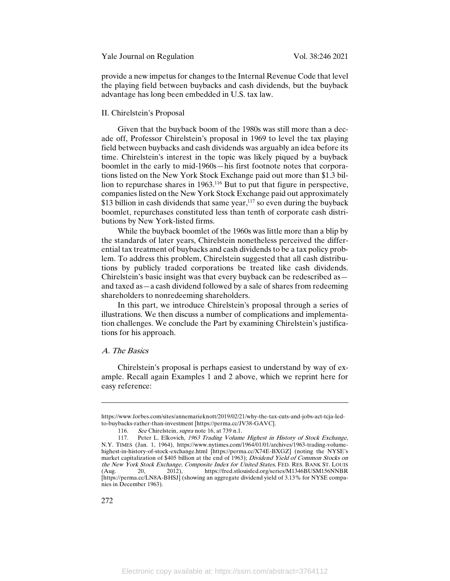provide a new impetus for changes to the Internal Revenue Code that level the playing field between buybacks and cash dividends, but the buyback advantage has long been embedded in U.S. tax law.

# II. Chirelstein's Proposal

Given that the buyback boom of the 1980s was still more than a decade off, Professor Chirelstein's proposal in 1969 to level the tax playing field between buybacks and cash dividends was arguably an idea before its time. Chirelstein's interest in the topic was likely piqued by a buyback boomlet in the early to mid-1960s—his first footnote notes that corporations listed on the New York Stock Exchange paid out more than \$1.3 billion to repurchase shares in 1963.116 But to put that figure in perspective, companies listed on the New York Stock Exchange paid out approximately \$13 billion in cash dividends that same year, $117$  so even during the buyback boomlet, repurchases constituted less than tenth of corporate cash distributions by New York-listed firms.

While the buyback boomlet of the 1960s was little more than a blip by the standards of later years, Chirelstein nonetheless perceived the differential tax treatment of buybacks and cash dividends to be a tax policy problem. To address this problem, Chirelstein suggested that all cash distributions by publicly traded corporations be treated like cash dividends. Chirelstein's basic insight was that every buyback can be redescribed as and taxed as—a cash dividend followed by a sale of shares from redeeming shareholders to nonredeeming shareholders.

In this part, we introduce Chirelstein's proposal through a series of illustrations. We then discuss a number of complications and implementation challenges. We conclude the Part by examining Chirelstein's justifications for his approach.

# A. The Basics

Chirelstein's proposal is perhaps easiest to understand by way of example. Recall again Examples 1 and 2 above, which we reprint here for easy reference:

https://www.forbes.com/sites/annemarieknott/2019/02/21/why-the-tax-cuts-and-jobs-act-tcja-ledto-buybacks-rather-than-investment [https://perma.cc/JV38-GAVC].

<sup>116.</sup> See Chirelstein, *supra* note 16, at 739 n.1.

<sup>117.</sup> Peter L. Elkovich, 1963 Trading Volume Highest in History of Stock Exchange, N.Y. TIMES (Jan. 1, 1964), https://www.nytimes.com/1964/01/01/archives/1963-trading-volumehighest-in-history-of-stock-exchange.html [https://perma.cc/X74E-BXGZ] (noting the NYSE's market capitalization of \$405 billion at the end of 1963); *Dividend Yield of Common Stocks on* the New York Stock Exchange, Composite Index for United States, FED. RES. BANK ST. LOUIS<br>(Aug. 2012) https://fred.stlouisfed.org/series/M1346BUSM156NNBR (Aug. 20, 2012), https://fred.stlouisfed.org/series/M1346BUSM156NNBR [https://perma.cc/LN8A-BHSJ] (showing an aggregate dividend yield of 3.13% for NYSE companies in December 1963).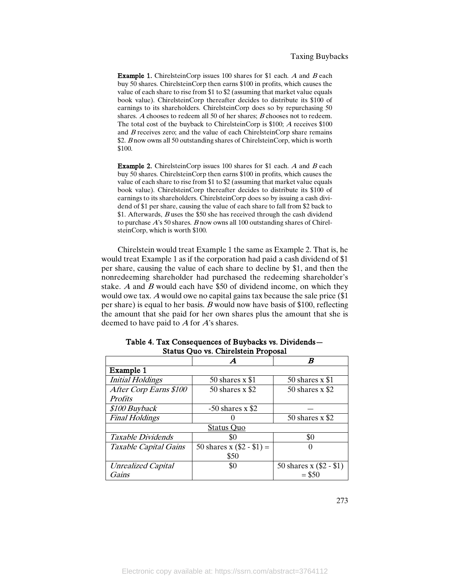Example 1. ChirelsteinCorp issues 100 shares for \$1 each. A and B each buy 50 shares. ChirelsteinCorp then earns \$100 in profits, which causes the value of each share to rise from \$1 to \$2 (assuming that market value equals book value). ChirelsteinCorp thereafter decides to distribute its \$100 of earnings to its shareholders. ChirelsteinCorp does so by repurchasing 50 shares. A chooses to redeem all 50 of her shares; B chooses not to redeem. The total cost of the buyback to ChirelsteinCorp is \$100; <sup>A</sup> receives \$100 and  $B$  receives zero; and the value of each ChirelsteinCorp share remains \$2. B now owns all 50 outstanding shares of ChirelsteinCorp, which is worth \$100.

Example 2. ChirelsteinCorp issues 100 shares for \$1 each. A and B each buy 50 shares. ChirelsteinCorp then earns \$100 in profits, which causes the value of each share to rise from \$1 to \$2 (assuming that market value equals book value). ChirelsteinCorp thereafter decides to distribute its \$100 of earnings to its shareholders. ChirelsteinCorp does so by issuing a cash dividend of \$1 per share, causing the value of each share to fall from \$2 back to \$1. Afterwards, <sup>B</sup> uses the \$50 she has received through the cash dividend to purchase  $A$ 's 50 shares. B now owns all 100 outstanding shares of ChirelsteinCorp, which is worth \$100.

Chirelstein would treat Example 1 the same as Example 2. That is, he would treat Example 1 as if the corporation had paid a cash dividend of \$1 per share, causing the value of each share to decline by \$1, and then the nonredeeming shareholder had purchased the redeeming shareholder's stake. A and  $\hat{B}$  would each have \$50 of dividend income, on which they would owe tax. <sup>A</sup> would owe no capital gains tax because the sale price (\$1 per share) is equal to her basis. B would now have basis of \$100, reflecting the amount that she paid for her own shares plus the amount that she is deemed to have paid to <sup>A</sup> for A's shares.

|                           | A                           | B                         |
|---------------------------|-----------------------------|---------------------------|
| Example 1                 |                             |                           |
| <b>Initial Holdings</b>   | 50 shares $x$ \$1           | 50 shares $x$ \$1         |
| After Corp Earns \$100    | 50 shares $x$ \$2           | 50 shares $x$ \$2         |
| <b>Profits</b>            |                             |                           |
| \$100 Buyback             | $-50$ shares x \$2          |                           |
| <b>Final Holdings</b>     |                             | 50 shares $x$ \$2         |
|                           | Status Quo                  |                           |
| Taxable Dividends         | \$0                         | \$0                       |
| Taxable Capital Gains     | 50 shares x $(\$2 - \$1) =$ |                           |
|                           | \$50                        |                           |
| <b>Unrealized Capital</b> | \$0                         | 50 shares x $(\$2 - \$1)$ |
| Gains                     |                             | $= $50$                   |

Table 4. Tax Consequences of Buybacks vs. Dividends— Status Quo vs. Chirelstein Proposal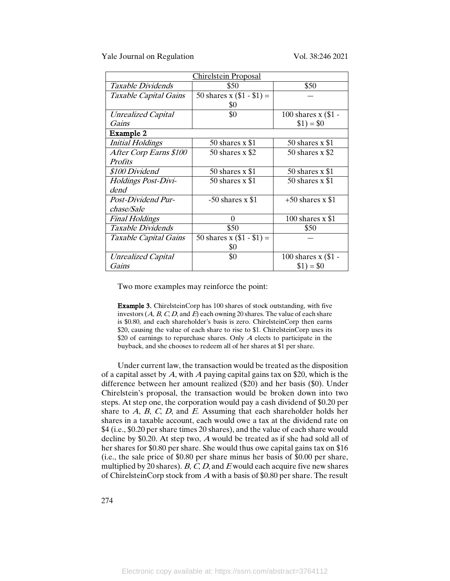Yale Journal on Regulation Vol. 38:246 2021

| <b>Chirelstein Proposal</b> |                             |                       |  |  |  |
|-----------------------------|-----------------------------|-----------------------|--|--|--|
| Taxable Dividends           | \$50                        | \$50                  |  |  |  |
| Taxable Capital Gains       | 50 shares x $(\$1 - \$1) =$ |                       |  |  |  |
|                             | \$0                         |                       |  |  |  |
| <b>Unrealized Capital</b>   | \$0                         | 100 shares $x$ (\$1 - |  |  |  |
| Gains                       |                             | $$1) = $0$            |  |  |  |
| Example 2                   |                             |                       |  |  |  |
| <b>Initial Holdings</b>     | 50 shares $x$ \$1           | 50 shares $x$ \$1     |  |  |  |
| After Corp Earns \$100      | 50 shares $x$ \$2           | 50 shares $x$ \$2     |  |  |  |
| <i>Profits</i>              |                             |                       |  |  |  |
| \$100 Dividend              | 50 shares $x$ \$1           | 50 shares $x$ \$1     |  |  |  |
| Holdings Post-Divi-         | 50 shares $x$ \$1           | 50 shares $x$ \$1     |  |  |  |
| dend                        |                             |                       |  |  |  |
| Post-Dividend Pur-          | $-50$ shares x \$1          | $+50$ shares x \$1    |  |  |  |
| chase/Sale                  |                             |                       |  |  |  |
| <b>Final Holdings</b>       | $\Omega$                    | 100 shares $x$ \$1    |  |  |  |
| Taxable Dividends           | \$50                        | \$50                  |  |  |  |
| Taxable Capital Gains       | 50 shares x $(\$1 - \$1) =$ |                       |  |  |  |
|                             | \$0                         |                       |  |  |  |
| Unrealized Capital          | \$0                         | 100 shares $x$ (\$1 - |  |  |  |
| Gains                       |                             | $$1) = $0$            |  |  |  |

Two more examples may reinforce the point:

Example 3. ChirelsteinCorp has 100 shares of stock outstanding, with five investors  $(A, B, C, D, A)$  and  $E$ ) each owning 20 shares. The value of each share is \$0.80, and each shareholder's basis is zero. ChirelsteinCorp then earns \$20, causing the value of each share to rise to \$1. ChirelsteinCorp uses its \$20 of earnings to repurchase shares. Only  $A$  elects to participate in the buyback, and she chooses to redeem all of her shares at \$1 per share.

Under current law, the transaction would be treated as the disposition of a capital asset by  $A$ , with  $A$  paying capital gains tax on \$20, which is the difference between her amount realized (\$20) and her basis (\$0). Under Chirelstein's proposal, the transaction would be broken down into two steps. At step one, the corporation would pay a cash dividend of \$0.20 per share to  $A$ ,  $B$ ,  $C$ ,  $D$ , and  $E$ . Assuming that each shareholder holds her shares in a taxable account, each would owe a tax at the dividend rate on \$4 (i.e., \$0.20 per share times 20 shares), and the value of each share would decline by \$0.20. At step two, <sup>A</sup> would be treated as if she had sold all of her shares for \$0.80 per share. She would thus owe capital gains tax on \$16 (i.e., the sale price of \$0.80 per share minus her basis of \$0.00 per share, multiplied by 20 shares).  $B, C, D$ , and  $E$  would each acquire five new shares of ChirelsteinCorp stock from <sup>A</sup> with a basis of \$0.80 per share. The result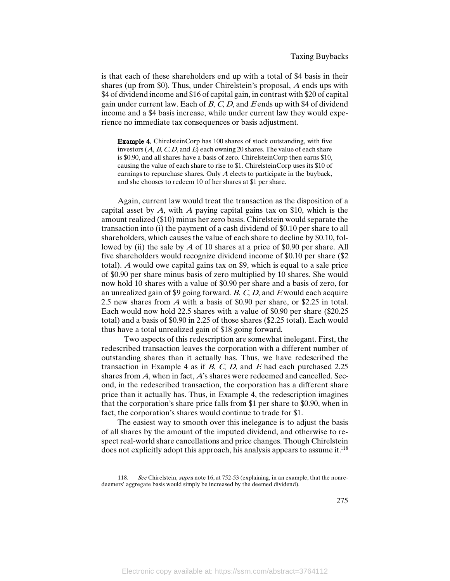is that each of these shareholders end up with a total of \$4 basis in their shares (up from \$0). Thus, under Chirelstein's proposal, A ends ups with \$4 of dividend income and \$16 of capital gain, in contrast with \$20 of capital gain under current law. Each of  $B, C, D$ , and  $E$  ends up with \$4 of dividend income and a \$4 basis increase, while under current law they would experience no immediate tax consequences or basis adjustment.

Example 4. ChirelsteinCorp has 100 shares of stock outstanding, with five investors  $(A, B, C, D, A)$  and  $E$ ) each owning 20 shares. The value of each share is \$0.90, and all shares have a basis of zero. ChirelsteinCorp then earns \$10, causing the value of each share to rise to \$1. ChirelsteinCorp uses its \$10 of earnings to repurchase shares. Only <sup>A</sup> elects to participate in the buyback, and she chooses to redeem 10 of her shares at \$1 per share.

Again, current law would treat the transaction as the disposition of a capital asset by  $A$ , with  $A$  paying capital gains tax on \$10, which is the amount realized (\$10) minus her zero basis. Chirelstein would separate the transaction into (i) the payment of a cash dividend of \$0.10 per share to all shareholders, which causes the value of each share to decline by \$0.10, followed by (ii) the sale by  $\overline{A}$  of 10 shares at a price of \$0.90 per share. All five shareholders would recognize dividend income of \$0.10 per share (\$2 total). <sup>A</sup> would owe capital gains tax on \$9, which is equal to a sale price of \$0.90 per share minus basis of zero multiplied by 10 shares. She would now hold 10 shares with a value of \$0.90 per share and a basis of zero, for an unrealized gain of \$9 going forward.  $B, C, D$ , and E would each acquire 2.5 new shares from <sup>A</sup> with a basis of \$0.90 per share, or \$2.25 in total. Each would now hold 22.5 shares with a value of \$0.90 per share (\$20.25 total) and a basis of \$0.90 in 2.25 of those shares (\$2.25 total). Each would thus have a total unrealized gain of \$18 going forward.

Two aspects of this redescription are somewhat inelegant. First, the redescribed transaction leaves the corporation with a different number of outstanding shares than it actually has. Thus, we have redescribed the transaction in Example 4 as if  $B$ ,  $C$ ,  $D$ , and  $E$  had each purchased 2.25 shares from A, when in fact, A's shares were redeemed and cancelled. Second, in the redescribed transaction, the corporation has a different share price than it actually has. Thus, in Example 4, the redescription imagines that the corporation's share price falls from \$1 per share to \$0.90, when in fact, the corporation's shares would continue to trade for \$1.

The easiest way to smooth over this inelegance is to adjust the basis of all shares by the amount of the imputed dividend, and otherwise to respect real-world share cancellations and price changes. Though Chirelstein does not explicitly adopt this approach, his analysis appears to assume it.<sup>118</sup>

<sup>118.</sup> See Chirelstein, *supra* note 16, at 752-53 (explaining, in an example, that the nonredeemers' aggregate basis would simply be increased by the deemed dividend).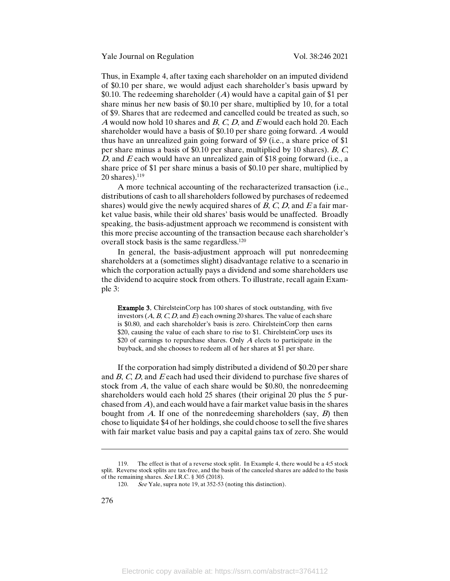Thus, in Example 4, after taxing each shareholder on an imputed dividend of \$0.10 per share, we would adjust each shareholder's basis upward by \$0.10. The redeeming shareholder  $(A)$  would have a capital gain of \$1 per share minus her new basis of \$0.10 per share, multiplied by 10, for a total of \$9. Shares that are redeemed and cancelled could be treated as such, so A would now hold 10 shares and  $B$ ,  $C$ ,  $D$ , and  $E$  would each hold 20. Each shareholder would have a basis of \$0.10 per share going forward. A would thus have an unrealized gain going forward of \$9 (i.e., a share price of \$1 per share minus a basis of \$0.10 per share, multiplied by 10 shares). B, C, D, and  $E$  each would have an unrealized gain of \$18 going forward (i.e., a share price of \$1 per share minus a basis of \$0.10 per share, multiplied by  $20$  shares). $119$ 

A more technical accounting of the recharacterized transaction (i.e., distributions of cash to all shareholders followed by purchases of redeemed shares) would give the newly acquired shares of  $B$ ,  $C$ ,  $D$ , and  $E$  a fair market value basis, while their old shares' basis would be unaffected. Broadly speaking, the basis-adjustment approach we recommend is consistent with this more precise accounting of the transaction because each shareholder's overall stock basis is the same regardless.<sup>120</sup>

In general, the basis-adjustment approach will put nonredeeming shareholders at a (sometimes slight) disadvantage relative to a scenario in which the corporation actually pays a dividend and some shareholders use the dividend to acquire stock from others. To illustrate, recall again Example 3:

Example 3. ChirelsteinCorp has 100 shares of stock outstanding, with five investors  $(A, B, C, D, A)$  and  $E$  each owning 20 shares. The value of each share is \$0.80, and each shareholder's basis is zero. ChirelsteinCorp then earns \$20, causing the value of each share to rise to \$1. ChirelsteinCorp uses its \$20 of earnings to repurchase shares. Only  $A$  elects to participate in the buyback, and she chooses to redeem all of her shares at \$1 per share.

If the corporation had simply distributed a dividend of \$0.20 per share and B, C, D, and <sup>E</sup> each had used their dividend to purchase five shares of stock from  $A$ , the value of each share would be \$0.80, the nonredeeming shareholders would each hold 25 shares (their original 20 plus the 5 purchased from  $\vec{A}$ ), and each would have a fair market value basis in the shares bought from A. If one of the nonredeeming shareholders (say,  $B$ ) then chose to liquidate \$4 of her holdings, she could choose to sell the five shares with fair market value basis and pay a capital gains tax of zero. She would

<sup>119.</sup> The effect is that of a reverse stock split. In Example 4, there would be a 4:5 stock split. Reverse stock splits are tax-free, and the basis of the canceled shares are added to the basis of the remaining shares. See I.R.C. § 305 (2018).

<sup>120.</sup> See Yale, supra note 19, at 352-53 (noting this distinction).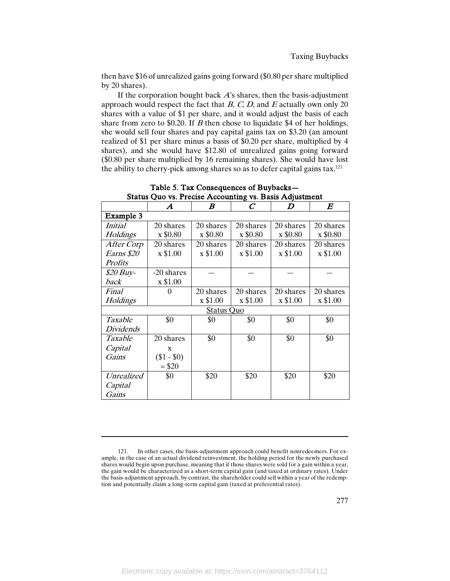then have \$16 of unrealized gains going forward (\$0.80 per share multiplied by 20 shares).

If the corporation bought back  $A$ 's shares, then the basis-adjustment approach would respect the fact that  $B$ ,  $C$ ,  $D$ , and  $E$  actually own only 20 shares with a value of \$1 per share, and it would adjust the basis of each share from zero to \$0.20. If  $B$  then chose to liquidate \$4 of her holdings, she would sell four shares and pay capital gains tax on \$3.20 (an amount realized of \$1 per share minus a basis of \$0.20 per share, multiplied by 4 shares), and she would have \$12.80 of unrealized gains going forward (\$0.80 per share multiplied by 16 remaining shares). She would have lost the ability to cherry-pick among shares so as to defer capital gains tax.<sup>121</sup>

|                         | $\boldsymbol{A}$ | $\boldsymbol{B}$  | $\overline{C}$ | $\boldsymbol{D}$ | $\bm E$   |
|-------------------------|------------------|-------------------|----------------|------------------|-----------|
| Example 3               |                  |                   |                |                  |           |
| <i>Initial</i>          | 20 shares        | 20 shares         | 20 shares      | 20 shares        | 20 shares |
| Holdings                | x \$0.80         | x \$0.80          | x \$0.80       | x \$0.80         | x \$0.80  |
| After Corp              | 20 shares        | 20 shares         | 20 shares      | 20 shares        | 20 shares |
| Earns \$20              | x \$1.00         | x \$1.00          | x \$1.00       | x \$1.00         | x \$1.00  |
| <i>Profits</i>          |                  |                   |                |                  |           |
| <i><b>\$20 Buy-</b></i> | -20 shares       |                   |                |                  |           |
| back                    | x \$1.00         |                   |                |                  |           |
| Final                   | $\theta$         | 20 shares         | 20 shares      | 20 shares        | 20 shares |
| Holdings                |                  | x \$1.00          | x \$1.00       | x \$1.00         | x \$1.00  |
|                         |                  | <b>Status Quo</b> |                |                  |           |
| Taxable                 | \$0              | \$0               | \$0            | \$0              | \$0       |
| <i>Dividends</i>        |                  |                   |                |                  |           |
| Taxable                 | 20 shares        | \$0               | \$0            | \$0              | \$0       |
| Capital                 | X                |                   |                |                  |           |
| Gains                   | $(\$1 - \$0)$    |                   |                |                  |           |
|                         | $= $20$          |                   |                |                  |           |
| Unrealized              | \$0              | \$20              | \$20           | \$20             | \$20      |
| Capital                 |                  |                   |                |                  |           |
| Gains                   |                  |                   |                |                  |           |

Table 5. Tax Consequences of Buybacks— Status Quo vs. Precise Accounting vs. Basis Adjustment

<sup>121.</sup> In other cases, the basis-adjustment approach could benefit nonredeemers. For example, in the case of an actual dividend reinvestment, the holding period for the newly purchased shares would begin upon purchase, meaning that if those shares were sold for a gain within a year, the gain would be characterized as a short-term capital gain (and taxed at ordinary rates). Under the basis-adjustment approach, by contrast, the shareholder could sell within a year of the redemption and potentially claim a long-term capital gain (taxed at preferential rates).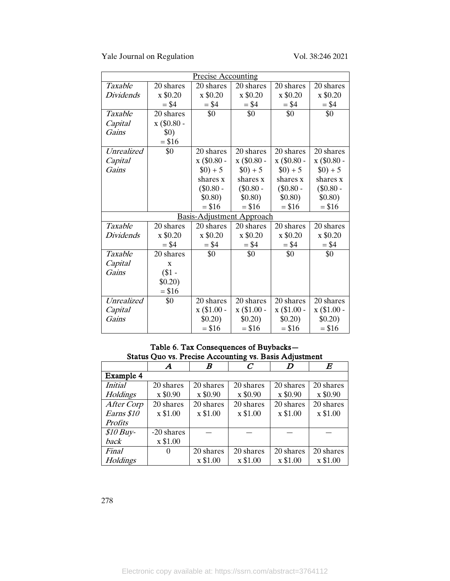Yale Journal on Regulation Vol. 38:246 2021

|                  |             | <b>Precise Accounting</b>        |               |               |               |
|------------------|-------------|----------------------------------|---------------|---------------|---------------|
| Taxable          | 20 shares   | 20 shares                        | 20 shares     | 20 shares     | 20 shares     |
| <b>Dividends</b> | x \$0.20    | x \$0.20                         | x \$0.20      | x \$0.20      | x \$0.20      |
|                  | $= $4$      | $= $4$                           | $= $4$        | $= $4$        | $= $4$        |
| Taxable          | 20 shares   | \$0                              | \$0           | \$0           | \$0           |
| Capital          | x (\$0.80 - |                                  |               |               |               |
| Gains            | \$0)        |                                  |               |               |               |
|                  | $= $16$     |                                  |               |               |               |
| Unrealized       | \$0         | 20 shares                        | 20 shares     | 20 shares     | 20 shares     |
| Capital          |             | x (\$0.80 -                      | x (\$0.80 -   | x (\$0.80 -   | x (\$0.80 -   |
| Gains            |             | $(1) + 5$                        | $(1) + 5$     | $(1) + 5$     | $$0) + 5$     |
|                  |             | shares x                         | shares x      | shares x      | shares x      |
|                  |             | $(\$0.80 -$                      | $(\$0.80 -$   | $(\$0.80 -$   | $(\$0.80 -$   |
|                  |             | \$0.80)                          | \$0.80)       | \$0.80)       | \$0.80)       |
|                  |             | $= $16$                          | $= $16$       | $= $16$       | $= $16$       |
|                  |             | <b>Basis-Adjustment Approach</b> |               |               |               |
| Taxable          | 20 shares   | 20 shares                        | 20 shares     | 20 shares     | 20 shares     |
| <i>Dividends</i> | x \$0.20    | x \$0.20                         | x \$0.20      | x \$0.20      | x \$0.20      |
|                  | $= $4$      | $= $4$                           | $= $4$        | $= $4$        | $= $4$        |
| Taxable          | 20 shares   | \$0                              | \$0           | \$0           | \$0           |
| Capital          | X           |                                  |               |               |               |
| Gains            | $($1 -$     |                                  |               |               |               |
|                  | \$0.20)     |                                  |               |               |               |
|                  | $= $16$     |                                  |               |               |               |
| Unrealized       | \$0         | 20 shares                        | 20 shares     | 20 shares     | 20 shares     |
| Capital          |             | $x$ (\$1.00 -                    | $x$ (\$1.00 - | $x$ (\$1.00 - | $x$ (\$1.00 - |
| Gains            |             | \$0.20)                          | \$0.20)       | \$0.20)       | \$0.20)       |
|                  |             | $= $16$                          | $= $16$       | $= $16$       | $= $16$       |

Table 6. Tax Consequences of Buybacks— Status Quo vs. Precise Accounting vs. Basis Adjustment

|                 | Α          | B         | $\mathcal C$ | D         | $\bm E$   |
|-----------------|------------|-----------|--------------|-----------|-----------|
| Example 4       |            |           |              |           |           |
| <i>Initial</i>  | 20 shares  | 20 shares | 20 shares    | 20 shares | 20 shares |
| Holdings        | x \$0.90   | x \$0.90  | x \$0.90     | x \$0.90  | x \$0.90  |
| After Corp      | 20 shares  | 20 shares | 20 shares    | 20 shares | 20 shares |
| Earns \$10      | x \$1.00   | x \$1.00  | x \$1.00     | x \$1.00  | x \$1.00  |
| <b>Profits</b>  |            |           |              |           |           |
| $$10$ Buy-      | -20 shares |           |              |           |           |
| back            | x \$1.00   |           |              |           |           |
| Final           | $\theta$   | 20 shares | 20 shares    | 20 shares | 20 shares |
| <b>Holdings</b> |            | x \$1.00  | x \$1.00     | x \$1.00  | x \$1.00  |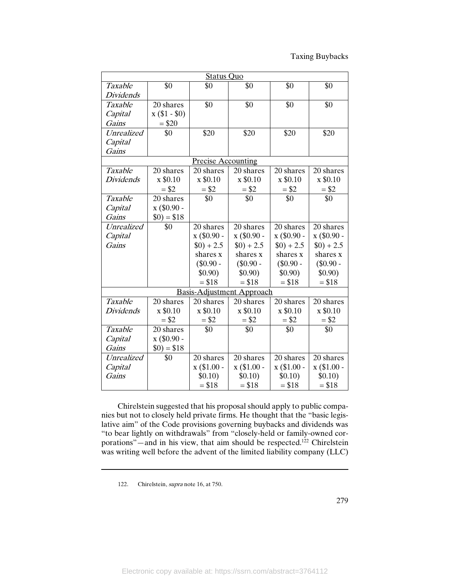|                   | <b>Status Ouo</b>      |                           |                           |               |               |
|-------------------|------------------------|---------------------------|---------------------------|---------------|---------------|
| Taxable           | \$0                    | \$0                       | \$0                       | \$0           | \$0           |
| Dividends         |                        |                           |                           |               |               |
| Taxable           | 20 shares              | \$0                       | \$0                       | \$0           | \$0           |
| Capital           | $x($ \$1 - \$0)        |                           |                           |               |               |
| Gains             | $= $20$                |                           |                           |               |               |
| Unrealized        | \$0                    | \$20                      | \$20                      | \$20          | \$20          |
| Capital           |                        |                           |                           |               |               |
| Gains             |                        |                           |                           |               |               |
|                   |                        | <b>Precise Accounting</b> |                           |               |               |
| Taxable           | $\overline{20}$ shares | 20 shares                 | 20 shares                 | 20 shares     | 20 shares     |
| <b>Dividends</b>  | x \$0.10               | x \$0.10                  | x \$0.10                  | x \$0.10      | x \$0.10      |
|                   | $= $2$                 | $= $2$                    | $= $2$                    | $= $2$        | $= $2$        |
| Taxable           | 20 shares              | \$0                       | \$0                       | \$0           | \$0           |
| Capital           | x (\$0.90 -            |                           |                           |               |               |
| Gains             | $$0) = $18$            |                           |                           |               |               |
| <b>Unrealized</b> | \$0                    | 20 shares                 | 20 shares                 | 20 shares     | 20 shares     |
| Capital           |                        | $x$ (\$0.90 -             | x (\$0.90 -               | $x$ (\$0.90 - | $x$ (\$0.90 - |
| Gains             |                        | $$0) + 2.5$               | $$0) + 2.5$               | $(9) + 2.5$   | $$0) + 2.5$   |
|                   |                        | shares x                  | shares x                  | shares x      | shares x      |
|                   |                        | $(\$0.90 -$               | $(\$0.90 -$               | $(\$0.90 -$   | $(\$0.90 -$   |
|                   |                        | \$0.90)                   | \$0.90)                   | \$0.90)       | \$0.90)       |
|                   |                        | $= $18$                   | $= $18$                   | $= $18$       | $= $18$       |
|                   |                        |                           | Basis-Adjustment Approach |               |               |
| Taxable           | 20 shares              | 20 shares                 | 20 shares                 | 20 shares     | 20 shares     |
| <b>Dividends</b>  | x \$0.10               | x \$0.10                  | x \$0.10                  | x \$0.10      | x \$0.10      |
|                   | $= $2$                 | $= $2$                    | $= $2$                    | $= $2$        | $= $2$        |
| Taxable           | 20 shares              | \$0                       | \$0                       | \$0           | \$0           |
| Capital           | $x$ (\$0.90 -          |                           |                           |               |               |
| Gains             | $$0) = $18$            |                           |                           |               |               |
| Unrealized        | \$0                    | 20 shares                 | 20 shares                 | 20 shares     | 20 shares     |
| Capital           |                        | $x$ (\$1.00 -             | $x$ (\$1.00 -             | $x$ (\$1.00 - | $x$ (\$1.00 - |
| Gains             |                        | \$0.10)                   | \$0.10)                   | \$0.10)       | \$0.10)       |
|                   |                        | $= $18$                   | $= $18$                   | $= $18$       | $= $18$       |

Chirelstein suggested that his proposal should apply to public companies but not to closely held private firms. He thought that the "basic legislative aim" of the Code provisions governing buybacks and dividends was "to bear lightly on withdrawals" from "closely-held or family-owned corporations"—and in his view, that aim should be respected.<sup>122</sup> Chirelstein was writing well before the advent of the limited liability company (LLC)

<sup>122.</sup> Chirelstein, supra note 16, at 750.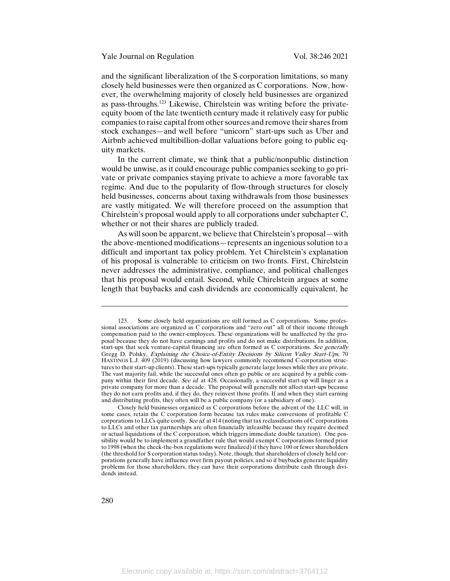and the significant liberalization of the S corporation limitations, so many closely held businesses were then organized as C corporations. Now, however, the overwhelming majority of closely held businesses are organized as pass-throughs.123 Likewise, Chirelstein was writing before the privateequity boom of the late twentieth century made it relatively easy for public companies to raise capital from other sources and remove their shares from stock exchanges—and well before "unicorn" start-ups such as Uber and Airbnb achieved multibillion-dollar valuations before going to public equity markets.

In the current climate, we think that a public/nonpublic distinction would be unwise, as it could encourage public companies seeking to go private or private companies staying private to achieve a more favorable tax regime. And due to the popularity of flow-through structures for closely held businesses, concerns about taxing withdrawals from those businesses are vastly mitigated. We will therefore proceed on the assumption that Chirelstein's proposal would apply to all corporations under subchapter C, whether or not their shares are publicly traded.

As will soon be apparent, we believe that Chirelstein's proposal—with the above-mentioned modifications—represents an ingenious solution to a difficult and important tax policy problem. Yet Chirelstein's explanation of his proposal is vulnerable to criticism on two fronts. First, Chirelstein never addresses the administrative, compliance, and political challenges that his proposal would entail. Second, while Chirelstein argues at some length that buybacks and cash dividends are economically equivalent, he

<sup>123.</sup> Some closely held organizations are still formed as C corporations. Some professional associations are organized as C corporations and "zero out" all of their income through compensation paid to the owner-employees. These organizations will be unaffected by the proposal because they do not have earnings and profits and do not make distributions. In addition, start-ups that seek venture-capital financing are often formed as C corporations. See generally Gregg D. Polsky, Explaining the Choice-of-Entity Decisions by Silicon Valley Start-Ups, 70 HASTINGS L.J. 409 (2019) (discussing how lawyers commonly recommend C-corporation structures to their start-up clients). These start-ups typically generate large losses while they are private. The vast majority fail, while the successful ones often go public or are acquired by a public company within their first decade. See id. at 428. Occasionally, a successful start-up will linger as a private company for more than a decade. The proposal will generally not affect start-ups because they do not earn profits and, if they do, they reinvest those profits. If and when they start earning and distributing profits, they often will be a public company (or a subsidiary of one).

Closely held businesses organized as C corporations before the advent of the LLC will, in some cases, retain the C corporation form because tax rules make conversions of profitable C corporations to LLCs quite costly. See id. at 414 (noting that tax reclassifications of C corporations to LLCs and other tax partnerships are often financially infeasible because they require deemed or actual liquidations of the C corporation, which triggers immediate double taxation). One possibility would be to implement a grandfather rule that would exempt C corporations formed prior to 1998 (when the check-the-box regulations were finalized) if they have 100 or fewer shareholders (the threshold for S corporation status today). Note, though, that shareholders of closely held corporations generally have influence over firm payout policies, and so if buybacks generate liquidity problems for those shareholders, they can have their corporations distribute cash through dividends instead.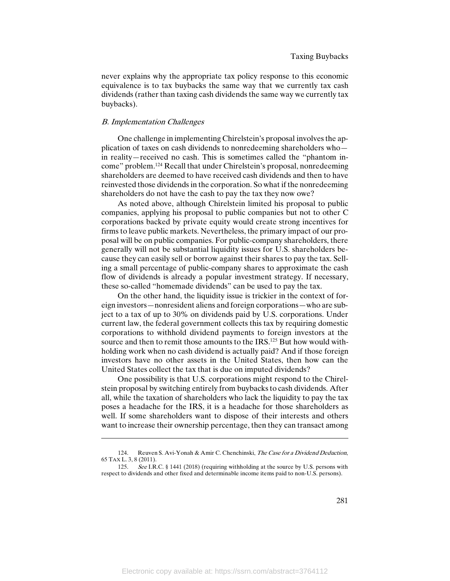never explains why the appropriate tax policy response to this economic equivalence is to tax buybacks the same way that we currently tax cash dividends (rather than taxing cash dividends the same way we currently tax buybacks).

# B. Implementation Challenges

 $\overline{\phantom{a}}$ 

One challenge in implementing Chirelstein's proposal involves the application of taxes on cash dividends to nonredeeming shareholders who in reality—received no cash. This is sometimes called the "phantom income" problem.124 Recall that under Chirelstein's proposal, nonredeeming shareholders are deemed to have received cash dividends and then to have reinvested those dividends in the corporation. So what if the nonredeeming shareholders do not have the cash to pay the tax they now owe?

As noted above, although Chirelstein limited his proposal to public companies, applying his proposal to public companies but not to other C corporations backed by private equity would create strong incentives for firms to leave public markets. Nevertheless, the primary impact of our proposal will be on public companies. For public-company shareholders, there generally will not be substantial liquidity issues for U.S. shareholders because they can easily sell or borrow against their shares to pay the tax. Selling a small percentage of public-company shares to approximate the cash flow of dividends is already a popular investment strategy. If necessary, these so-called "homemade dividends" can be used to pay the tax.

On the other hand, the liquidity issue is trickier in the context of foreign investors—nonresident aliens and foreign corporations—who are subject to a tax of up to 30% on dividends paid by U.S. corporations. Under current law, the federal government collects this tax by requiring domestic corporations to withhold dividend payments to foreign investors at the source and then to remit those amounts to the IRS.<sup>125</sup> But how would withholding work when no cash dividend is actually paid? And if those foreign investors have no other assets in the United States, then how can the United States collect the tax that is due on imputed dividends?

One possibility is that U.S. corporations might respond to the Chirelstein proposal by switching entirely from buybacks to cash dividends. After all, while the taxation of shareholders who lack the liquidity to pay the tax poses a headache for the IRS, it is a headache for those shareholders as well. If some shareholders want to dispose of their interests and others want to increase their ownership percentage, then they can transact among

<sup>124.</sup> Reuven S. Avi-Yonah & Amir C. Chenchinski, *The Case for a Dividend Deduction*, 65 TAX L. 3, 8 (2011).

<sup>125.</sup> See I.R.C. § 1441 (2018) (requiring withholding at the source by U.S. persons with respect to dividends and other fixed and determinable income items paid to non-U.S. persons).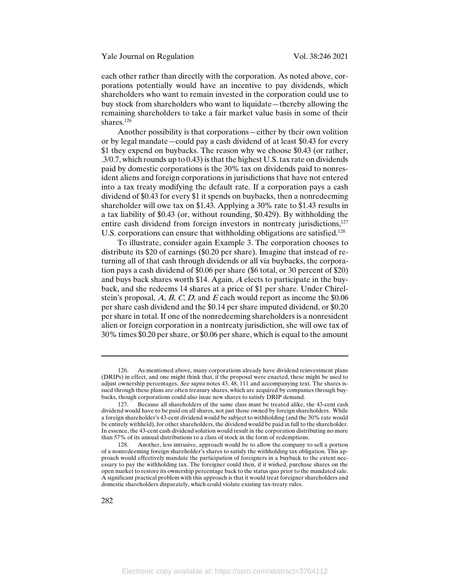each other rather than directly with the corporation. As noted above, corporations potentially would have an incentive to pay dividends, which shareholders who want to remain invested in the corporation could use to buy stock from shareholders who want to liquidate—thereby allowing the remaining shareholders to take a fair market value basis in some of their shares.<sup>126</sup>

Another possibility is that corporations—either by their own volition or by legal mandate—could pay a cash dividend of at least \$0.43 for every \$1 they expend on buybacks. The reason why we choose \$0.43 (or rather, .3/0.7, which rounds up to 0.43) is that the highest U.S. tax rate on dividends paid by domestic corporations is the 30% tax on dividends paid to nonresident aliens and foreign corporations in jurisdictions that have not entered into a tax treaty modifying the default rate. If a corporation pays a cash dividend of \$0.43 for every \$1 it spends on buybacks, then a nonredeeming shareholder will owe tax on \$1.43. Applying a 30% rate to \$1.43 results in a tax liability of \$0.43 (or, without rounding, \$0.429). By withholding the entire cash dividend from foreign investors in nontreaty jurisdictions,<sup>127</sup> U.S. corporations can ensure that withholding obligations are satisfied.<sup>128</sup>

To illustrate, consider again Example 3. The corporation chooses to distribute its \$20 of earnings (\$0.20 per share). Imagine that instead of returning all of that cash through dividends or all via buybacks, the corporation pays a cash dividend of \$0.06 per share (\$6 total, or 30 percent of \$20) and buys back shares worth \$14. Again, <sup>A</sup> elects to participate in the buyback, and she redeems 14 shares at a price of \$1 per share. Under Chirelstein's proposal,  $A$ ,  $B$ ,  $C$ ,  $D$ , and  $E$  each would report as income the \$0.06 per share cash dividend and the \$0.14 per share imputed dividend, or \$0.20 per share in total. If one of the nonredeeming shareholders is a nonresident alien or foreign corporation in a nontreaty jurisdiction, she will owe tax of 30% times \$0.20 per share, or \$0.06 per share, which is equal to the amount

<sup>126.</sup> As mentioned above, many corporations already have dividend reinvestment plans (DRIPs) in effect, and one might think that, if the proposal were enacted, these might be used to adjust ownership percentages. See supra notes 43, 48, 111 and accompanying text. The shares issued through these plans are often treasury shares, which are acquired by companies through buybacks, though corporations could also issue new shares to satisfy DRIP demand.

<sup>127.</sup> Because all shareholders of the same class must be treated alike, the 43-cent cash dividend would have to be paid on all shares, not just those owned by foreign shareholders. While a foreign shareholder's 43-cent dividend would be subject to withholding (and the 30% rate would be entirely withheld), for other shareholders, the dividend would be paid in full to the shareholder. In essence, the 43-cent cash dividend solution would result in the corporation distributing no more than 57% of its annual distributions to a class of stock in the form of redemptions.

<sup>128.</sup> Another, less intrusive, approach would be to allow the company to sell a portion of a nonredeeming foreign shareholder's shares to satisfy the withholding tax obligation. This approach would effectively mandate the participation of foreigners in a buyback to the extent necessary to pay the withholding tax. The foreigner could then, if it wished, purchase shares on the open market to restore its ownership percentage back to the status quo prior to the mandated sale. A significant practical problem with this approach is that it would treat foreigner shareholders and domestic shareholders disparately, which could violate existing tax-treaty rules.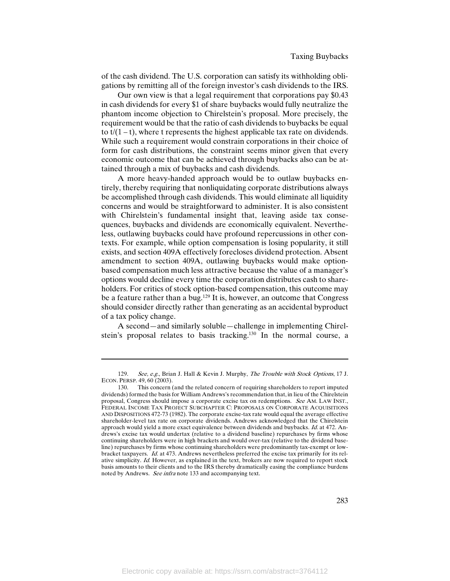of the cash dividend. The U.S. corporation can satisfy its withholding obligations by remitting all of the foreign investor's cash dividends to the IRS.

Our own view is that a legal requirement that corporations pay \$0.43 in cash dividends for every \$1 of share buybacks would fully neutralize the phantom income objection to Chirelstein's proposal. More precisely, the requirement would be that the ratio of cash dividends to buybacks be equal to  $t/(1-t)$ , where t represents the highest applicable tax rate on dividends. While such a requirement would constrain corporations in their choice of form for cash distributions, the constraint seems minor given that every economic outcome that can be achieved through buybacks also can be attained through a mix of buybacks and cash dividends.

A more heavy-handed approach would be to outlaw buybacks entirely, thereby requiring that nonliquidating corporate distributions always be accomplished through cash dividends. This would eliminate all liquidity concerns and would be straightforward to administer. It is also consistent with Chirelstein's fundamental insight that, leaving aside tax consequences, buybacks and dividends are economically equivalent. Nevertheless, outlawing buybacks could have profound repercussions in other contexts. For example, while option compensation is losing popularity, it still exists, and section 409A effectively forecloses dividend protection. Absent amendment to section 409A, outlawing buybacks would make optionbased compensation much less attractive because the value of a manager's options would decline every time the corporation distributes cash to shareholders. For critics of stock option-based compensation, this outcome may be a feature rather than a bug.129 It is, however, an outcome that Congress should consider directly rather than generating as an accidental byproduct of a tax policy change.

A second—and similarly soluble—challenge in implementing Chirelstein's proposal relates to basis tracking.130 In the normal course, a

<sup>129.</sup> See, e.g., Brian J. Hall & Kevin J. Murphy, The Trouble with Stock Options, 17 J. ECON. PERSP. 49, 60 (2003).

<sup>130.</sup> This concern (and the related concern of requiring shareholders to report imputed dividends) formed the basis for William Andrews's recommendation that, in lieu of the Chirelstein proposal, Congress should impose a corporate excise tax on redemptions. See AM. LAW INST., FEDERAL INCOME TAX PROJECT SUBCHAPTER C: PROPOSALS ON CORPORATE ACQUISITIONS AND DISPOSITIONS 472-73 (1982). The corporate excise-tax rate would equal the average effective shareholder-level tax rate on corporate dividends. Andrews acknowledged that the Chirelstein approach would yield a more exact equivalence between dividends and buybacks. Id. at 472. Andrews's excise tax would undertax (relative to a dividend baseline) repurchases by firms whose continuing shareholders were in high brackets and would over-tax (relative to the dividend baseline) repurchases by firms whose continuing shareholders were predominantly tax-exempt or lowbracket taxpayers. Id. at 473. Andrews nevertheless preferred the excise tax primarily for its relative simplicity. Id. However, as explained in the text, brokers are now required to report stock basis amounts to their clients and to the IRS thereby dramatically easing the compliance burdens noted by Andrews. See infra note 133 and accompanying text.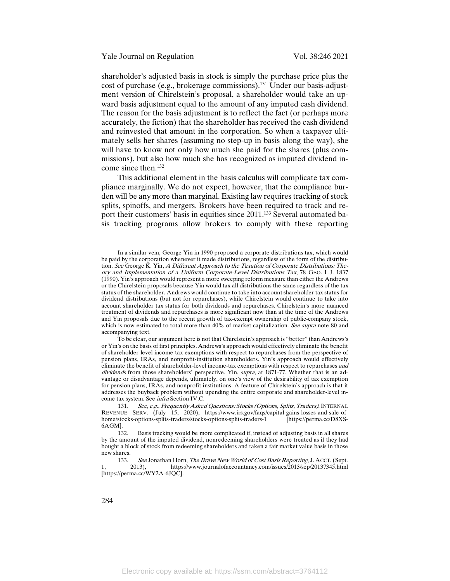shareholder's adjusted basis in stock is simply the purchase price plus the cost of purchase (e.g., brokerage commissions).<sup>131</sup> Under our basis-adjustment version of Chirelstein's proposal, a shareholder would take an upward basis adjustment equal to the amount of any imputed cash dividend. The reason for the basis adjustment is to reflect the fact (or perhaps more accurately, the fiction) that the shareholder has received the cash dividend and reinvested that amount in the corporation. So when a taxpayer ultimately sells her shares (assuming no step-up in basis along the way), she will have to know not only how much she paid for the shares (plus commissions), but also how much she has recognized as imputed dividend income since then.132

This additional element in the basis calculus will complicate tax compliance marginally. We do not expect, however, that the compliance burden will be any more than marginal. Existing law requires tracking of stock splits, spinoffs, and mergers. Brokers have been required to track and report their customers' basis in equities since 2011.<sup>133</sup> Several automated basis tracking programs allow brokers to comply with these reporting

To be clear, our argument here is not that Chirelstein's approach is "better" than Andrews's or Yin's on the basis of first principles. Andrews's approach would effectively eliminate the benefit of shareholder-level income-tax exemptions with respect to repurchases from the perspective of pension plans, IRAs, and nonprofit-institution shareholders. Yin's approach would effectively eliminate the benefit of shareholder-level income-tax exemptions with respect to repurchases and dividends from those shareholders' perspective. Yin, *supra*, at 1871-77. Whether that is an advantage or disadvantage depends, ultimately, on one's view of the desirability of tax exemption for pension plans, IRAs, and nonprofit institutions. A feature of Chirelstein's approach is that it addresses the buyback problem without upending the entire corporate and shareholder-level income tax system. See infra Section IV.C.

In a similar vein, George Yin in 1990 proposed a corporate distributions tax, which would be paid by the corporation whenever it made distributions, regardless of the form of the distribution. See George K. Yin, A Different Approach to the Taxation of Corporate Distributions: Theory and Implementation of a Uniform Corporate-Level Distributions Tax, 78 GEO. L.J. 1837 (1990). Yin's approach would represent a more sweeping reform measure than either the Andrews or the Chirelstein proposals because Yin would tax all distributions the same regardless of the tax status of the shareholder. Andrews would continue to take into account shareholder tax status for dividend distributions (but not for repurchases), while Chirelstein would continue to take into account shareholder tax status for both dividends and repurchases. Chirelstein's more nuanced treatment of dividends and repurchases is more significant now than at the time of the Andrews and Yin proposals due to the recent growth of tax-exempt ownership of public-company stock, which is now estimated to total more than 40% of market capitalization. See supra note 80 and accompanying text.

<sup>131.</sup> See, e.g., Frequently Asked Questions: Stocks (Options, Splits, Traders), INTERNAL REVENUE SERV. (July 15, 2020), https://www.irs.gov/faqs/capital-gains-losses-and-sale-ofhome/stocks-options-splits-traders/stocks-options-splits-traders-1 6AGM].

<sup>132.</sup> Basis tracking would be more complicated if, instead of adjusting basis in all shares by the amount of the imputed dividend, nonredeeming shareholders were treated as if they had bought a block of stock from redeeming shareholders and taken a fair market value basis in those new shares.

<sup>133.</sup> See Jonathan Horn, *The Brave New World of Cost Basis Reporting*, J. ACCT. (Sept. 2013). https://www.journalofaccountancy.com/issues/2013/3ep/20137345.html 1, 2013), https://www.journalofaccountancy.com/issues/2013/sep/20137345.html [https://perma.cc/WY2A-6JQC].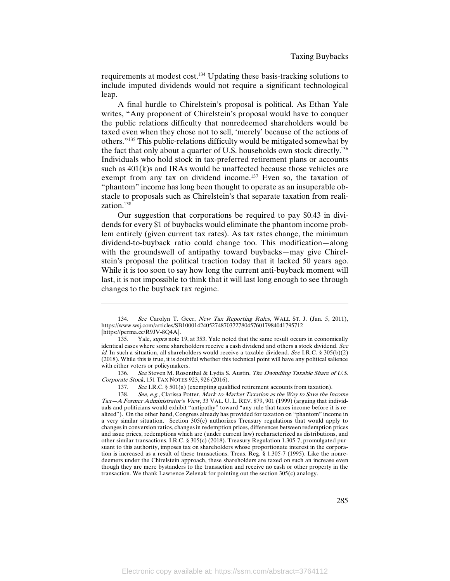requirements at modest cost.134 Updating these basis-tracking solutions to include imputed dividends would not require a significant technological leap.

A final hurdle to Chirelstein's proposal is political. As Ethan Yale writes, "Any proponent of Chirelstein's proposal would have to conquer the public relations difficulty that nonredeemed shareholders would be taxed even when they chose not to sell, 'merely' because of the actions of others."135 This public-relations difficulty would be mitigated somewhat by the fact that only about a quarter of U.S. households own stock directly.136 Individuals who hold stock in tax-preferred retirement plans or accounts such as 401(k)s and IRAs would be unaffected because those vehicles are exempt from any tax on dividend income.<sup>137</sup> Even so, the taxation of "phantom" income has long been thought to operate as an insuperable obstacle to proposals such as Chirelstein's that separate taxation from realization.138

Our suggestion that corporations be required to pay \$0.43 in dividends for every \$1 of buybacks would eliminate the phantom income problem entirely (given current tax rates). As tax rates change, the minimum dividend-to-buyback ratio could change too. This modification—along with the groundswell of antipathy toward buybacks—may give Chirelstein's proposal the political traction today that it lacked 50 years ago. While it is too soon to say how long the current anti-buyback moment will last, it is not impossible to think that it will last long enough to see through changes to the buyback tax regime.

<sup>134.</sup> See Carolyn T. Geer, New Tax Reporting Rules, WALL ST. J. (Jan. 5, 2011), https://www.wsj.com/articles/SB10001424052748703727804576017984041795712 [https://perma.cc/R9JV-8Q4A].<br>135. Yale *supra* note

Yale, *supra* note 19, at 353. Yale noted that the same result occurs in economically identical cases where some shareholders receive a cash dividend and others a stock dividend. See id. In such a situation, all shareholders would receive a taxable dividend. See I.R.C. § 305(b)(2) (2018). While this is true, it is doubtful whether this technical point will have any political salience with either voters or policymakers.

<sup>136.</sup> See Steven M. Rosenthal & Lydia S. Austin, The Dwindling Taxable Share of U.S. Corporate Stock, 151 TAX NOTES 923, 926 (2016).

<sup>137.</sup> See I.R.C. § 501(a) (exempting qualified retirement accounts from taxation).

<sup>138.</sup> See, e.g., Clarissa Potter, Mark-to-Market Taxation as the Way to Save the Income Tax—A Former Administrator's View, 33 VAL. U. L. REV. 879, 901 (1999) (arguing that individuals and politicians would exhibit "antipathy" toward "any rule that taxes income before it is realized"). On the other hand, Congress already has provided for taxation on "phantom" income in a very similar situation. Section 305(c) authorizes Treasury regulations that would apply to changes in conversion ratios, changes in redemption prices, differences between redemption prices and issue prices, redemptions which are (under current law) recharacterized as distributions, and other similar transactions. I.R.C. § 305(c) (2018). Treasury Regulation 1.305-7, promulgated pursuant to this authority, imposes tax on shareholders whose proportionate interest in the corporation is increased as a result of these transactions. Treas. Reg. § 1.305-7 (1995). Like the nonredeemers under the Chirelstein approach, these shareholders are taxed on such an increase even though they are mere bystanders to the transaction and receive no cash or other property in the transaction. We thank Lawrence Zelenak for pointing out the section 305(c) analogy.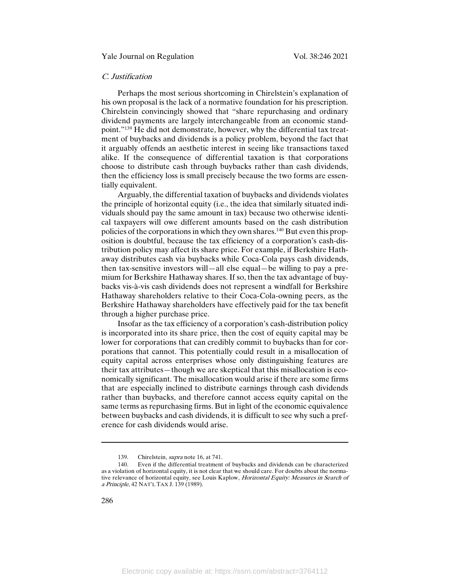# C. Justification

Perhaps the most serious shortcoming in Chirelstein's explanation of his own proposal is the lack of a normative foundation for his prescription. Chirelstein convincingly showed that "share repurchasing and ordinary dividend payments are largely interchangeable from an economic standpoint."<sup>139</sup> He did not demonstrate, however, why the differential tax treatment of buybacks and dividends is a policy problem, beyond the fact that it arguably offends an aesthetic interest in seeing like transactions taxed alike. If the consequence of differential taxation is that corporations choose to distribute cash through buybacks rather than cash dividends, then the efficiency loss is small precisely because the two forms are essentially equivalent.

Arguably, the differential taxation of buybacks and dividends violates the principle of horizontal equity (i.e., the idea that similarly situated individuals should pay the same amount in tax) because two otherwise identical taxpayers will owe different amounts based on the cash distribution policies of the corporations in which they own shares.140 But even this proposition is doubtful, because the tax efficiency of a corporation's cash-distribution policy may affect its share price. For example, if Berkshire Hathaway distributes cash via buybacks while Coca-Cola pays cash dividends, then tax-sensitive investors will—all else equal—be willing to pay a premium for Berkshire Hathaway shares. If so, then the tax advantage of buybacks vis-à-vis cash dividends does not represent a windfall for Berkshire Hathaway shareholders relative to their Coca-Cola-owning peers, as the Berkshire Hathaway shareholders have effectively paid for the tax benefit through a higher purchase price.

Insofar as the tax efficiency of a corporation's cash-distribution policy is incorporated into its share price, then the cost of equity capital may be lower for corporations that can credibly commit to buybacks than for corporations that cannot. This potentially could result in a misallocation of equity capital across enterprises whose only distinguishing features are their tax attributes—though we are skeptical that this misallocation is economically significant. The misallocation would arise if there are some firms that are especially inclined to distribute earnings through cash dividends rather than buybacks, and therefore cannot access equity capital on the same terms as repurchasing firms. But in light of the economic equivalence between buybacks and cash dividends, it is difficult to see why such a preference for cash dividends would arise.

<sup>139.</sup> Chirelstein, *supra* note 16, at 741.<br>140. Even if the differential treatment

Even if the differential treatment of buybacks and dividends can be characterized as a violation of horizontal equity, it is not clear that we should care. For doubts about the normative relevance of horizontal equity, see Louis Kaplow, *Horizontal Equity: Measures in Search of* a Principle, 42 NAT'L TAX J. 139 (1989).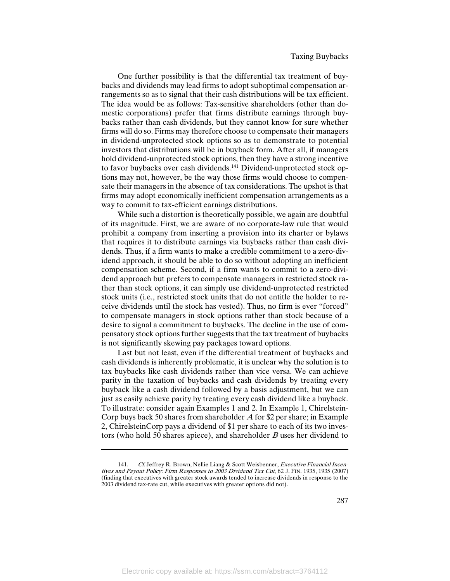One further possibility is that the differential tax treatment of buybacks and dividends may lead firms to adopt suboptimal compensation arrangements so as to signal that their cash distributions will be tax efficient. The idea would be as follows: Tax-sensitive shareholders (other than domestic corporations) prefer that firms distribute earnings through buybacks rather than cash dividends, but they cannot know for sure whether firms will do so. Firms may therefore choose to compensate their managers in dividend-unprotected stock options so as to demonstrate to potential investors that distributions will be in buyback form. After all, if managers hold dividend-unprotected stock options, then they have a strong incentive to favor buybacks over cash dividends.<sup>141</sup> Dividend-unprotected stock options may not, however, be the way those firms would choose to compensate their managers in the absence of tax considerations. The upshot is that firms may adopt economically inefficient compensation arrangements as a way to commit to tax-efficient earnings distributions.

While such a distortion is theoretically possible, we again are doubtful of its magnitude. First, we are aware of no corporate-law rule that would prohibit a company from inserting a provision into its charter or bylaws that requires it to distribute earnings via buybacks rather than cash dividends. Thus, if a firm wants to make a credible commitment to a zero-dividend approach, it should be able to do so without adopting an inefficient compensation scheme. Second, if a firm wants to commit to a zero-dividend approach but prefers to compensate managers in restricted stock rather than stock options, it can simply use dividend-unprotected restricted stock units (i.e., restricted stock units that do not entitle the holder to receive dividends until the stock has vested). Thus, no firm is ever "forced" to compensate managers in stock options rather than stock because of a desire to signal a commitment to buybacks. The decline in the use of compensatory stock options further suggests that the tax treatment of buybacks is not significantly skewing pay packages toward options.

Last but not least, even if the differential treatment of buybacks and cash dividends is inherently problematic, it is unclear why the solution is to tax buybacks like cash dividends rather than vice versa. We can achieve parity in the taxation of buybacks and cash dividends by treating every buyback like a cash dividend followed by a basis adjustment, but we can just as easily achieve parity by treating every cash dividend like a buyback. To illustrate: consider again Examples 1 and 2. In Example 1, Chirelstein-Corp buys back 50 shares from shareholder <sup>A</sup> for \$2 per share; in Example 2, ChirelsteinCorp pays a dividend of \$1 per share to each of its two investors (who hold 50 shares apiece), and shareholder  $B$  uses her dividend to

<sup>141.</sup> Cf. Jeffrey R. Brown, Nellie Liang & Scott Weisbenner, Executive Financial Incentives and Payout Policy: Firm Responses to 2003 Dividend Tax Cut, 62 J. FIN. 1935, 1935 (2007) (finding that executives with greater stock awards tended to increase dividends in response to the 2003 dividend tax-rate cut, while executives with greater options did not).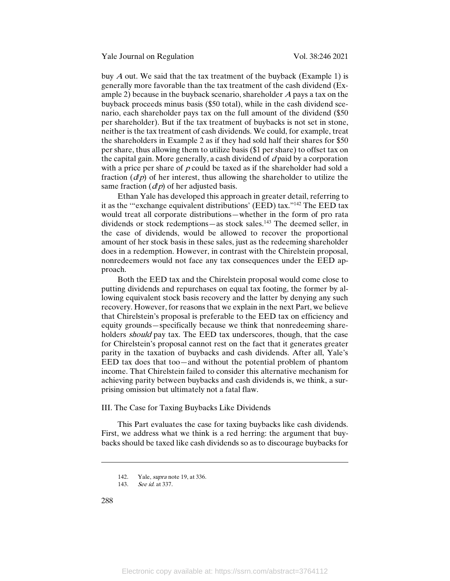buy  $A$  out. We said that the tax treatment of the buyback (Example 1) is generally more favorable than the tax treatment of the cash dividend (Example 2) because in the buyback scenario, shareholder A pays a tax on the buyback proceeds minus basis (\$50 total), while in the cash dividend scenario, each shareholder pays tax on the full amount of the dividend (\$50 per shareholder). But if the tax treatment of buybacks is not set in stone, neither is the tax treatment of cash dividends. We could, for example, treat the shareholders in Example 2 as if they had sold half their shares for \$50 per share, thus allowing them to utilize basis (\$1 per share) to offset tax on the capital gain. More generally, a cash dividend of  $d$  paid by a corporation with a price per share of  $p$  could be taxed as if the shareholder had sold a fraction  $(d/p)$  of her interest, thus allowing the shareholder to utilize the same fraction  $(d/p)$  of her adjusted basis.

Ethan Yale has developed this approach in greater detail, referring to it as the '"exchange equivalent distributions' (EED) tax."142 The EED tax would treat all corporate distributions—whether in the form of pro rata dividends or stock redemptions—as stock sales.<sup>143</sup> The deemed seller, in the case of dividends, would be allowed to recover the proportional amount of her stock basis in these sales, just as the redeeming shareholder does in a redemption. However, in contrast with the Chirelstein proposal, nonredeemers would not face any tax consequences under the EED approach.

Both the EED tax and the Chirelstein proposal would come close to putting dividends and repurchases on equal tax footing, the former by allowing equivalent stock basis recovery and the latter by denying any such recovery. However, for reasons that we explain in the next Part, we believe that Chirelstein's proposal is preferable to the EED tax on efficiency and equity grounds—specifically because we think that nonredeeming shareholders should pay tax. The EED tax underscores, though, that the case for Chirelstein's proposal cannot rest on the fact that it generates greater parity in the taxation of buybacks and cash dividends. After all, Yale's EED tax does that too—and without the potential problem of phantom income. That Chirelstein failed to consider this alternative mechanism for achieving parity between buybacks and cash dividends is, we think, a surprising omission but ultimately not a fatal flaw.

III. The Case for Taxing Buybacks Like Dividends

This Part evaluates the case for taxing buybacks like cash dividends. First, we address what we think is a red herring: the argument that buybacks should be taxed like cash dividends so as to discourage buybacks for

288

<sup>142.</sup> Yale, supra note 19, at 336.

<sup>143.</sup> See id. at 337.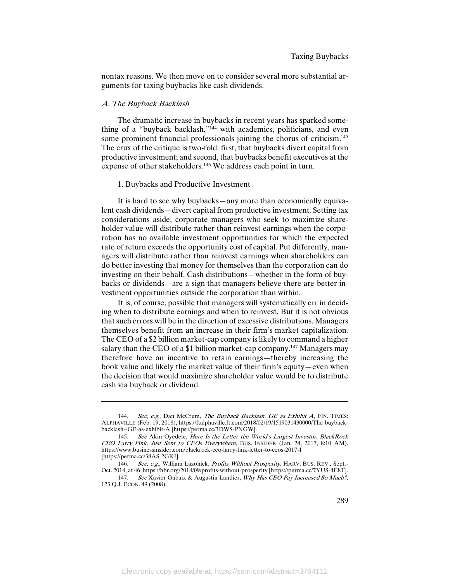nontax reasons. We then move on to consider several more substantial arguments for taxing buybacks like cash dividends.

#### A. The Buyback Backlash

l

The dramatic increase in buybacks in recent years has sparked something of a "buyback backlash,"<sup>144</sup> with academics, politicians, and even some prominent financial professionals joining the chorus of criticism.<sup>145</sup> The crux of the critique is two-fold: first, that buybacks divert capital from productive investment; and second, that buybacks benefit executives at the expense of other stakeholders.146 We address each point in turn.

# 1. Buybacks and Productive Investment

It is hard to see why buybacks—any more than economically equivalent cash dividends—divert capital from productive investment. Setting tax considerations aside, corporate managers who seek to maximize shareholder value will distribute rather than reinvest earnings when the corporation has no available investment opportunities for which the expected rate of return exceeds the opportunity cost of capital. Put differently, managers will distribute rather than reinvest earnings when shareholders can do better investing that money for themselves than the corporation can do investing on their behalf. Cash distributions—whether in the form of buybacks or dividends—are a sign that managers believe there are better investment opportunities outside the corporation than within.

It is, of course, possible that managers will systematically err in deciding when to distribute earnings and when to reinvest. But it is not obvious that such errors will be in the direction of excessive distributions. Managers themselves benefit from an increase in their firm's market capitalization. The CEO of a \$2 billion market-cap company is likely to command a higher salary than the CEO of a \$1 billion market-cap company.<sup>147</sup> Managers may therefore have an incentive to retain earnings—thereby increasing the book value and likely the market value of their firm's equity—even when the decision that would maximize shareholder value would be to distribute cash via buyback or dividend.

<sup>144.</sup> See, e.g., Dan McCrum, The Buyback Backlash, GE as Exhibit A, FIN. TIMES: ALPHAVILLE (Feb. 19, 2018), https://ftalphaville.ft.com/2018/02/19/1519031430000/The-buybackbacklash--GE-as-exhibit-A [https://perma.cc/3DWS-PNGW].

<sup>145.</sup> See Akin Oyedele, Here Is the Letter the World's Largest Investor, BlackRock CEO Larry Fink, Just Sent to CEOs Everywhere, BUS. INSIDER (Jan. 24, 2017, 8:10 AM), https://www.businessinsider.com/blackrock-ceo-larry-fink-letter-to-ceos-2017-1 [https://perma.cc/38AS-2GKJ].

<sup>146.</sup> See, e.g., William Lazonick, Profits Without Prosperity, HARV. BUS. REV., Sept.-Oct. 2014, at 46, https://hbr.org/2014/09/profits-without-prosperity [https://perma.cc/7YUS-4E8T].

<sup>147.</sup> See Xavier Gabaix & Augustin Landier, Why Has CEO Pay Increased So Much?, 123 Q.J. ECON. 49 (2008).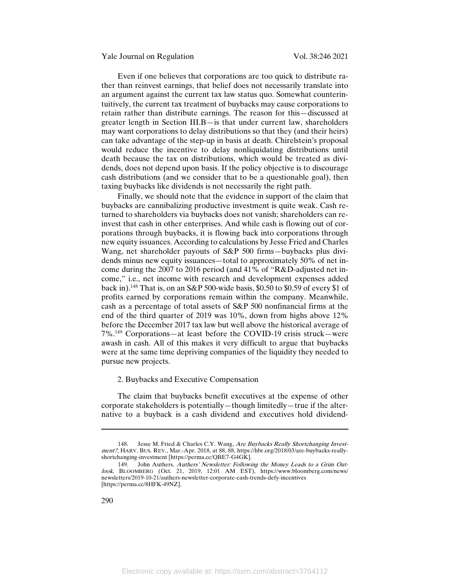Even if one believes that corporations are too quick to distribute rather than reinvest earnings, that belief does not necessarily translate into an argument against the current tax law status quo. Somewhat counterintuitively, the current tax treatment of buybacks may cause corporations to retain rather than distribute earnings. The reason for this—discussed at greater length in Section III.B—is that under current law, shareholders may want corporations to delay distributions so that they (and their heirs) can take advantage of the step-up in basis at death. Chirelstein's proposal would reduce the incentive to delay nonliquidating distributions until death because the tax on distributions, which would be treated as dividends, does not depend upon basis. If the policy objective is to discourage cash distributions (and we consider that to be a questionable goal), then taxing buybacks like dividends is not necessarily the right path.

Finally, we should note that the evidence in support of the claim that buybacks are cannibalizing productive investment is quite weak. Cash returned to shareholders via buybacks does not vanish; shareholders can reinvest that cash in other enterprises. And while cash is flowing out of corporations through buybacks, it is flowing back into corporations through new equity issuances. According to calculations by Jesse Fried and Charles Wang, net shareholder payouts of S&P 500 firms—buybacks plus dividends minus new equity issuances—total to approximately 50% of net income during the 2007 to 2016 period (and 41% of "R&D-adjusted net income," i.e., net income with research and development expenses added back in).<sup>148</sup> That is, on an S&P 500-wide basis, \$0.50 to \$0.59 of every \$1 of profits earned by corporations remain within the company. Meanwhile, cash as a percentage of total assets of S&P 500 nonfinancial firms at the end of the third quarter of 2019 was 10%, down from highs above 12% before the December 2017 tax law but well above the historical average of 7%.149 Corporations—at least before the COVID-19 crisis struck—were awash in cash. All of this makes it very difficult to argue that buybacks were at the same time depriving companies of the liquidity they needed to pursue new projects.

## 2. Buybacks and Executive Compensation

The claim that buybacks benefit executives at the expense of other corporate stakeholders is potentially—though limitedly—true if the alternative to a buyback is a cash dividend and executives hold dividend-

<sup>148.</sup> Jesse M. Fried & Charles C.Y. Wang, Are Buybacks Really Shortchanging Investment?, HARV. BUS. REV., Mar.-Apr. 2018, at 88, 88, https://hbr.org/2018/03/are-buybacks-reallyshortchanging-investment [https://perma.cc/QBE7-G4GK].

<sup>149.</sup> John Authers, Authers' Newsletter: Following the Money Leads to a Grim Outlook, BLOOMBERG (Oct. 21, 2019, 12:01 AM EST), https://www.bloomberg.com/news/ newsletters/2019-10-21/authers-newsletter-corporate-cash-trends-defy-incentives [https://perma.cc/8HFK-49NZ].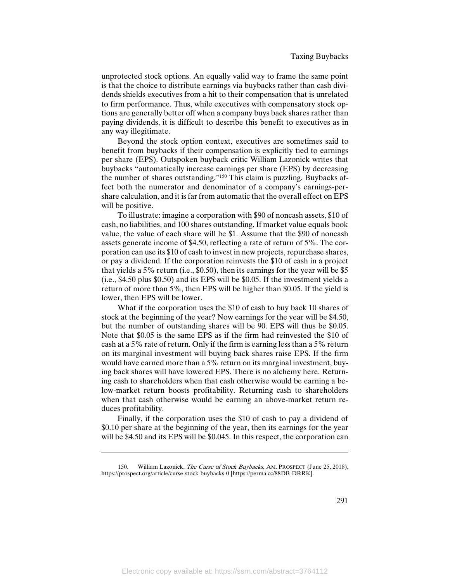unprotected stock options. An equally valid way to frame the same point is that the choice to distribute earnings via buybacks rather than cash dividends shields executives from a hit to their compensation that is unrelated to firm performance. Thus, while executives with compensatory stock options are generally better off when a company buys back shares rather than paying dividends, it is difficult to describe this benefit to executives as in any way illegitimate.

Beyond the stock option context, executives are sometimes said to benefit from buybacks if their compensation is explicitly tied to earnings per share (EPS). Outspoken buyback critic William Lazonick writes that buybacks "automatically increase earnings per share (EPS) by decreasing the number of shares outstanding."150 This claim is puzzling. Buybacks affect both the numerator and denominator of a company's earnings-pershare calculation, and it is far from automatic that the overall effect on EPS will be positive.

To illustrate: imagine a corporation with \$90 of noncash assets, \$10 of cash, no liabilities, and 100 shares outstanding. If market value equals book value, the value of each share will be \$1. Assume that the \$90 of noncash assets generate income of \$4.50, reflecting a rate of return of 5%. The corporation can use its \$10 of cash to invest in new projects, repurchase shares, or pay a dividend. If the corporation reinvests the \$10 of cash in a project that yields a 5% return (i.e., \$0.50), then its earnings for the year will be \$5 (i.e., \$4.50 plus \$0.50) and its EPS will be \$0.05. If the investment yields a return of more than 5%, then EPS will be higher than \$0.05. If the yield is lower, then EPS will be lower.

What if the corporation uses the \$10 of cash to buy back 10 shares of stock at the beginning of the year? Now earnings for the year will be \$4.50, but the number of outstanding shares will be 90. EPS will thus be \$0.05. Note that \$0.05 is the same EPS as if the firm had reinvested the \$10 of cash at a 5% rate of return. Only if the firm is earning less than a 5% return on its marginal investment will buying back shares raise EPS. If the firm would have earned more than a 5% return on its marginal investment, buying back shares will have lowered EPS. There is no alchemy here. Returning cash to shareholders when that cash otherwise would be earning a below-market return boosts profitability. Returning cash to shareholders when that cash otherwise would be earning an above-market return reduces profitability.

Finally, if the corporation uses the \$10 of cash to pay a dividend of \$0.10 per share at the beginning of the year, then its earnings for the year will be \$4.50 and its EPS will be \$0.045. In this respect, the corporation can

William Lazonick, The Curse of Stock Buybacks, AM. PROSPECT (June 25, 2018), https://prospect.org/article/curse-stock-buybacks-0 [https://perma.cc/88DB-DRRK].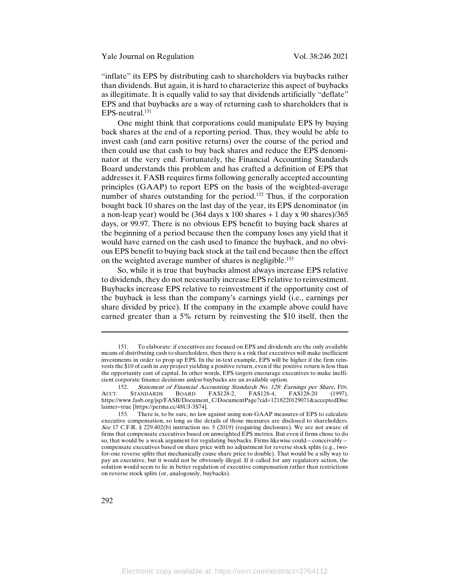"inflate" its EPS by distributing cash to shareholders via buybacks rather than dividends. But again, it is hard to characterize this aspect of buybacks as illegitimate. It is equally valid to say that dividends artificially "deflate" EPS and that buybacks are a way of returning cash to shareholders that is EPS-neutral.151

One might think that corporations could manipulate EPS by buying back shares at the end of a reporting period. Thus, they would be able to invest cash (and earn positive returns) over the course of the period and then could use that cash to buy back shares and reduce the EPS denominator at the very end. Fortunately, the Financial Accounting Standards Board understands this problem and has crafted a definition of EPS that addresses it. FASB requires firms following generally accepted accounting principles (GAAP) to report EPS on the basis of the weighted-average number of shares outstanding for the period.<sup>152</sup> Thus, if the corporation bought back 10 shares on the last day of the year, its EPS denominator (in a non-leap year) would be  $(364 \text{ days} \times 100 \text{ shares} + 1 \text{ day} \times 90 \text{ shares})/365$ days, or 99.97. There is no obvious EPS benefit to buying back shares at the beginning of a period because then the company loses any yield that it would have earned on the cash used to finance the buyback, and no obvious EPS benefit to buying back stock at the tail end because then the effect on the weighted average number of shares is negligible.153

So, while it is true that buybacks almost always increase EPS relative to dividends, they do not necessarily increase EPS relative to reinvestment. Buybacks increase EPS relative to reinvestment if the opportunity cost of the buyback is less than the company's earnings yield (i.e., earnings per share divided by price). If the company in the example above could have earned greater than a 5% return by reinvesting the \$10 itself, then the

<sup>151.</sup> To elaborate: if executives are focused on EPS and dividends are the only available means of distributing cash to shareholders, then there is a risk that executives will make inefficient investments in order to prop up EPS. In the in-text example, EPS will be higher if the firm reinvests the \$10 of cash in any project yielding a positive return, even if the positive return is less than the opportunity cost of capital. In other words, EPS targets encourage executives to make inefficient corporate finance decisions unless buybacks are an available option.

<sup>152.</sup> Statement of Financial Accounting Standards No. 128: Earnings per Share, FIN.<br>ACCT. STANDARDS BOARD FAS128-2. FAS128-4. FAS128-20 (1997). ACCT. STANDARDS BOARD FAS128-2, FAS128-4, FAS128-20 (1997), https://www.fasb.org/jsp/FASB/Document\_C/DocumentPage?cid=1218220129071&acceptedDisc laimer=true [https://perma.cc/48UJ-3S74].

<sup>153.</sup> There is, to be sure, no law against using non-GAAP measures of EPS to calculate executive compensation, so long as the details of those measures are disclosed to shareholders. See 17 C.F.R. § 229.402(b) instruction no. 5 (2019) (requiring disclosure). We are not aware of firms that compensate executives based on unweighted EPS metrics. But even if firms chose to do so, that would be a weak argument for regulating buybacks. Firms likewise could—conceivably compensate executives based on share price with no adjustment for reverse stock splits (e.g., twofor-one reverse splits that mechanically cause share price to double). That would be a silly way to pay an executive, but it would not be obviously illegal. If it called for any regulatory action, the solution would seem to lie in better regulation of executive compensation rather than restrictions on reverse stock splits (or, analogously, buybacks).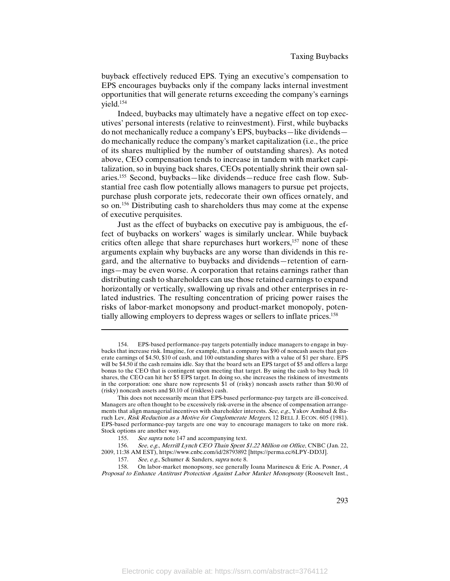buyback effectively reduced EPS. Tying an executive's compensation to EPS encourages buybacks only if the company lacks internal investment opportunities that will generate returns exceeding the company's earnings yield.154

Indeed, buybacks may ultimately have a negative effect on top executives' personal interests (relative to reinvestment). First, while buybacks do not mechanically reduce a company's EPS, buybacks—like dividends do mechanically reduce the company's market capitalization (i.e., the price of its shares multiplied by the number of outstanding shares). As noted above, CEO compensation tends to increase in tandem with market capitalization, so in buying back shares, CEOs potentially shrink their own salaries.155 Second, buybacks—like dividends—reduce free cash flow. Substantial free cash flow potentially allows managers to pursue pet projects, purchase plush corporate jets, redecorate their own offices ornately, and so on.156 Distributing cash to shareholders thus may come at the expense of executive perquisites.

Just as the effect of buybacks on executive pay is ambiguous, the effect of buybacks on workers' wages is similarly unclear. While buyback critics often allege that share repurchases hurt workers,<sup>157</sup> none of these arguments explain why buybacks are any worse than dividends in this regard, and the alternative to buybacks and dividends—retention of earnings—may be even worse. A corporation that retains earnings rather than distributing cash to shareholders can use those retained earnings to expand horizontally or vertically, swallowing up rivals and other enterprises in related industries. The resulting concentration of pricing power raises the risks of labor-market monopsony and product-market monopoly, potentially allowing employers to depress wages or sellers to inflate prices.158

<sup>154.</sup> EPS-based performance-pay targets potentially induce managers to engage in buybacks that increase risk. Imagine, for example, that a company has \$90 of noncash assets that generate earnings of \$4.50, \$10 of cash, and 100 outstanding shares with a value of \$1 per share. EPS will be \$4.50 if the cash remains idle. Say that the board sets an EPS target of \$5 and offers a large bonus to the CEO that is contingent upon meeting that target. By using the cash to buy back 10 shares, the CEO can hit her \$5 EPS target. In doing so, she increases the riskiness of investments in the corporation: one share now represents \$1 of (risky) noncash assets rather than \$0.90 of (risky) noncash assets and \$0.10 of (riskless) cash.

This does not necessarily mean that EPS-based performance-pay targets are ill-conceived. Managers are often thought to be excessively risk-averse in the absence of compensation arrangements that align managerial incentives with shareholder interests. See, e.g., Yakov Amihud & Baruch Lev, Risk Reduction as a Motive for Conglomerate Mergers, 12 BELL J. ECON. 605 (1981). EPS-based performance-pay targets are one way to encourage managers to take on more risk. Stock options are another way.

<sup>155.</sup> See supra note 147 and accompanying text.

<sup>156.</sup> See, e.g., Merrill Lynch CEO Thain Spent \$1.22 Million on Office, CNBC (Jan. 22, 2009, 11:38 AM EST), https://www.cnbc.com/id/28793892 [https://perma.cc/6LPY-DD3J].

<sup>157.</sup> See, e.g., Schumer & Sanders, *supra* note 8.<br>158. On labor-market mononsony see generally

On labor-market monopsony, see generally Ioana Marinescu & Eric A. Posner,  $A$ Proposal to Enhance Antitrust Protection Against Labor Market Monopsony (Roosevelt Inst.,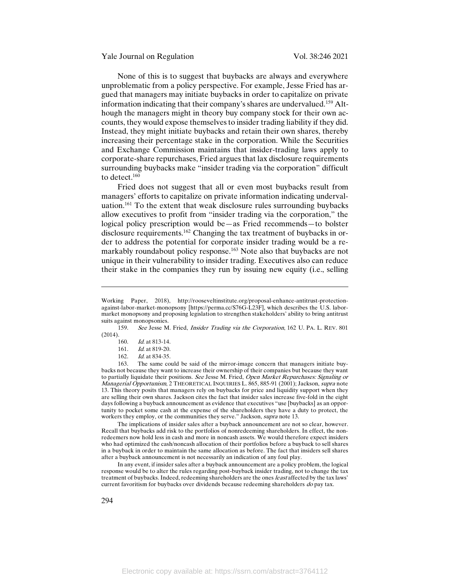None of this is to suggest that buybacks are always and everywhere unproblematic from a policy perspective. For example, Jesse Fried has argued that managers may initiate buybacks in order to capitalize on private information indicating that their company's shares are undervalued.159 Although the managers might in theory buy company stock for their own accounts, they would expose themselves to insider trading liability if they did. Instead, they might initiate buybacks and retain their own shares, thereby increasing their percentage stake in the corporation. While the Securities and Exchange Commission maintains that insider-trading laws apply to corporate-share repurchases, Fried argues that lax disclosure requirements surrounding buybacks make "insider trading via the corporation" difficult to detect.<sup>160</sup>

Fried does not suggest that all or even most buybacks result from managers' efforts to capitalize on private information indicating undervaluation.161 To the extent that weak disclosure rules surrounding buybacks allow executives to profit from "insider trading via the corporation," the logical policy prescription would be—as Fried recommends—to bolster disclosure requirements.162 Changing the tax treatment of buybacks in order to address the potential for corporate insider trading would be a remarkably roundabout policy response.<sup>163</sup> Note also that buybacks are not unique in their vulnerability to insider trading. Executives also can reduce their stake in the companies they run by issuing new equity (i.e., selling

The implications of insider sales after a buyback announcement are not so clear, however. Recall that buybacks add risk to the portfolios of nonredeeming shareholders. In effect, the nonredeemers now hold less in cash and more in noncash assets. We would therefore expect insiders who had optimized the cash/noncash allocation of their portfolios before a buyback to sell shares in a buyback in order to maintain the same allocation as before. The fact that insiders sell shares after a buyback announcement is not necessarily an indication of any foul play.

In any event, if insider sales after a buyback announcement are a policy problem, the logical response would be to alter the rules regarding post-buyback insider trading, not to change the tax treatment of buybacks. Indeed, redeeming shareholders are the ones least affected by the tax laws' current favoritism for buybacks over dividends because redeeming shareholders do pay tax.

Working Paper, 2018), http://rooseveltinstitute.org/proposal-enhance-antitrust-protectionagainst-labor-market-monopsony [https://perma.cc/S76G-L23F], which describes the U.S. labormarket monopsony and proposing legislation to strengthen stakeholders' ability to bring antitrust suits against monopsonies.

<sup>159.</sup> See Jesse M. Fried, Insider Trading via the Corporation, 162 U. PA. L. REV. 801 (2014).

<sup>160.</sup> Id. at 813-14.

<sup>161.</sup> Id. at 819-20.

<sup>162.</sup> *Id.* at 834-35.

<sup>163.</sup> The same could be said of the mirror-image concern that managers initiate buybacks not because they want to increase their ownership of their companies but because they want to partially liquidate their positions. See Jesse M. Fried, Open Market Repurchases: Signaling or Managerial Opportunism, 2 THEORETICAL INQUIRIES L. 865, 885-91 (2001); Jackson, *supra* note 13. This theory posits that managers rely on buybacks for price and liquidity support when they are selling their own shares. Jackson cites the fact that insider sales increase five-fold in the eight days following a buyback announcement as evidence that executives "use [buybacks] as an opportunity to pocket some cash at the expense of the shareholders they have a duty to protect, the workers they employ, or the communities they serve." Jackson, supra note 13.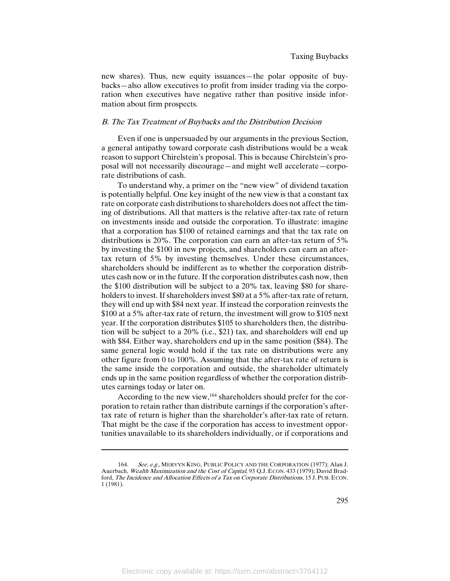new shares). Thus, new equity issuances—the polar opposite of buybacks—also allow executives to profit from insider trading via the corporation when executives have negative rather than positive inside information about firm prospects.

# B. The Tax Treatment of Buybacks and the Distribution Decision

Even if one is unpersuaded by our arguments in the previous Section, a general antipathy toward corporate cash distributions would be a weak reason to support Chirelstein's proposal. This is because Chirelstein's proposal will not necessarily discourage—and might well accelerate—corporate distributions of cash.

To understand why, a primer on the "new view" of dividend taxation is potentially helpful. One key insight of the new view is that a constant tax rate on corporate cash distributions to shareholders does not affect the timing of distributions. All that matters is the relative after-tax rate of return on investments inside and outside the corporation. To illustrate: imagine that a corporation has \$100 of retained earnings and that the tax rate on distributions is 20%. The corporation can earn an after-tax return of 5% by investing the \$100 in new projects, and shareholders can earn an aftertax return of 5% by investing themselves. Under these circumstances, shareholders should be indifferent as to whether the corporation distributes cash now or in the future. If the corporation distributes cash now, then the \$100 distribution will be subject to a 20% tax, leaving \$80 for shareholders to invest. If shareholders invest \$80 at a 5% after-tax rate of return, they will end up with \$84 next year. If instead the corporation reinvests the \$100 at a 5% after-tax rate of return, the investment will grow to \$105 next year. If the corporation distributes \$105 to shareholders then, the distribution will be subject to a 20% (i.e., \$21) tax, and shareholders will end up with \$84. Either way, shareholders end up in the same position (\$84). The same general logic would hold if the tax rate on distributions were any other figure from 0 to 100%. Assuming that the after-tax rate of return is the same inside the corporation and outside, the shareholder ultimately ends up in the same position regardless of whether the corporation distributes earnings today or later on.

According to the new view,<sup>164</sup> shareholders should prefer for the corporation to retain rather than distribute earnings if the corporation's aftertax rate of return is higher than the shareholder's after-tax rate of return. That might be the case if the corporation has access to investment opportunities unavailable to its shareholders individually, or if corporations and

<sup>164.</sup> See, e.g., MERVYN KING, PUBLIC POLICY AND THE CORPORATION (1977); Alan J. Auerbach, Wealth Maximization and the Cost of Capital, 93 Q.J. ECON. 433 (1979); David Bradford, The Incidence and Allocation Effects of a Tax on Corporate Distributions, 15 J. PUB. ECON. 1 (1981).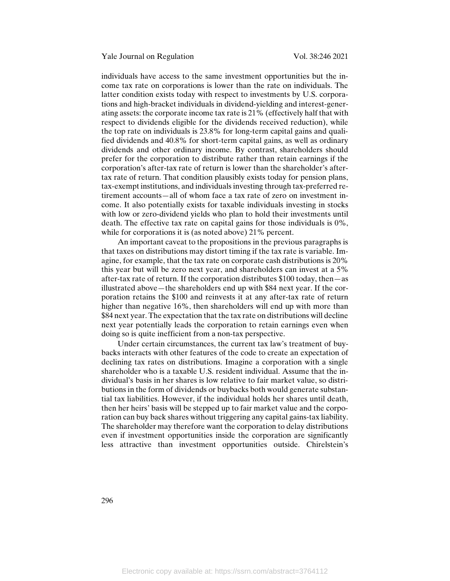individuals have access to the same investment opportunities but the income tax rate on corporations is lower than the rate on individuals. The latter condition exists today with respect to investments by U.S. corporations and high-bracket individuals in dividend-yielding and interest-generating assets: the corporate income tax rate is 21% (effectively half that with respect to dividends eligible for the dividends received reduction), while the top rate on individuals is 23.8% for long-term capital gains and qualified dividends and 40.8% for short-term capital gains, as well as ordinary dividends and other ordinary income. By contrast, shareholders should prefer for the corporation to distribute rather than retain earnings if the corporation's after-tax rate of return is lower than the shareholder's aftertax rate of return. That condition plausibly exists today for pension plans, tax-exempt institutions, and individuals investing through tax-preferred retirement accounts—all of whom face a tax rate of zero on investment income. It also potentially exists for taxable individuals investing in stocks with low or zero-dividend yields who plan to hold their investments until death. The effective tax rate on capital gains for those individuals is 0%, while for corporations it is (as noted above) 21% percent.

An important caveat to the propositions in the previous paragraphs is that taxes on distributions may distort timing if the tax rate is variable. Imagine, for example, that the tax rate on corporate cash distributions is 20% this year but will be zero next year, and shareholders can invest at a 5% after-tax rate of return. If the corporation distributes \$100 today, then—as illustrated above—the shareholders end up with \$84 next year. If the corporation retains the \$100 and reinvests it at any after-tax rate of return higher than negative 16%, then shareholders will end up with more than \$84 next year. The expectation that the tax rate on distributions will decline next year potentially leads the corporation to retain earnings even when doing so is quite inefficient from a non-tax perspective.

Under certain circumstances, the current tax law's treatment of buybacks interacts with other features of the code to create an expectation of declining tax rates on distributions. Imagine a corporation with a single shareholder who is a taxable U.S. resident individual. Assume that the individual's basis in her shares is low relative to fair market value, so distributions in the form of dividends or buybacks both would generate substantial tax liabilities. However, if the individual holds her shares until death, then her heirs' basis will be stepped up to fair market value and the corporation can buy back shares without triggering any capital gains-tax liability. The shareholder may therefore want the corporation to delay distributions even if investment opportunities inside the corporation are significantly less attractive than investment opportunities outside. Chirelstein's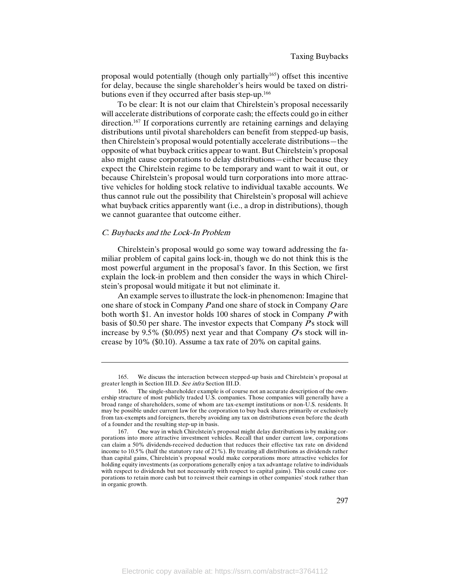proposal would potentially (though only partially<sup>165</sup>) offset this incentive for delay, because the single shareholder's heirs would be taxed on distributions even if they occurred after basis step-up.166

To be clear: It is not our claim that Chirelstein's proposal necessarily will accelerate distributions of corporate cash; the effects could go in either direction.<sup>167</sup> If corporations currently are retaining earnings and delaying distributions until pivotal shareholders can benefit from stepped-up basis, then Chirelstein's proposal would potentially accelerate distributions—the opposite of what buyback critics appear to want. But Chirelstein's proposal also might cause corporations to delay distributions—either because they expect the Chirelstein regime to be temporary and want to wait it out, or because Chirelstein's proposal would turn corporations into more attractive vehicles for holding stock relative to individual taxable accounts. We thus cannot rule out the possibility that Chirelstein's proposal will achieve what buyback critics apparently want (i.e., a drop in distributions), though we cannot guarantee that outcome either.

#### C. Buybacks and the Lock-In Problem

 $\overline{\phantom{a}}$ 

Chirelstein's proposal would go some way toward addressing the familiar problem of capital gains lock-in, though we do not think this is the most powerful argument in the proposal's favor. In this Section, we first explain the lock-in problem and then consider the ways in which Chirelstein's proposal would mitigate it but not eliminate it.

An example serves to illustrate the lock-in phenomenon: Imagine that one share of stock in Company P and one share of stock in Company Q are both worth \$1. An investor holds 100 shares of stock in Company <sup>P</sup> with basis of \$0.50 per share. The investor expects that Company  $P<sub>S</sub>$  stock will increase by 9.5% (\$0.095) next year and that Company  $\mathbb{Q}$ 's stock will increase by 10% (\$0.10). Assume a tax rate of 20% on capital gains.

<sup>165.</sup> We discuss the interaction between stepped-up basis and Chirelstein's proposal at greater length in Section III.D. See infra Section III.D.

<sup>166.</sup> The single-shareholder example is of course not an accurate description of the ownership structure of most publicly traded U.S. companies. Those companies will generally have a broad range of shareholders, some of whom are tax-exempt institutions or non-U.S. residents. It may be possible under current law for the corporation to buy back shares primarily or exclusively from tax-exempts and foreigners, thereby avoiding any tax on distributions even before the death of a founder and the resulting step-up in basis.

<sup>167.</sup> One way in which Chirelstein's proposal might delay distributions is by making corporations into more attractive investment vehicles. Recall that under current law, corporations can claim a 50% dividends-received deduction that reduces their effective tax rate on dividend income to 10.5% (half the statutory rate of 21%). By treating all distributions as dividends rather than capital gains, Chirelstein's proposal would make corporations more attractive vehicles for holding equity investments (as corporations generally enjoy a tax advantage relative to individuals with respect to dividends but not necessarily with respect to capital gains). This could cause corporations to retain more cash but to reinvest their earnings in other companies' stock rather than in organic growth.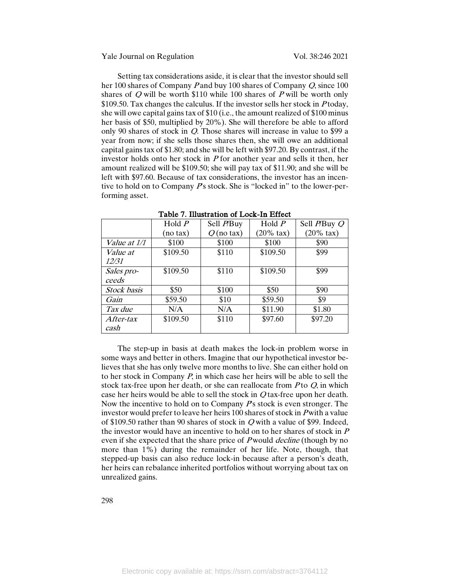Setting tax considerations aside, it is clear that the investor should sell her 100 shares of Company P and buy 100 shares of Company Q, since 100 shares of  $Q$  will be worth \$110 while 100 shares of  $P$  will be worth only  $$109.50$ . Tax changes the calculus. If the investor sells her stock in *P* today, she will owe capital gains tax of \$10 (i.e., the amount realized of \$100 minus her basis of \$50, multiplied by 20%). She will therefore be able to afford only 90 shares of stock in Q. Those shares will increase in value to \$99 a year from now; if she sells those shares then, she will owe an additional capital gains tax of \$1.80; and she will be left with \$97.20. By contrast, if the investor holds onto her stock in  $P$  for another year and sells it then, her amount realized will be \$109.50; she will pay tax of \$11.90; and she will be left with \$97.60. Because of tax considerations, the investor has an incentive to hold on to Company  $P<sub>S</sub>$  stock. She is "locked in" to the lower-performing asset.

|                     | Hold $P$ | Sell P/Buy   | Hold $P$             | Sell P/Buy Q         |
|---------------------|----------|--------------|----------------------|----------------------|
|                     | (no tax) | $Q$ (no tax) | $(20\% \text{ tax})$ | $(20\% \text{ tax})$ |
| <i>Value at 1/1</i> | \$100    | \$100        | \$100                | \$90                 |
| Value at            | \$109.50 | \$110        | \$109.50             | \$99                 |
| <i>12/31</i>        |          |              |                      |                      |
| Sales pro-          | \$109.50 | \$110        | \$109.50             | \$99                 |
| ceeds               |          |              |                      |                      |
| <b>Stock</b> basis  | \$50     | \$100        | \$50                 | \$90                 |
| Gain                | \$59.50  | \$10         | \$59.50              | \$9                  |
| Tax due             | N/A      | N/A          | \$11.90              | \$1.80               |
| After-tax           | \$109.50 | \$110        | \$97.60              | \$97.20              |
| cash                |          |              |                      |                      |

Table 7. Illustration of Lock-In Effect

The step-up in basis at death makes the lock-in problem worse in some ways and better in others. Imagine that our hypothetical investor believes that she has only twelve more months to live. She can either hold on to her stock in Company P, in which case her heirs will be able to sell the stock tax-free upon her death, or she can reallocate from  $P$  to  $Q$ , in which case her heirs would be able to sell the stock in Q tax-free upon her death. Now the incentive to hold on to Company  $P<sub>S</sub>$  stock is even stronger. The investor would prefer to leave her heirs 100 shares of stock in P with a value of \$109.50 rather than 90 shares of stock in Q with a value of \$99. Indeed, the investor would have an incentive to hold on to her shares of stock in  $P$ even if she expected that the share price of P would *decline* (though by no more than 1%) during the remainder of her life. Note, though, that stepped-up basis can also reduce lock-in because after a person's death, her heirs can rebalance inherited portfolios without worrying about tax on unrealized gains.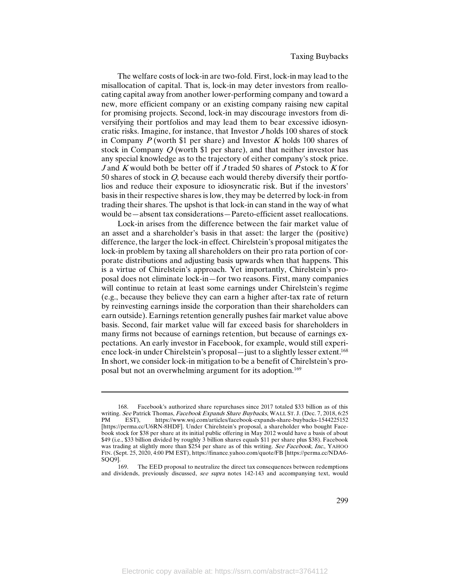The welfare costs of lock-in are two-fold. First, lock-in may lead to the misallocation of capital. That is, lock-in may deter investors from reallocating capital away from another lower-performing company and toward a new, more efficient company or an existing company raising new capital for promising projects. Second, lock-in may discourage investors from diversifying their portfolios and may lead them to bear excessive idiosyncratic risks. Imagine, for instance, that Investor J holds 100 shares of stock in Company  $P$  (worth \$1 per share) and Investor  $K$  holds 100 shares of stock in Company Q (worth \$1 per share), and that neither investor has any special knowledge as to the trajectory of either company's stock price. J and K would both be better off if J traded 50 shares of P stock to K for 50 shares of stock in Q, because each would thereby diversify their portfolios and reduce their exposure to idiosyncratic risk. But if the investors' basis in their respective shares is low, they may be deterred by lock-in from trading their shares. The upshot is that lock-in can stand in the way of what would be—absent tax considerations—Pareto-efficient asset reallocations.

Lock-in arises from the difference between the fair market value of an asset and a shareholder's basis in that asset: the larger the (positive) difference, the larger the lock-in effect. Chirelstein's proposal mitigates the lock-in problem by taxing all shareholders on their pro rata portion of corporate distributions and adjusting basis upwards when that happens. This is a virtue of Chirelstein's approach. Yet importantly, Chirelstein's proposal does not eliminate lock-in—for two reasons. First, many companies will continue to retain at least some earnings under Chirelstein's regime (e.g., because they believe they can earn a higher after-tax rate of return by reinvesting earnings inside the corporation than their shareholders can earn outside). Earnings retention generally pushes fair market value above basis. Second, fair market value will far exceed basis for shareholders in many firms not because of earnings retention, but because of earnings expectations. An early investor in Facebook, for example, would still experience lock-in under Chirelstein's proposal—just to a slightly lesser extent.<sup>168</sup> In short, we consider lock-in mitigation to be a benefit of Chirelstein's proposal but not an overwhelming argument for its adoption.169

<sup>168.</sup> Facebook's authorized share repurchases since 2017 totaled \$33 billion as of this writing. See Patrick Thomas, Facebook Expands Share Buybacks, WALL ST. J. (Dec. 7, 2018, 6:25 PM EST), https://www.wsj.com/articles/facebook-expands-share-buybacks-1544225152 [https://perma.cc/U6RN-8HDF]. Under Chirelstein's proposal, a shareholder who bought Facebook stock for \$38 per share at its initial public offering in May 2012 would have a basis of about \$49 (i.e., \$33 billion divided by roughly 3 billion shares equals \$11 per share plus \$38). Facebook was trading at slightly more than \$254 per share as of this writing. See Facebook, Inc., YAHOO FIN. (Sept. 25, 2020, 4:00 PM EST), https://finance.yahoo.com/quote/FB [https://perma.cc/NDA6-  $SOQ9$ ].

The EED proposal to neutralize the direct tax consequences between redemptions and dividends, previously discussed, see supra notes 142-143 and accompanying text, would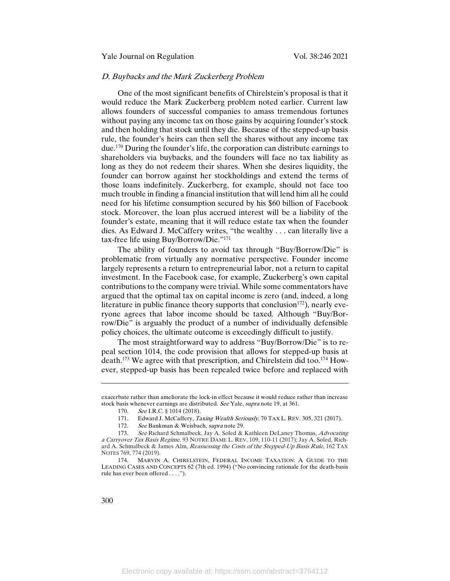# D. Buybacks and the Mark Zuckerberg Problem

One of the most significant benefits of Chirelstein's proposal is that it would reduce the Mark Zuckerberg problem noted earlier. Current law allows founders of successful companies to amass tremendous fortunes without paying any income tax on those gains by acquiring founder's stock and then holding that stock until they die. Because of the stepped-up basis rule, the founder's heirs can then sell the shares without any income tax due.170 During the founder's life, the corporation can distribute earnings to shareholders via buybacks, and the founders will face no tax liability as long as they do not redeem their shares. When she desires liquidity, the founder can borrow against her stockholdings and extend the terms of those loans indefinitely. Zuckerberg, for example, should not face too much trouble in finding a financial institution that will lend him all he could need for his lifetime consumption secured by his \$60 billion of Facebook stock. Moreover, the loan plus accrued interest will be a liability of the founder's estate, meaning that it will reduce estate tax when the founder dies. As Edward J. McCaffery writes, "the wealthy . . . can literally live a tax-free life using Buy/Borrow/Die."171

The ability of founders to avoid tax through "Buy/Borrow/Die" is problematic from virtually any normative perspective. Founder income largely represents a return to entrepreneurial labor, not a return to capital investment. In the Facebook case, for example, Zuckerberg's own capital contributions to the company were trivial. While some commentators have argued that the optimal tax on capital income is zero (and, indeed, a long literature in public finance theory supports that conclusion<sup>172</sup>), nearly everyone agrees that labor income should be taxed. Although "Buy/Borrow/Die" is arguably the product of a number of individually defensible policy choices, the ultimate outcome is exceedingly difficult to justify.

The most straightforward way to address "Buy/Borrow/Die" is to repeal section 1014, the code provision that allows for stepped-up basis at death.173 We agree with that prescription, and Chirelstein did too.174 However, stepped-up basis has been repealed twice before and replaced with

exacerbate rather than ameliorate the lock-in effect because it would reduce rather than increase stock basis whenever earnings are distributed. See Yale, supra note 19, at 361.

<sup>170.</sup> See I.R.C. § 1014 (2018).

<sup>171.</sup> Edward J. McCaffery, *Taxing Wealth Seriously*, 70 TAX L. REV. 305, 321 (2017).

<sup>172.</sup> See Bankman & Weisbach, supra note 29.

<sup>173.</sup> See Richard Schmalbeck, Jay A. Soled & Kathleen DeLaney Thomas, Advocating <sup>a</sup> Carryover Tax Basis Regime, 93 NOTRE DAME L. REV. 109, 110-11 (2017); Jay A. Soled, Richard A. Schmalbeck & James Alm, Reassessing the Costs of the Stepped-Up Basis Rule, 162 TAX NOTES 769, 774 (2019).

<sup>174.</sup> MARVIN A. CHIRELSTEIN, FEDERAL INCOME TAXATION: A GUIDE TO THE LEADING CASES AND CONCEPTS 62 (7th ed. 1994) ("No convincing rationale for the death-basis rule has ever been offered . . . .").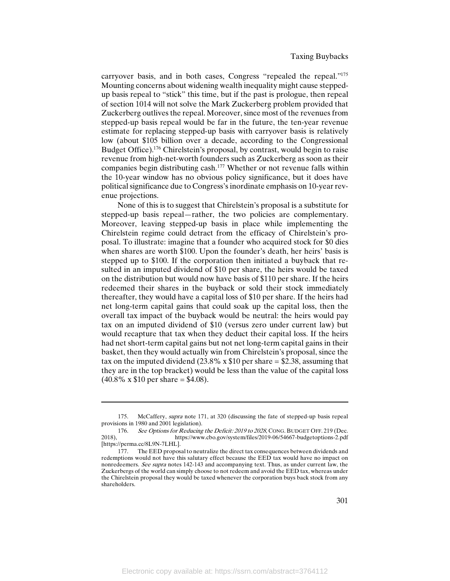carryover basis, and in both cases, Congress "repealed the repeal."<sup>175</sup> Mounting concerns about widening wealth inequality might cause steppedup basis repeal to "stick" this time, but if the past is prologue, then repeal of section 1014 will not solve the Mark Zuckerberg problem provided that Zuckerberg outlives the repeal. Moreover, since most of the revenues from stepped-up basis repeal would be far in the future, the ten-year revenue estimate for replacing stepped-up basis with carryover basis is relatively low (about \$105 billion over a decade, according to the Congressional Budget Office).176 Chirelstein's proposal, by contrast, would begin to raise revenue from high-net-worth founders such as Zuckerberg as soon as their companies begin distributing cash.177 Whether or not revenue falls within the 10-year window has no obvious policy significance, but it does have political significance due to Congress's inordinate emphasis on 10-year revenue projections.

None of this is to suggest that Chirelstein's proposal is a substitute for stepped-up basis repeal—rather, the two policies are complementary. Moreover, leaving stepped-up basis in place while implementing the Chirelstein regime could detract from the efficacy of Chirelstein's proposal. To illustrate: imagine that a founder who acquired stock for \$0 dies when shares are worth \$100. Upon the founder's death, her heirs' basis is stepped up to \$100. If the corporation then initiated a buyback that resulted in an imputed dividend of \$10 per share, the heirs would be taxed on the distribution but would now have basis of \$110 per share. If the heirs redeemed their shares in the buyback or sold their stock immediately thereafter, they would have a capital loss of \$10 per share. If the heirs had net long-term capital gains that could soak up the capital loss, then the overall tax impact of the buyback would be neutral: the heirs would pay tax on an imputed dividend of \$10 (versus zero under current law) but would recapture that tax when they deduct their capital loss. If the heirs had net short-term capital gains but not net long-term capital gains in their basket, then they would actually win from Chirelstein's proposal, since the tax on the imputed dividend (23.8% x  $$10$  per share = \$2.38, assuming that they are in the top bracket) would be less than the value of the capital loss  $(40.8\% \times \$10 \text{ per share} = \$4.08)$ .

<sup>175.</sup> McCaffery, supra note 171, at 320 (discussing the fate of stepped-up basis repeal provisions in 1980 and 2001 legislation).

<sup>176.</sup> See Options for Reducing the Deficit: 2019 to 2028, CONG. BUDGET OFF. 219 (Dec. 2018), https://www.cbo.gov/system/files/2019-06/54667-budgetoptions-2.pdf [https://perma.cc/8L9N-7LHL].

<sup>177.</sup> The EED proposal to neutralize the direct tax consequences between dividends and redemptions would not have this salutary effect because the EED tax would have no impact on nonredeemers. See supra notes 142-143 and accompanying text. Thus, as under current law, the Zuckerbergs of the world can simply choose to not redeem and avoid the EED tax, whereas under the Chirelstein proposal they would be taxed whenever the corporation buys back stock from any shareholders.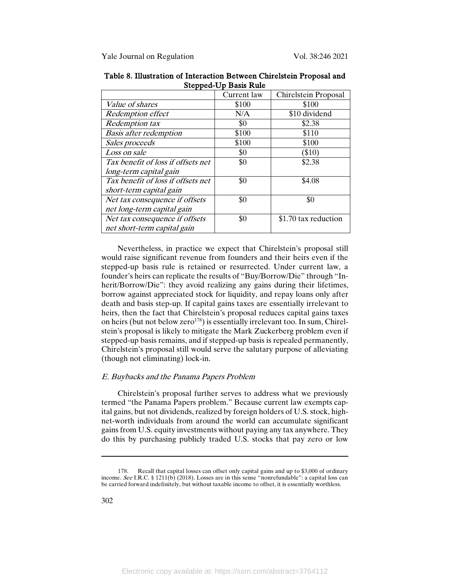|                                    | Current law | Chirelstein Proposal |
|------------------------------------|-------------|----------------------|
| <i>Value of shares</i>             | \$100       | \$100                |
| <b>Redemption effect</b>           | N/A         | \$10 dividend        |
| <b>Redemption</b> tax              | \$0         | \$2.38               |
| <b>Basis after redemption</b>      | \$100       | \$110                |
| Sales proceeds                     | \$100       | \$100                |
| Loss on sale                       | \$0         | \$10)                |
| Tax benefit of loss if offsets net | \$0         | \$2.38               |
| long-term capital gain             |             |                      |
| Tax benefit of loss if offsets net | \$0         | \$4.08               |
| short-term capital gain            |             |                      |
| Net tax consequence if offsets     | \$0         | \$0                  |
| net long-term capital gain         |             |                      |
| Net tax consequence if offsets     | \$0         | \$1.70 tax reduction |
| net short-term capital gain        |             |                      |

Table 8. Illustration of Interaction Between Chirelstein Proposal and Stepped-Up Basis Rule

Nevertheless, in practice we expect that Chirelstein's proposal still would raise significant revenue from founders and their heirs even if the stepped-up basis rule is retained or resurrected. Under current law, a founder's heirs can replicate the results of "Buy/Borrow/Die" through "Inherit/Borrow/Die": they avoid realizing any gains during their lifetimes, borrow against appreciated stock for liquidity, and repay loans only after death and basis step-up. If capital gains taxes are essentially irrelevant to heirs, then the fact that Chirelstein's proposal reduces capital gains taxes on heirs (but not below zero<sup>178</sup>) is essentially irrelevant too. In sum, Chirelstein's proposal is likely to mitigate the Mark Zuckerberg problem even if stepped-up basis remains, and if stepped-up basis is repealed permanently, Chirelstein's proposal still would serve the salutary purpose of alleviating (though not eliminating) lock-in.

# E. Buybacks and the Panama Papers Problem

Chirelstein's proposal further serves to address what we previously termed "the Panama Papers problem." Because current law exempts capital gains, but not dividends, realized by foreign holders of U.S. stock, highnet-worth individuals from around the world can accumulate significant gains from U.S. equity investments without paying any tax anywhere. They do this by purchasing publicly traded U.S. stocks that pay zero or low

<sup>178.</sup> Recall that capital losses can offset only capital gains and up to \$3,000 of ordinary income. See I.R.C. § 1211(b) (2018). Losses are in this sense "nonrefundable": a capital loss can be carried forward indefinitely, but without taxable income to offset, it is essentially worthless.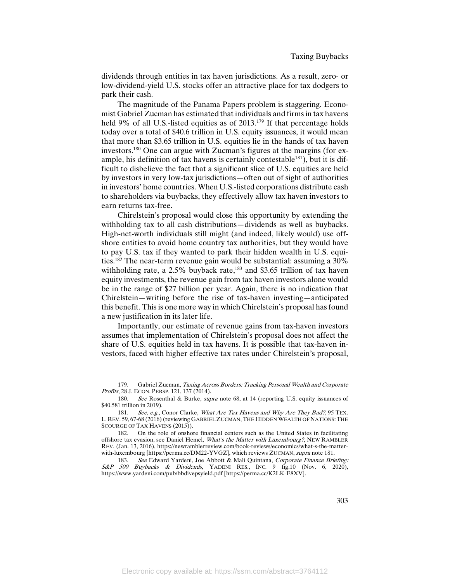dividends through entities in tax haven jurisdictions. As a result, zero- or low-dividend-yield U.S. stocks offer an attractive place for tax dodgers to park their cash.

The magnitude of the Panama Papers problem is staggering. Economist Gabriel Zucman has estimated that individuals and firms in tax havens held 9% of all U.S.-listed equities as of 2013.<sup>179</sup> If that percentage holds today over a total of \$40.6 trillion in U.S. equity issuances, it would mean that more than \$3.65 trillion in U.S. equities lie in the hands of tax haven investors.180 One can argue with Zucman's figures at the margins (for example, his definition of tax havens is certainly contestable<sup>181</sup>), but it is difficult to disbelieve the fact that a significant slice of U.S. equities are held by investors in very low-tax jurisdictions—often out of sight of authorities in investors' home countries. When U.S.-listed corporations distribute cash to shareholders via buybacks, they effectively allow tax haven investors to earn returns tax-free.

Chirelstein's proposal would close this opportunity by extending the withholding tax to all cash distributions—dividends as well as buybacks. High-net-worth individuals still might (and indeed, likely would) use offshore entities to avoid home country tax authorities, but they would have to pay U.S. tax if they wanted to park their hidden wealth in U.S. equities.182 The near-term revenue gain would be substantial: assuming a 30% withholding rate, a  $2.5\%$  buyback rate,<sup>183</sup> and \$3.65 trillion of tax haven equity investments, the revenue gain from tax haven investors alone would be in the range of \$27 billion per year. Again, there is no indication that Chirelstein—writing before the rise of tax-haven investing—anticipated this benefit. This is one more way in which Chirelstein's proposal has found a new justification in its later life.

Importantly, our estimate of revenue gains from tax-haven investors assumes that implementation of Chirelstein's proposal does not affect the share of U.S. equities held in tax havens. It is possible that tax-haven investors, faced with higher effective tax rates under Chirelstein's proposal,

<sup>179.</sup> Gabriel Zucman, Taxing Across Borders: Tracking Personal Wealth and Corporate Profits, 28 J. ECON. PERSP. 121, 137 (2014).

<sup>180.</sup> See Rosenthal & Burke, *supra* note 68, at 14 (reporting U.S. equity issuances of \$40.581 trillion in 2019).

<sup>181.</sup> See, e.g., Conor Clarke, What Are Tax Havens and Why Are They Bad?, 95 TEX. L.REV. 59, 67-68 (2016) (reviewing GABRIEL ZUCMAN, THE HIDDEN WEALTH OF NATIONS: THE SCOURGE OF TAX HAVENS (2015)).

<sup>182.</sup> On the role of onshore financial centers such as the United States in facilitating offshore tax evasion, see Daniel Hemel, What's the Matter with Luxembourg?, NEW RAMBLER REV. (Jan. 13, 2016), https://newramblerreview.com/book-reviews/economics/what-s-the-matterwith-luxembourg [https://perma.cc/DM22-YVGZ], which reviews ZUCMAN, supra note 181.

<sup>183.</sup> See Edward Yardeni, Joe Abbott & Mali Quintana, Corporate Finance Briefing: S&P 500 Buybacks & Dividends, YADENI RES., INC. 9 fig.10 (Nov. 6, 2020), https://www.yardeni.com/pub/bbdivepsyield.pdf [https://perma.cc/K2LK-E8XV].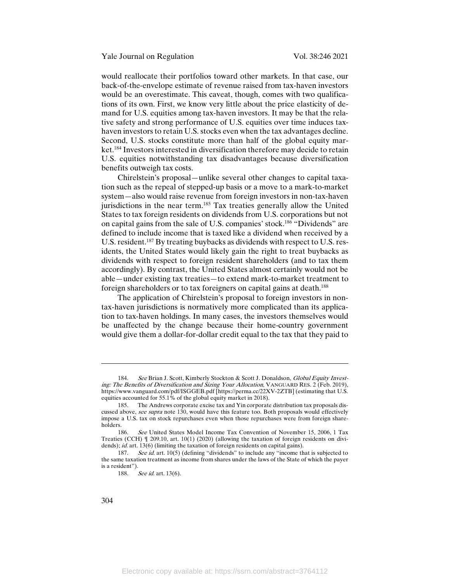would reallocate their portfolios toward other markets. In that case, our back-of-the-envelope estimate of revenue raised from tax-haven investors would be an overestimate. This caveat, though, comes with two qualifications of its own. First, we know very little about the price elasticity of demand for U.S. equities among tax-haven investors. It may be that the relative safety and strong performance of U.S. equities over time induces taxhaven investors to retain U.S. stocks even when the tax advantages decline. Second, U.S. stocks constitute more than half of the global equity market.184 Investors interested in diversification therefore may decide to retain U.S. equities notwithstanding tax disadvantages because diversification benefits outweigh tax costs.

Chirelstein's proposal—unlike several other changes to capital taxation such as the repeal of stepped-up basis or a move to a mark-to-market system—also would raise revenue from foreign investors in non-tax-haven jurisdictions in the near term.<sup>185</sup> Tax treaties generally allow the United States to tax foreign residents on dividends from U.S. corporations but not on capital gains from the sale of U.S. companies' stock.186 "Dividends" are defined to include income that is taxed like a dividend when received by a U.S. resident.<sup>187</sup> By treating buybacks as dividends with respect to U.S. residents, the United States would likely gain the right to treat buybacks as dividends with respect to foreign resident shareholders (and to tax them accordingly). By contrast, the United States almost certainly would not be able—under existing tax treaties—to extend mark-to-market treatment to foreign shareholders or to tax foreigners on capital gains at death.<sup>188</sup>

The application of Chirelstein's proposal to foreign investors in nontax-haven jurisdictions is normatively more complicated than its application to tax-haven holdings. In many cases, the investors themselves would be unaffected by the change because their home-country government would give them a dollar-for-dollar credit equal to the tax that they paid to

<sup>184.</sup> See Brian J. Scott, Kimberly Stockton & Scott J. Donaldson, Global Equity Investing: The Benefits of Diversification and Sizing Your Allocation, VANGUARD RES. 2 (Feb. 2019), https://www.vanguard.com/pdf/ISGGEB.pdf [https://perma.cc/22XV-2ZTB] (estimating that U.S. equities accounted for 55.1% of the global equity market in 2018).

<sup>185.</sup> The Andrews corporate excise tax and Yin corporate distribution tax proposals discussed above, see supra note 130, would have this feature too. Both proposals would effectively impose a U.S. tax on stock repurchases even when those repurchases were from foreign shareholders.

<sup>186.</sup> See United States Model Income Tax Convention of November 15, 2006, 1 Tax Treaties (CCH) ¶ 209.10, art. 10(1) (2020) (allowing the taxation of foreign residents on dividends); *id.* art. 13(6) (limiting the taxation of foreign residents on capital gains).

<sup>187.</sup> See id. art. 10(5) (defining "dividends" to include any "income that is subjected to the same taxation treatment as income from shares under the laws of the State of which the payer is a resident").

<sup>188.</sup> See id. art. 13(6).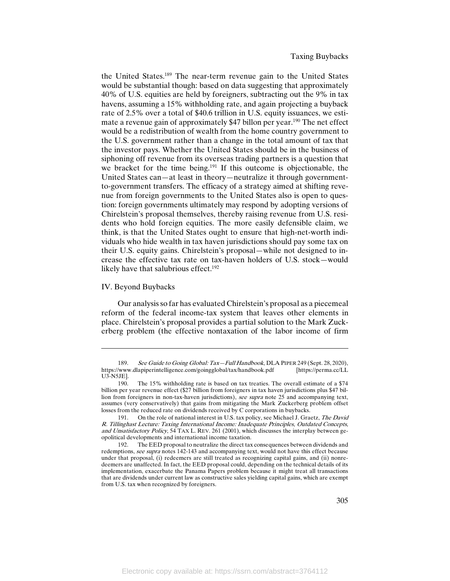the United States.189 The near-term revenue gain to the United States would be substantial though: based on data suggesting that approximately 40% of U.S. equities are held by foreigners, subtracting out the 9% in tax havens, assuming a 15% withholding rate, and again projecting a buyback rate of 2.5% over a total of \$40.6 trillion in U.S. equity issuances, we estimate a revenue gain of approximately \$47 billon per year.<sup>190</sup> The net effect would be a redistribution of wealth from the home country government to the U.S. government rather than a change in the total amount of tax that the investor pays. Whether the United States should be in the business of siphoning off revenue from its overseas trading partners is a question that we bracket for the time being.<sup>191</sup> If this outcome is objectionable, the United States can—at least in theory—neutralize it through governmentto-government transfers. The efficacy of a strategy aimed at shifting revenue from foreign governments to the United States also is open to question: foreign governments ultimately may respond by adopting versions of Chirelstein's proposal themselves, thereby raising revenue from U.S. residents who hold foreign equities. The more easily defensible claim, we think, is that the United States ought to ensure that high-net-worth individuals who hide wealth in tax haven jurisdictions should pay some tax on their U.S. equity gains. Chirelstein's proposal—while not designed to increase the effective tax rate on tax-haven holders of U.S. stock—would likely have that salubrious effect.<sup>192</sup>

#### IV. Beyond Buybacks

l

Our analysis so far has evaluated Chirelstein's proposal as a piecemeal reform of the federal income-tax system that leaves other elements in place. Chirelstein's proposal provides a partial solution to the Mark Zuckerberg problem (the effective nontaxation of the labor income of firm

<sup>189.</sup> See Guide to Going Global: Tax—Full Handbook, DLA PIPER 249 (Sept. 28, 2020),<br>/www.dlapiperintelligence.com/goingglobal/tax/handbook.pdf [https://perma.cc/LL https://www.dlapiperintelligence.com/goingglobal/tax/handbook.pdf U3-N5JE].

<sup>190.</sup> The 15% withholding rate is based on tax treaties. The overall estimate of a \$74 billion per year revenue effect (\$27 billion from foreigners in tax haven jurisdictions plus \$47 billion from foreigners in non-tax-haven jurisdictions), see supra note 25 and accompanying text, assumes (very conservatively) that gains from mitigating the Mark Zuckerberg problem offset losses from the reduced rate on dividends received by C corporations in buybacks.

<sup>191.</sup> On the role of national interest in U.S. tax policy, see Michael J. Graetz, The David R. Tillinghast Lecture: Taxing International Income: Inadequate Principles, Outdated Concepts, and Unsatisfactory Policy, 54 TAX L. REV. 261 (2001), which discusses the interplay between geopolitical developments and international income taxation.

<sup>192.</sup> The EED proposal to neutralize the direct tax consequences between dividends and redemptions, see supra notes 142-143 and accompanying text, would not have this effect because under that proposal, (i) redeemers are still treated as recognizing capital gains, and (ii) nonredeemers are unaffected. In fact, the EED proposal could, depending on the technical details of its implementation, exacerbate the Panama Papers problem because it might treat all transactions that are dividends under current law as constructive sales yielding capital gains, which are exempt from U.S. tax when recognized by foreigners.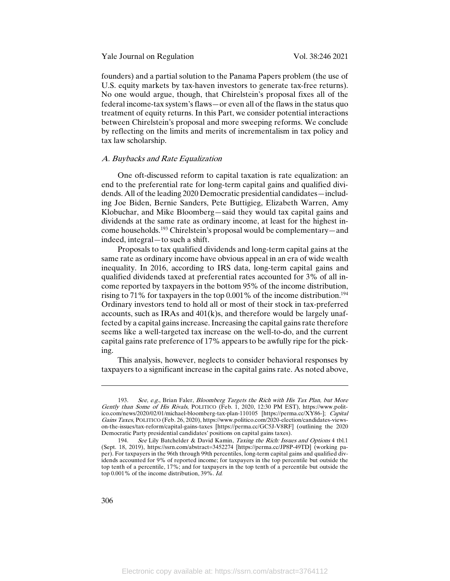Yale Journal on Regulation Vol. 38:246 2021

founders) and a partial solution to the Panama Papers problem (the use of U.S. equity markets by tax-haven investors to generate tax-free returns). No one would argue, though, that Chirelstein's proposal fixes all of the federal income-tax system's flaws—or even all of the flaws in the status quo treatment of equity returns. In this Part, we consider potential interactions between Chirelstein's proposal and more sweeping reforms. We conclude by reflecting on the limits and merits of incrementalism in tax policy and tax law scholarship.

# A. Buybacks and Rate Equalization

One oft-discussed reform to capital taxation is rate equalization: an end to the preferential rate for long-term capital gains and qualified dividends. All of the leading 2020 Democratic presidential candidates—including Joe Biden, Bernie Sanders, Pete Buttigieg, Elizabeth Warren, Amy Klobuchar, and Mike Bloomberg—said they would tax capital gains and dividends at the same rate as ordinary income, at least for the highest income households.<sup>193</sup> Chirelstein's proposal would be complementary—and indeed, integral—to such a shift.

Proposals to tax qualified dividends and long-term capital gains at the same rate as ordinary income have obvious appeal in an era of wide wealth inequality. In 2016, according to IRS data, long-term capital gains and qualified dividends taxed at preferential rates accounted for 3% of all income reported by taxpayers in the bottom 95% of the income distribution, rising to 71% for taxpayers in the top 0.001% of the income distribution.<sup>194</sup> Ordinary investors tend to hold all or most of their stock in tax-preferred accounts, such as IRAs and 401(k)s, and therefore would be largely unaffected by a capital gains increase. Increasing the capital gains rate therefore seems like a well-targeted tax increase on the well-to-do, and the current capital gains rate preference of 17% appears to be awfully ripe for the picking.

This analysis, however, neglects to consider behavioral responses by taxpayers to a significant increase in the capital gains rate. As noted above,

<sup>193.</sup> See, e.g., Brian Faler, Bloomberg Targets the Rich with His Tax Plan, but More Gently than Some of His Rivals, POLITICO (Feb. 1, 2020, 12:30 PM EST), https://www.politico.com/news/2020/02/01/michael-bloomberg-tax-plan-110105 [https://perma.cc/XY86-]; Capital Gains Taxes, POLITICO (Feb. 26, 2020), https://www.politico.com/2020-election/candidates-viewson-the-issues/tax-reform/capital-gains-taxes [https://perma.cc/GC5J-V8RF] (outlining the 2020 Democratic Party presidential candidates' positions on capital gains taxes).

<sup>194.</sup> See Lily Batchelder & David Kamin, Taxing the Rich: Issues and Options 4 tbl.1 (Sept. 18, 2019), https://ssrn.com/abstract=3452274 [https://perma.cc/JP8P-49TD] (working paper). For taxpayers in the 96th through 99th percentiles, long-term capital gains and qualified dividends accounted for 9% of reported income; for taxpayers in the top percentile but outside the top tenth of a percentile, 17%; and for taxpayers in the top tenth of a percentile but outside the top 0.001% of the income distribution, 39%. Id.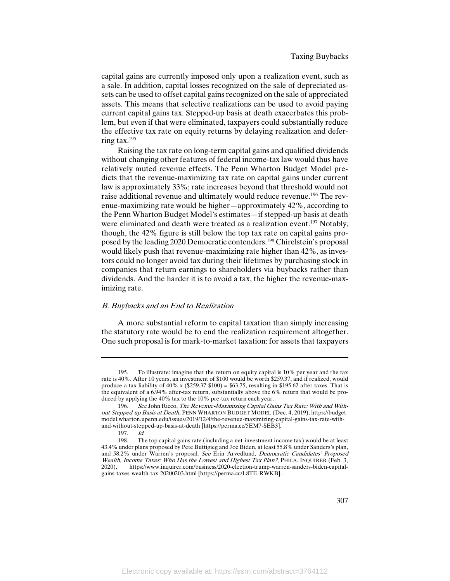capital gains are currently imposed only upon a realization event, such as a sale. In addition, capital losses recognized on the sale of depreciated assets can be used to offset capital gains recognized on the sale of appreciated assets. This means that selective realizations can be used to avoid paying current capital gains tax. Stepped-up basis at death exacerbates this problem, but even if that were eliminated, taxpayers could substantially reduce the effective tax rate on equity returns by delaying realization and deferring tax.195

Raising the tax rate on long-term capital gains and qualified dividends without changing other features of federal income-tax law would thus have relatively muted revenue effects. The Penn Wharton Budget Model predicts that the revenue-maximizing tax rate on capital gains under current law is approximately 33%; rate increases beyond that threshold would not raise additional revenue and ultimately would reduce revenue.196 The revenue-maximizing rate would be higher—approximately 42%, according to the Penn Wharton Budget Model's estimates—if stepped-up basis at death were eliminated and death were treated as a realization event.<sup>197</sup> Notably, though, the 42% figure is still below the top tax rate on capital gains proposed by the leading 2020 Democratic contenders.<sup>198</sup> Chirelstein's proposal would likely push that revenue-maximizing rate higher than 42%, as investors could no longer avoid tax during their lifetimes by purchasing stock in companies that return earnings to shareholders via buybacks rather than dividends. And the harder it is to avoid a tax, the higher the revenue-maximizing rate.

# B. Buybacks and an End to Realization

A more substantial reform to capital taxation than simply increasing the statutory rate would be to end the realization requirement altogether. One such proposal is for mark-to-market taxation: for assets that taxpayers

<sup>195.</sup> To illustrate: imagine that the return on equity capital is 10% per year and the tax rate is 40%. After 10 years, an investment of \$100 would be worth \$259.37, and if realized, would produce a tax liability of 40% x ( $$259.37-\$100$ ) = \$63.75, resulting in \$195.62 after taxes. That is the equivalent of a 6.94% after-tax return, substantially above the 6% return that would be produced by applying the 40% tax to the 10% pre-tax return each year.

<sup>196.</sup> See John Ricco, The Revenue-Maximizing Capital Gains Tax Rate: With and Without Stepped-up Basis at Death, PENN WHARTON BUDGET MODEL (Dec. 4, 2019), https://budgetmodel.wharton.upenn.edu/issues/2019/12/4/the-revenue-maximizing-capital-gains-tax-rate-withand-without-stepped-up-basis-at-death [https://perma.cc/5EM7-SEB3].

<sup>197.</sup> *Id.*<br>198. The

The top capital gains rate (including a net-investment income tax) would be at least 43.4% under plans proposed by Pete Buttigieg and Joe Biden, at least 55.8% under Sanders's plan, and 58.2% under Warren's proposal. See Erin Arvedlund, Democratic Candidates' Proposed Wealth, Income Taxes: Who Has the Lowest and Highest Tax Plan?, PHILA. INQUIRER (Feb. 3, 2020) https://www.inquirer.com/business/2020-election-trump-warren-sanders-biden-capital-2020), https://www.inquirer.com/business/2020-election-trump-warren-sanders-biden-capitalgains-taxes-wealth-tax-20200203.html [https://perma.cc/L8TE-RWKB].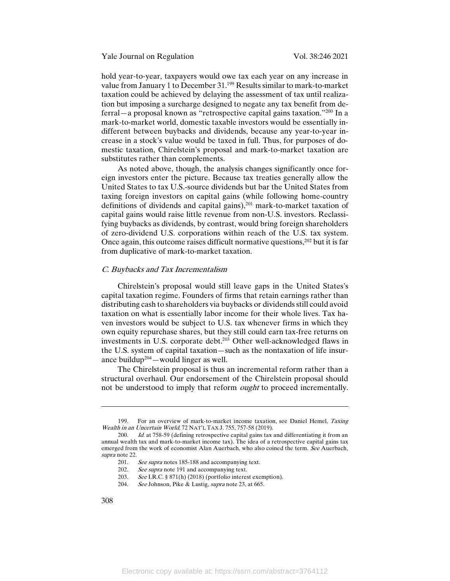hold year-to-year, taxpayers would owe tax each year on any increase in value from January 1 to December 31.199 Results similar to mark-to-market taxation could be achieved by delaying the assessment of tax until realization but imposing a surcharge designed to negate any tax benefit from deferral—a proposal known as "retrospective capital gains taxation."200 In a mark-to-market world, domestic taxable investors would be essentially indifferent between buybacks and dividends, because any year-to-year increase in a stock's value would be taxed in full. Thus, for purposes of domestic taxation, Chirelstein's proposal and mark-to-market taxation are substitutes rather than complements.

As noted above, though, the analysis changes significantly once foreign investors enter the picture. Because tax treaties generally allow the United States to tax U.S.-source dividends but bar the United States from taxing foreign investors on capital gains (while following home-country definitions of dividends and capital gains),<sup>201</sup> mark-to-market taxation of capital gains would raise little revenue from non-U.S. investors. Reclassifying buybacks as dividends, by contrast, would bring foreign shareholders of zero-dividend U.S. corporations within reach of the U.S. tax system. Once again, this outcome raises difficult normative questions,<sup>202</sup> but it is far from duplicative of mark-to-market taxation.

#### C. Buybacks and Tax Incrementalism

Chirelstein's proposal would still leave gaps in the United States's capital taxation regime. Founders of firms that retain earnings rather than distributing cash to shareholders via buybacks or dividends still could avoid taxation on what is essentially labor income for their whole lives. Tax haven investors would be subject to U.S. tax whenever firms in which they own equity repurchase shares, but they still could earn tax-free returns on investments in U.S. corporate debt.<sup>203</sup> Other well-acknowledged flaws in the U.S. system of capital taxation—such as the nontaxation of life insurance buildup<sup>204</sup> — would linger as well.

The Chirelstein proposal is thus an incremental reform rather than a structural overhaul. Our endorsement of the Chirelstein proposal should not be understood to imply that reform *ought* to proceed incrementally.

204. See Johnson, Pike & Lustig, *supra* note 23, at 665.

<sup>199.</sup> For an overview of mark-to-market income taxation, see Daniel Hemel, Taxing Wealth in an Uncertain World, 72 NAT'L TAX J. 755, 757-58 (2019).

<sup>200.</sup> Id. at 758-59 (defining retrospective capital gains tax and differentiating it from an annual wealth tax and mark-to-market income tax). The idea of a retrospective capital gains tax emerged from the work of economist Alan Auerbach, who also coined the term. See Auerbach, supra note 22.

<sup>201.</sup> See supra notes 185-188 and accompanying text.<br>202. See supra note 191 and accompanying text.

See supra note 191 and accompanying text.

<sup>203.</sup> See I.R.C. § 871(h) (2018) (portfolio interest exemption).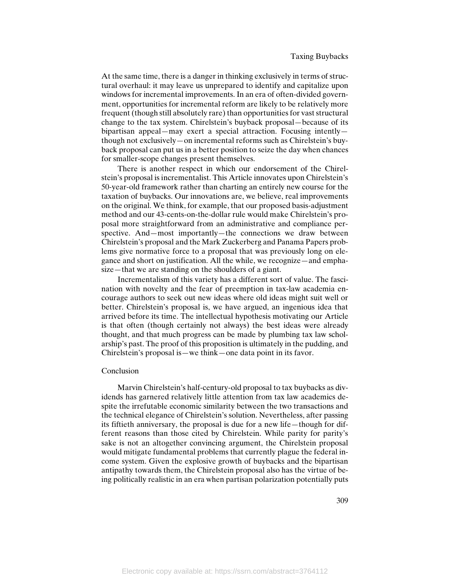At the same time, there is a danger in thinking exclusively in terms of structural overhaul: it may leave us unprepared to identify and capitalize upon windows for incremental improvements. In an era of often-divided government, opportunities for incremental reform are likely to be relatively more frequent (though still absolutely rare) than opportunities for vast structural change to the tax system. Chirelstein's buyback proposal—because of its bipartisan appeal—may exert a special attraction. Focusing intently though not exclusively—on incremental reforms such as Chirelstein's buyback proposal can put us in a better position to seize the day when chances for smaller-scope changes present themselves.

There is another respect in which our endorsement of the Chirelstein's proposal is incrementalist. This Article innovates upon Chirelstein's 50-year-old framework rather than charting an entirely new course for the taxation of buybacks. Our innovations are, we believe, real improvements on the original. We think, for example, that our proposed basis-adjustment method and our 43-cents-on-the-dollar rule would make Chirelstein's proposal more straightforward from an administrative and compliance perspective. And—most importantly—the connections we draw between Chirelstein's proposal and the Mark Zuckerberg and Panama Papers problems give normative force to a proposal that was previously long on elegance and short on justification. All the while, we recognize—and emphasize—that we are standing on the shoulders of a giant.

Incrementalism of this variety has a different sort of value. The fascination with novelty and the fear of preemption in tax-law academia encourage authors to seek out new ideas where old ideas might suit well or better. Chirelstein's proposal is, we have argued, an ingenious idea that arrived before its time. The intellectual hypothesis motivating our Article is that often (though certainly not always) the best ideas were already thought, and that much progress can be made by plumbing tax law scholarship's past. The proof of this proposition is ultimately in the pudding, and Chirelstein's proposal is—we think—one data point in its favor.

## Conclusion

Marvin Chirelstein's half-century-old proposal to tax buybacks as dividends has garnered relatively little attention from tax law academics despite the irrefutable economic similarity between the two transactions and the technical elegance of Chirelstein's solution. Nevertheless, after passing its fiftieth anniversary, the proposal is due for a new life—though for different reasons than those cited by Chirelstein. While parity for parity's sake is not an altogether convincing argument, the Chirelstein proposal would mitigate fundamental problems that currently plague the federal income system. Given the explosive growth of buybacks and the bipartisan antipathy towards them, the Chirelstein proposal also has the virtue of being politically realistic in an era when partisan polarization potentially puts